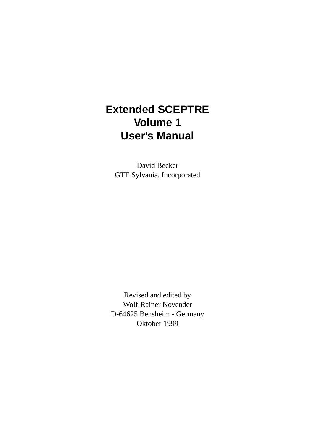# **Extended SCEPTRE Volume 1 User's Manual**

David Becker GTE Sylvania, Incorporated

Revised and edited by Wolf-Rainer Novender D-64625 Bensheim - Germany Oktober 1999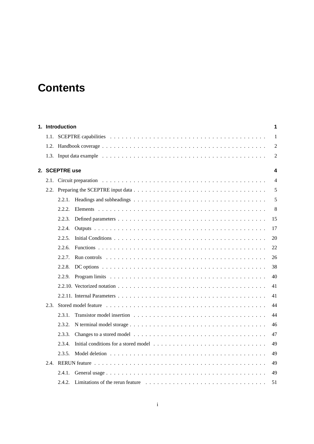# **Contents**

|      | 1. Introduction | 1              |
|------|-----------------|----------------|
|      |                 | 1              |
|      |                 | $\overline{2}$ |
|      |                 | $\overline{2}$ |
|      | 2. SCEPTRE use  | 4              |
|      |                 | $\overline{4}$ |
|      |                 | 5              |
|      | 2.2.1.          | 5              |
|      | 2.2.2.          | 8              |
|      | 2.2.3.          | 15             |
|      | 2.2.4.          | 17             |
|      | 2.2.5.          | 20             |
|      | 2.2.6.          | 22             |
|      | 2.2.7.          | 26             |
|      | 2.2.8.          | 38             |
|      | 2.2.9.          | 40             |
|      |                 | 41             |
|      |                 | 41             |
| 2.3. |                 | 44             |
|      | 2.3.1.          | 44             |
|      | 2.3.2.          | 46             |
|      | 2.3.3.          | 47             |
|      | 2.3.4.          | 49             |
|      | 2.3.5.          | 49             |
|      |                 | 49             |
|      | 2.4.1.          | 49             |
|      | 2.4.2.          | 51             |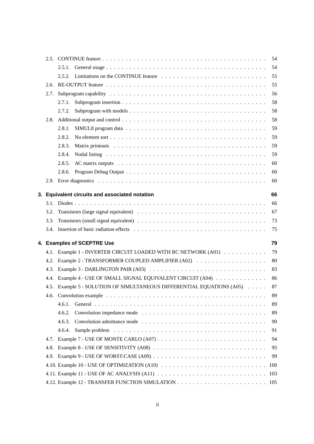|      |                                                                        | 54  |
|------|------------------------------------------------------------------------|-----|
|      | 2.5.1.                                                                 | 54  |
|      |                                                                        | 55  |
| 2.6. |                                                                        | 55  |
| 2.7. |                                                                        | 56  |
|      | 2.7.1.                                                                 | 58  |
|      | 2.7.2.                                                                 | 58  |
| 2.8. |                                                                        | 58  |
|      | 2.8.1.                                                                 | 59  |
|      | 2.8.2.                                                                 | 59  |
|      | 2.8.3.                                                                 | 59  |
|      | 2.8.4.                                                                 | 59  |
|      | 2.8.5.                                                                 | 60  |
|      | 2.8.6.                                                                 | 60  |
|      |                                                                        | 60  |
|      | 3. Equivalent circuits and associated notation                         | 66  |
|      |                                                                        | 66  |
| 3.2. |                                                                        | 67  |
| 3.3. |                                                                        | 73  |
|      |                                                                        | 75  |
|      | 4. Examples of SCEPTRE Use                                             | 79  |
|      | 4.1. Example 1 - INVERTER CIRCUIT LOADED WITH RC NETWORK (A01)         | 79  |
| 4.2. | Example 2 - TRANSFORMER COUPLED AMPLIFIER (A02)                        | 80  |
|      |                                                                        | 83  |
| 4.4. | Example 4 - USE OF SMALL SIGNAL EQUIVALENT CIRCUIT (A04)               | 86  |
|      | 4.5. Example 5 - SOLUTION OF SIMULTANEOUS DIFFERENTIAL EQUATIONS (A05) | 87  |
|      |                                                                        | 89  |
|      | 4.6.1.                                                                 | 89  |
|      | 4.6.2.                                                                 | 89  |
|      | 4.6.3.                                                                 | 90  |
|      | 4.6.4.                                                                 | 91  |
| 4.7. |                                                                        | 94  |
| 4.8. |                                                                        | 95  |
| 4.9. |                                                                        | 99  |
|      |                                                                        | 100 |
|      |                                                                        | 103 |
|      |                                                                        |     |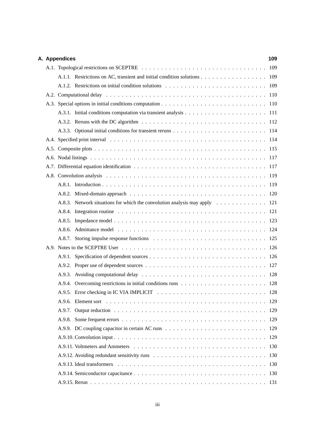|  | A. Appendices                                                              | 109 |
|--|----------------------------------------------------------------------------|-----|
|  |                                                                            |     |
|  | A.1.1. Restrictions on AC, transient and initial condition solutions 109   |     |
|  |                                                                            |     |
|  |                                                                            |     |
|  |                                                                            |     |
|  |                                                                            |     |
|  |                                                                            |     |
|  |                                                                            |     |
|  |                                                                            |     |
|  |                                                                            |     |
|  |                                                                            |     |
|  |                                                                            |     |
|  |                                                                            |     |
|  |                                                                            |     |
|  |                                                                            |     |
|  | A.8.3. Network situations for which the convolution analysis may apply 121 |     |
|  |                                                                            |     |
|  |                                                                            |     |
|  |                                                                            |     |
|  |                                                                            |     |
|  |                                                                            |     |
|  |                                                                            |     |
|  |                                                                            |     |
|  |                                                                            |     |
|  |                                                                            |     |
|  |                                                                            |     |
|  |                                                                            |     |
|  |                                                                            |     |
|  |                                                                            |     |
|  |                                                                            |     |
|  |                                                                            |     |
|  |                                                                            |     |
|  |                                                                            |     |
|  |                                                                            |     |
|  |                                                                            |     |
|  |                                                                            |     |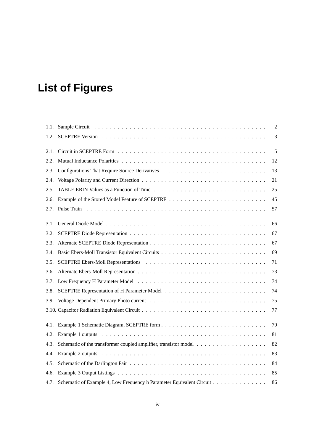# **List of Figures**

|      |                                                                      | 2  |
|------|----------------------------------------------------------------------|----|
| 1.2. |                                                                      | 3  |
| 2.1. |                                                                      | 5  |
| 2.2. |                                                                      | 12 |
| 2.3. |                                                                      | 13 |
| 2.4. |                                                                      | 21 |
| 2.5. |                                                                      | 25 |
| 2.6. |                                                                      | 45 |
|      |                                                                      | 57 |
| 3.1. |                                                                      | 66 |
| 3.2. |                                                                      | 67 |
| 3.3. |                                                                      | 67 |
| 3.4. |                                                                      | 69 |
| 3.5. |                                                                      | 71 |
| 3.6. |                                                                      | 73 |
| 3.7. |                                                                      | 74 |
| 3.8. |                                                                      | 74 |
| 3.9. |                                                                      | 75 |
|      |                                                                      | 77 |
|      | 4.1. Example 1 Schematic Diagram, SCEPTRE form                       | 79 |
| 4.2. |                                                                      | 81 |
| 4.3. |                                                                      | 82 |
| 4.4. |                                                                      | 83 |
| 4.5. |                                                                      | 84 |
| 4.6. |                                                                      | 85 |
| 4.7. | Schematic of Example 4, Low Frequency h Parameter Equivalent Circuit | 86 |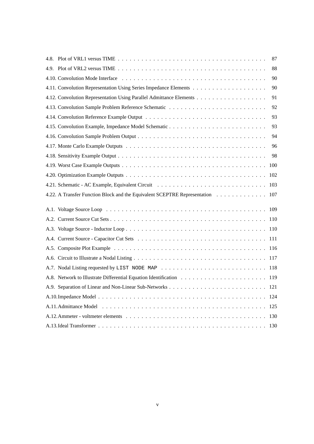|                                                                           | 87  |
|---------------------------------------------------------------------------|-----|
|                                                                           | 88  |
|                                                                           | 90  |
|                                                                           | 90  |
|                                                                           | 91  |
|                                                                           | 92  |
|                                                                           | 93  |
|                                                                           | 93  |
|                                                                           | 94  |
|                                                                           | 96  |
|                                                                           | 98  |
|                                                                           | 100 |
|                                                                           | 102 |
|                                                                           | 103 |
| 4.22. A Transfer Function Block and the Equivalent SCEPTRE Representation | 107 |
|                                                                           |     |
|                                                                           |     |
|                                                                           | 110 |
|                                                                           |     |
|                                                                           |     |
|                                                                           |     |
|                                                                           |     |
|                                                                           |     |
|                                                                           | 119 |
|                                                                           |     |
|                                                                           |     |
|                                                                           |     |
|                                                                           |     |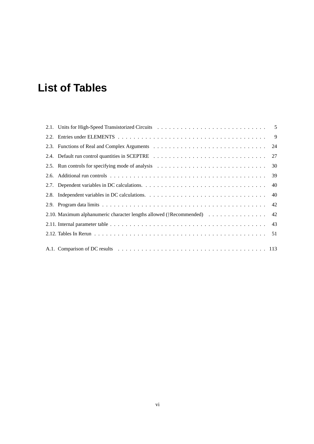# **List of Tables**

| 2.10. Maximum alphanumeric character lengths allowed (†Recommended)  42 |  |
|-------------------------------------------------------------------------|--|
|                                                                         |  |
|                                                                         |  |
|                                                                         |  |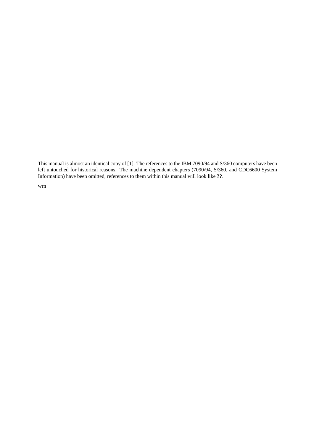This manual is almost an identical copy of [1]. The references to the IBM 7090/94 and S/360 computers have been left untouched for historical reasons. The machine dependent chapters (7090/94, S/360, and CDC6600 System Information) have been omitted, references to them within this manual will look like **??**.

wrn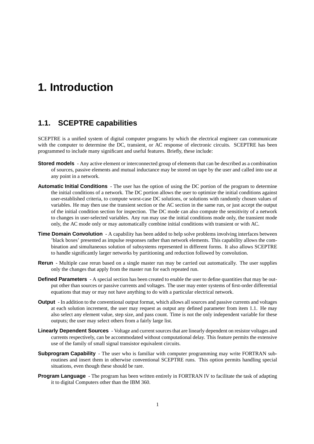# **1. Introduction**

### **1.1. SCEPTRE capabilities**

SCEPTRE is a unified system of digital computer programs by which the electrical engineer can communicate with the computer to determine the DC, transient, or AC response of electronic circuits. SCEPTRE has been programmed to include many significant and useful features. Briefly, these include:

- **Stored models** Any active element or interconnected group of elements that can be described as a combination of sources, passive elements and mutual inductance may be stored on tape by the user and called into use at any point in a network.
- **Automatic Initial Conditions** The user has the option of using the DC portion of the program to determine the initial conditions of a network. The DC portion allows the user to optimize the initial conditions against user-established criteria, to compute worst-case DC solutions, or solutions with randomly chosen values of variables. He may then use the transient section or the AC section in the same run, or just accept the output of the initial condition section for inspection. The DC mode can also compute the sensitivity of a network to changes in user-selected variables. Any run may use the initial conditions mode only, the transient mode only, the AC mode only or may automatically combine initial conditions with transient or with AC.
- **Time Domain Convolution** A capability has been added to help solve problems involving interfaces between 'black boxes' presented as impulse responses rather than network elements. This capability allows the combination and simultaneous solution of subsystems represented in different forms. It also allows SCEPTRE to handle significantly larger networks by partitioning and reduction followed by convolution.
- **Rerun** Multiple case rerun based on a single master run may be carried out automatically. The user supplies only the changes that apply from the master run for each repeated run.
- **Defined Parameters** A special section has been created to enable the user to define quantities that may be output other than sources or passive currents and voltages. The user may enter systems of first-order differential equations that may or may not have anything to do with a particular electrical network.
- **Output** In addition to the conventional output format, which allows all sources and passive currents and voltages at each solution increment, the user may request as output any defined parameter from item 1.1. He may also select any element value, step size, and pass count. Time is not the only independent variable for these outputs; the user may select others from a fairly large list.
- **Linearly Dependent Sources** Voltage and current sources that are linearly dependent on resistor voltages and currents respectively, can be accommodated without computational delay. This feature permits the extensive use of the family of small signal transistor equivalent circuits.
- **Subprogram Capability** The user who is familiar with computer programming may write FORTRAN subroutines and insert them in otherwise conventional SCEPTRE runs. This option permits handling special situations, even though these should be rare.
- **Program Language** The program has been written entirely in FORTRAN IV to facilitate the task of adapting it to digital Computers other than the IBM 360.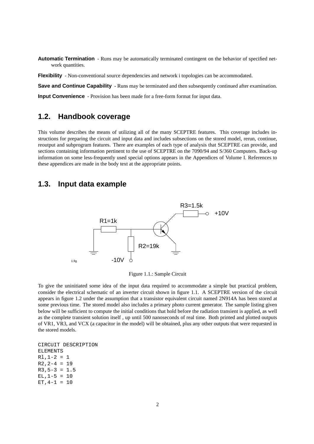**Automatic Termination** - Runs may be automatically terminated contingent on the behavior of specified network quantities.

**Flexibility** - Non-conventional source dependencies and network i topologies can be accommodated.

**Save and Continue Capability** - Runs may be terminated and then subsequently continued after examination.

**Input Convenience** - Provision has been made for a free-form format for input data.

### **1.2. Handbook coverage**

This volume describes the means of utilizing all of the many SCEPTRE features. This coverage includes instructions for preparing the circuit and input data and includes subsections on the stored model, rerun, continue, reoutput and subprogram features. There are examples of each type of analysis that SCEPTRE can provide, and sections containing information pertinent to the use of SCEPTRE on the 7090/94 and S/360 Computers. Back-up information on some less-frequently used special options appears in the Appendices of Volume I. References to these appendices are made in the body text at the appropriate points.

### **1.3. Input data example**



Figure 1.1.: Sample Circuit

To give the uninitiated some idea of the input data required to accommodate a simple but practical problem, consider the electrical schematic of an inverter circuit shown in figure 1.1. A SCEPTRE version of the circuit appears in figure 1.2 under the assumption that a transistor equivalent circuit named 2N914A has been stored at some previous time. The stored model also includes a primary photo current generator. The sample listing given below will be sufficient to compute the initial conditions that hold before the radiation transient is applied, as well as the complete transient solution itself , up until 500 nanoseconds of real time. Both printed and plotted outputs of VR1, VR3, and VCX (a capacitor in the model) will be obtained, plus any other outputs that were requested in the stored models.

```
CIRCUIT DESCRIPTION
ELEMENTS
R1, 1-2 = 1R2, 2-4 = 19R3, 5-3 = 1.5EL, 1-5 = 10ET, 4-1 = 10
```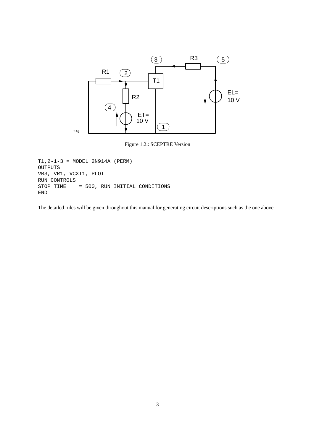

Figure 1.2.: SCEPTRE Version

```
Tl,2-1-3 = MODEL 2N914A (PERM)
OUTPUTS
VR3, VR1, VCXT1, PLOT
RUN CONTROLS
STOP TIME = 500, RUN INITIAL CONDITIONS
END
```
The detailed rules will be given throughout this manual for generating circuit descriptions such as the one above.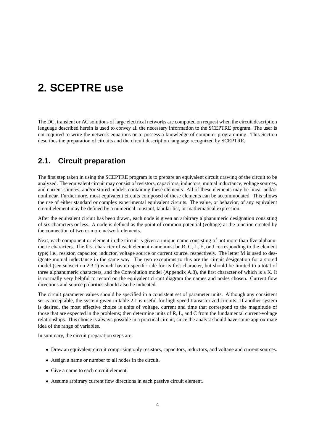# **2. SCEPTRE use**

The DC, transient or AC solutions of large electrical networks are computed on request when the circuit description language described herein is used to convey all the necessary information to the SCEPTRE program. The user is not required to write the network equations or to possess a knowledge of computer programming. This Section describes the preparation of circuits and the circuit description language recognized by SCEPTRE.

## **2.1. Circuit preparation**

The first step taken in using the SCEPTRE program is to prepare an equivalent circuit drawing of the circuit to be analyzed. The equivalent circuit may consist of resistors, capacitors, inductors, mutual inductance, voltage sources, and current sources, and/or stored models containing these elements. All of these elements may be linear and/or nonlinear. Furthermore, most equivalent circuits composed of these elements can be accommodated. This allows the use of either standard or complex experimental equivalent circuits. The value, or behavior, of any equivalent circuit element may be defined by a numerical constant, tabular list, or mathematical expression.

After the equivalent circuit has been drawn, each node is given an arbitrary alphanumeric designation consisting of six characters or less. A node is defined as the point of common potential (voltage) at the junction created by the connection of two or more network elements.

Next, each component or element in the circuit is given a unique name consisting of not more than five alphanumeric characters. The first character of each element name must be R, C, L, E, or J corresponding to the element type; i.e., resistor, capacitor, inductor, voltage source or current source, respectively. The letter M is used to designate mutual inductance in the same way. The two exceptions to this are the circuit designation for a stored model (see subsection 2.3.1) which has no specific rule for its first character, but should be limited to a total of three alphanumeric characters, and the Convolution model (Appendix A.8), the first character of which is a K. It is normally very helpful to record on the equivalent circuit diagram the names and nodes chosen. Current flow directions and source polarities should also be indicated.

The circuit parameter values should be specified in a consistent set of parameter units. Although any consistent set is acceptable, the system given in table 2.1 is useful for high-speed transistorized circuits. If another system is desired, the most effective choice is units of voltage, current and time that correspond to the magnitude of those that are expected in the problems; then determine units of R, L, and C from the fundamental current-voltage relationships. This choice is always possible in a practical circuit, since the analyst should have some approximate idea of the range of variables.

In summary, the circuit preparation steps are:

- Draw an equivalent circuit comprising only resistors, capacitors, inductors, and voltage and current sources.
- Assign a name or number to all nodes in the circuit.
- Give a name to each circuit element.
- Assume arbitrary current flow directions in each passive circuit element.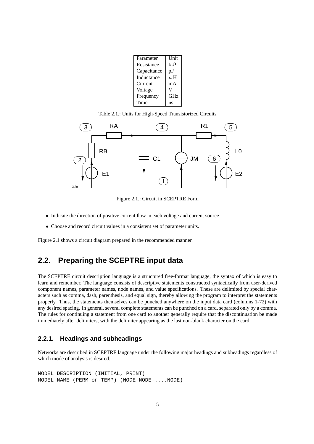| Parameter   | Unit       |
|-------------|------------|
| Resistance  | $k\Omega$  |
| Capacitance | pF         |
| Inductance  | $\mu$ H    |
| Current     | mA         |
| Voltage     |            |
| Frequency   | <b>GHz</b> |
| Time        | ns         |

Table 2.1.: Units for High-Speed Transistorized Circuits



Figure 2.1.: Circuit in SCEPTRE Form

- Indicate the direction of positive current flow in each voltage and current source.
- Choose and record circuit values in a consistent set of parameter units.

Figure 2.1 shows a circuit diagram prepared in the recommended manner.

# **2.2. Preparing the SCEPTRE input data**

The SCEPTRE circuit description language is a structured free-format language, the syntax of which is easy to learn and remember. The language consists of descriptive statements constructed syntactically from user-derived component names, parameter names, node names, and value specifications. These are delimited by special characters such as comma, dash, parenthesis, and equal sign, thereby allowing the program to interpret the statements properly. Thus, the statements themselves can be punched anywhere on the input data card (columns 1-72) with any desired spacing. In general, several complete statements can be punched on a card, separated only by a comma. The rules for continuing a statement from one card to another generally require that the discontinuation be made immediately after delimiters, with the delimiter appearing as the last non-blank character on the card.

#### **2.2.1. Headings and subheadings**

Networks are described in SCEPTRE language under the following major headings and subheadings regardless of which mode of analysis is desired.

```
MODEL DESCRIPTION (INITIAL, PRINT)
MODEL NAME (PERM or TEMP) (NODE-NODE-....NODE)
```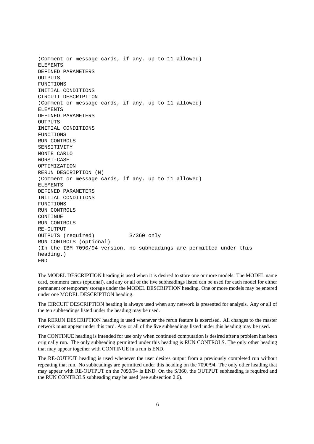(Comment or message cards, if any, up to 11 allowed) ELEMENTS DEFINED PARAMETERS OUTPUTS FUNCTIONS INITIAL CONDITIONS CIRCUIT DESCRIPTION (Comment or message cards, if any, up to 11 allowed) ELEMENTS DEFINED PARAMETERS OUTPUTS INITIAL CONDITIONS FUNCTIONS RUN CONTROLS SENSITIVITY MONTE CARLO WORST-CASE OPTIMIZATION RERUN DESCRIPTION (N) (Comment or message cards, if any, up to 11 allowed) ELEMENTS DEFINED PARAMETERS INITIAL CONDITIONS FUNCTIONS RUN CONTROLS CONTINUE RUN CONTROLS RE-OUTPUT OUTPUTS (required) S/360 only RUN CONTROLS (optional) (In the IBM 7090/94 version, no subheadings are permitted under this heading.) END

The MODEL DESCRIPTION heading is used when it is desired to store one or more models. The MODEL name card, comment cards (optional), and any or all of the five subheadings listed can be used for each model for either permanent or temporary storage under the MODEL DESCRIPTION heading. One or more models may be entered under one MODEL DESCRIPTION heading.

The CIRCUIT DESCRIPTION heading is always used when any network is presented for analysis. Any or all of the ten subheadings listed under the heading may be used.

The RERUN DESCRIPTION heading is used whenever the rerun feature is exercised. All changes to the master network must appear under this card. Any or all of the five subheadings listed under this heading may be used.

The CONTINUE heading is intended for use only when continued computation is desired after a problem has been originally run. The only subheading permitted under this heading is RUN CONTROLS. The only other heading that may appear together with CONTINUE in a run is END.

The RE-OUTPUT heading is used whenever the user desires output from a previously completed run without repeating that run. No subheadings are permitted under this heading on the 7090/94. The only other heading that may appear with RE-OUTPUT on the 7090/94 is END. On the S/360, the OUTPUT subheading is required and the RUN CONTROLS subheading may be used (see subsection 2.6).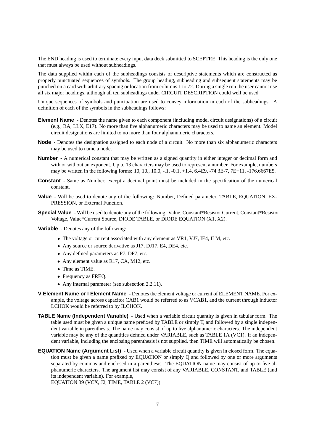The END heading is used to terminate every input data deck submitted to SCEPTRE. This heading is the only one that must always be used without subheadings.

The data supplied within each of the subheadings consists of descriptive statements which are constructed as properly punctuated sequences of symbols. The group heading, subheading and subsequent statements may be punched on a card with arbitrary spacing or location from columns 1 to 72. During a single run the user cannot use all six major headings, although all ten subheadings under CIRCUIT DESCRIPTION could well be used.

Unique sequences of symbols and punctuation are used to convey information in each of the subheadings. A definition of each of the symbols in the subheadings follows:

- **Element Name** Denotes the name given to each component (including model circuit designations) of a circuit (e.g., RA, LLX, E17). No more than five alphanumeric characters may be used to name an element. Model circuit designations are limited to no more than four alphanumeric characters.
- **Node** Denotes the designation assigned to each node of a circuit. No more than six alphanumeric characters may be used to name a node.
- **Number** A numerical constant that may be written as a signed quantity in either integer or decimal form and with or without an exponent. Up to 13 characters may be used to represent a number. For example, numbers may be written in the following forms: 10, 10., 10.0, -.1, -0.1, +1.4, 6.4E9, -74.3E-7, 7E+11, -176.6667E5.
- **Constant** Same as Number, except a decimal point must be included in the specification of the numerical constant.
- **Value** Will be used to denote any of the following: Number, Defined parameter, TABLE, EQUATION, EX-PRESSION, or External Function.
- **Special Value** Will be used to denote any of the following: Value, Constant\*Resistor Current, Constant\*Resistor Voltage, Value\*Current Source, DIODE TABLE, or DIODE EQUATION (X1, X2).
- **Variable** Denotes any of the following:
	- The voltage or current associated with any element as VR1, VJ7, IE4, ILM, etc.
	- Any source or source derivative as J17, DJ17, E4, DE4, etc.
	- Any defined parameters as P7, DP7, etc.
	- Any element value as R17, CA, M12, etc.
	- Time as TIME.
	- Frequency as FREQ.
	- Any internal parameter (see subsection 2.2.11).
- **V Element Name or I Element Name** Denotes the element voltage or current of ELEMENT NAME. For example, the voltage across capacitor CAB1 would be referred to as VCAB1, and the current through inductor LCHOK would be referred to by ILCHOK.
- **TABLE Name (Independent Variable)** Used when a variable circuit quantity is given in tabular form. The table used must be given a unique name prefixed by TABLE or simply T, and followed by a single independent variable in parenthesis. The name may consist of up to five alphanumeric characters. The independent variable may be any of the quantities defined under VARIABLE, such as TABLE 1A (VC1). If an independent variable, including the enclosing parenthesis is not supplied, then TIME will automatically be chosen.
- **EQUATION Name (Argument List)** Used when a variable circuit quantity is given in closed form. The equation must be given a name prefixed by EQUATION or simply Q and followed by one or more arguments separated by commas and enclosed in a parenthesis. The EQUATION name may consist of up to five alphanumeric characters. The argument list may consist of any VARIABLE, CONSTANT, and TABLE (and its independent variable). For example,

EQUATION 39 (VCX, J2, TIME, TABLE 2 (VC7)).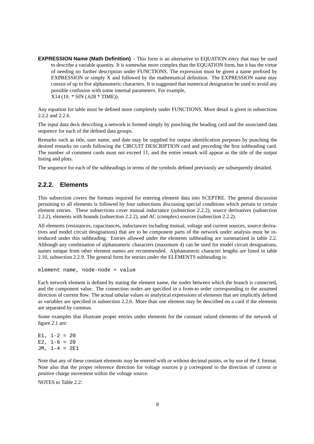**EXPRESSION Name (Math Definition)** - This form is an alternative to EQUATION entry that may be used to describe a variable quantity. It is somewhat more complex than the EQUATION form, but it has the virtue of needing no further description under FUNCTIONS. The expression must be given a name prefixed by EXPRESSION or simply X and followed by the mathematical definition. The EXPRESSION name may consist of up to five alphanumeric characters. It is suggested that numerical designation be used to avoid any possible confusion with some internal parameters. For example, X14 (10. \* SIN (.628 \* TIME)).

Any equation for table must be defined more completely under FUNCTIONS. More detail is given in subsections 2.2.2 and 2.2.6.

The input data deck describing a network is formed simply by punching the heading card and the associated data sequence for each of the defined data groups.

Remarks such as title, user name, and date may be supplied for output identification purposes by punching the desired remarks on cards following the CIRCUIT DESCRIPTION card and preceding the first subheading card. The number of comment cards must not exceed 11, and the entire remark will appear as the title of the output listing and plots.

The sequence for each of the subheadings in terms of the symbols defined previously are subsequently detailed.

### **2.2.2. Elements**

This subsection covers the formats required for entering element data into SCEPTRE. The general discussion pertaining to all elements is followed by four subsections discussing special conditions which pertain to certain element entries. These subsections cover mutual inductance (subsection 2.2.2), source derivatives (subsection 2.2.2), elements with bounds (subsection 2.2.2), and AC (complex) sources (subsection 2.2.2).

All elements (resistances, capacitances, inductances including mutual, voltage and current sources, source derivatives and model circuit designations) that are to be component parts of the network under analysis must be introduced under this subheading. Entries allowed under the elements subheading are summarized in table 2.2. Although any combination of alphanumeric characters (maximum 4) can be used for model circuit designations, names unique from other element names are recommended. Alphanumeric character lengths are listed in table 2.10, subsection 2.2.9. The general form for entries under the ELEMENTS subheading is:

element name, node-node = value

Each network element is defined by stating the element name, the nodes between which the branch is connected, and the component value. The connection nodes are specified in a from-to order corresponding to the assumed direction of current flow. The actual tabular values or analytical expressions of elements that are implicitly defined as variables are specified in subsection 2.2.6. More than one element may be described on a card if the elements are separated by commas.

Some examples that illustrate proper entries under elements for the constant valued elements of the network of figure 2.1 are:

 $E1, 1-2 = 20$ E2,  $1-6 = 20$ JM, 1-4 = 2E1

Note that any of these constant elements may be entered with or without decimal points, or by use of the E format. Note also that the proper reference direction for voltage sources p p correspond to the direction of current or positive charge movement within the voltage source.

NOTES to Table 2.2: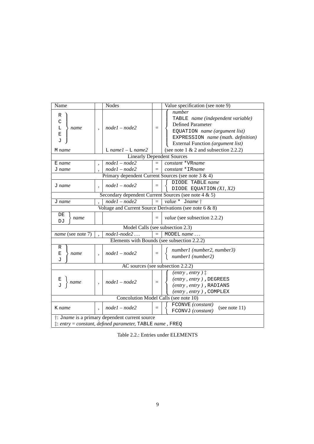| Name                                                                                                       |                          | <b>Nodes</b>           | Value specification (see note 9)                                                                                       |                                                                                                                                                                                     |  |
|------------------------------------------------------------------------------------------------------------|--------------------------|------------------------|------------------------------------------------------------------------------------------------------------------------|-------------------------------------------------------------------------------------------------------------------------------------------------------------------------------------|--|
| R<br>$\mathcal{C}$<br>L<br>name<br>$\mathbf E$<br>J                                                        |                          | $node1 - node2$        | $=$                                                                                                                    | number<br>TABLE name (independent variable)<br><b>Defined Parameter</b><br>EQUATION name (argument list)<br>EXPRESSION name (math. definition)<br>External Function (argument list) |  |
| M name                                                                                                     |                          | $L$ name $l - L$ name2 |                                                                                                                        | (see note $1 \& 2$ and subsection 2.2.2)                                                                                                                                            |  |
|                                                                                                            |                          |                        |                                                                                                                        | <b>Linearly Dependent Sources</b>                                                                                                                                                   |  |
| $E$ name                                                                                                   | $\overline{\phantom{a}}$ | $node1-node2$          | $=$                                                                                                                    | constant *VRname                                                                                                                                                                    |  |
| J name                                                                                                     |                          | $node1 - node2$        | $=$                                                                                                                    | constant * IRname                                                                                                                                                                   |  |
|                                                                                                            |                          |                        |                                                                                                                        | Primary dependent Current Sources (see note $3 \& 4$ )                                                                                                                              |  |
| J name                                                                                                     |                          | $node1 - node2$        | $=$                                                                                                                    | DIODE TABLE name<br>DIODE EQUATION $(XI, X2)$                                                                                                                                       |  |
|                                                                                                            |                          |                        |                                                                                                                        | Secondary dependent Current Sources (see note 4 & 5)                                                                                                                                |  |
| J name                                                                                                     |                          | $node1 - node2$        | $=$                                                                                                                    | value $*$ Jname $\dagger$                                                                                                                                                           |  |
|                                                                                                            |                          |                        |                                                                                                                        | Voltage and Current Source Derivations (see note 6 & 8)                                                                                                                             |  |
| DE<br>name<br>DJ                                                                                           |                          |                        | $=$                                                                                                                    | <i>value</i> (see subsection 2.2.2)                                                                                                                                                 |  |
|                                                                                                            |                          |                        |                                                                                                                        | Model Calls (see subsection 2.3)                                                                                                                                                    |  |
| node1-node2<br><i>name</i> (see note 7)                                                                    |                          |                        |                                                                                                                        | MODEL name                                                                                                                                                                          |  |
|                                                                                                            |                          |                        |                                                                                                                        | Elements with Bounds (see subsection 2.2.2)                                                                                                                                         |  |
| R<br>$node1 - node2$<br>Ε<br>name<br>$\ddot{\phantom{0}}$<br>J                                             |                          |                        | $=$                                                                                                                    | number1 (number2, number3)<br>number1 (number2)                                                                                                                                     |  |
|                                                                                                            |                          |                        |                                                                                                                        | AC sources (see subsection 2.2.2)                                                                                                                                                   |  |
| name                                                                                                       |                          | $node1 - node2$        | $(entry, entry)$ $\ddagger$<br>$(entry, entry)$ , DEGREES<br>$=$<br>(entry, entry), RADIANS<br>(entry, entry), COMPLEX |                                                                                                                                                                                     |  |
| Concolution Model Calls (see note 10)                                                                      |                          |                        |                                                                                                                        |                                                                                                                                                                                     |  |
| FCONVE (constant)<br>$node1 - node2$<br>(see note $11$ )<br>K name<br>$=$<br>FCONVJ (constant)             |                          |                        |                                                                                                                        |                                                                                                                                                                                     |  |
| †: Jname is a primary dependent current source<br>#: entry = constant, defined parameter, TABLE name, FREQ |                          |                        |                                                                                                                        |                                                                                                                                                                                     |  |

Table 2.2.: Entries under ELEMENTS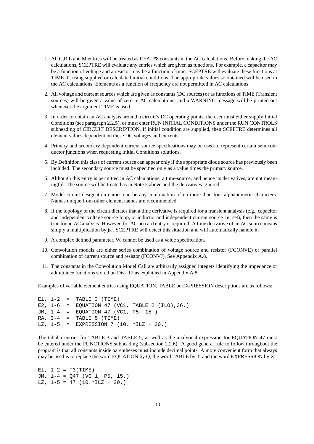- 1. All C,R,L and M entries will be treated as REAL\*8 constants in the AC calculations. Before making the AC calculations, SCEPTRE will evaluate any entries which are given as functions. For example, a capacitor may be a function of voltage and a resistor may be a function of time. SCEPTRE will evaluate these functions at TIME=0, using supplied or calculated initial conditions. The appropriate values so obtained will be used in the AC calculations. Elements as a function of frequency are not permitted in AC calculations.
- 2. All voltage and current sources which are given as constants (DC sources) or as functions of TIME (Transient sources) will be given a value of zero in AC calculations, and a WARNING message will be printed out whenever the argument TIME is used.
- 3. In order to obtain an AC analysis around a circuit's DC operating points, the user must either supply Initial Conditions (see paragraph 2.2.5), or must enter RUN INITIAL CONDITIONS under the RUN CONTROLS subheading of CIRCUIT DESCRIPTION. If initial condition are supplied, then SCEPTRE determines all element values dependent on these DC voltages and currents.
- 4. Primary and secondary dependent current source specifications may be used to represent certain semiconductor junctions when requesting Initial Conditions solutions.
- 5. By Definition this class of current source can appear only if the appropriate diode source has previously been included. The secondary source must be specified only as a value times the primary source.
- 6. Although this entry is permitted in AC calculations, a time-source, and hence its derivatives, are not meaningful. The source will be treated as in Note 2 above and the derivatives ignored.
- 7. Model circuit designation names can be any combination of no more than four alphanumeric characters. Names unique from other element names are recommended.
- 8. If the topology of the circuit dictates that a time derivative is required for a transient analysis (e.g., capacitor and independent voltage source loop, or inductor and independent current source cut set), then the same is true for an AC analysis. However, for AC no card entry is required. A time derivative of an AC source means simply a multiplication by  $j\omega$ . SCEPTRE will detect this situation and will automatically handle it.
- 9. A complex defined parameter, W, cannot be used as a value specification.
- 10. Convolution models are either series combination of voltage source and resistor (FCONVE) or parallel combination of current source and resistor (FCONVJ). See Appendix A.8.
- 11. The constants in the Convolution Model Call are arbitrarily assigned integers identifying the impedance or admittance functions stored on Disk 12 as explained in Appendix A.8.

Examples of variable element entries using EQUATION, TABLE or EXPRESSION descriptions are as follows:

```
El, 1-2 = TABLE 3 (TIME)
E2, 1-6 = EQUATION 47 (VC1, TABLE 2 (ILO),36.)
JM, 1-4 = EQUATION 47 (VC1, P5, 15.)
RA, 3-4 = TABLE 5 (TIME)
LZ, 1-5 = EXPRESSION 7 (10. *ILZ + 20.)
```
The tabular entries for TABLE 3 and TABLE 5, as well as the analytical expression for EQUATION 47 must be entered under the FUNCTIONS subheading (subsection 2.2.6). A good general rule to follow throughout the program is that all constants inside parentheses must include decimal points. A more convenient form that always may be used is to replace the word EQUATION by Q, the word TABLE by T, and the word EXPRESSION by X.

```
El, 1-2 = T3(TIME)JM, 1-4 = Q47 (VC 1, P5, 15.)
LZ, 1-5 = 47 (10.*ILZ + 20.)
```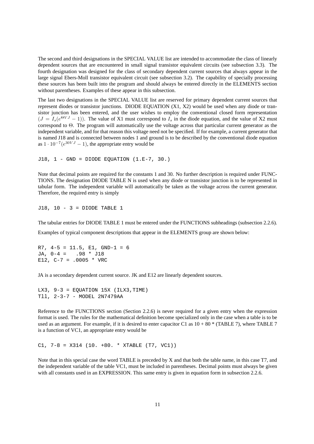The second and third designations in the SPECIAL VALUE list are intended to accommodate the class of linearly dependent sources that are encountered in small signal transistor equivalent circuits (see subsection 3.3). The fourth designation was designed for the class of secondary dependent current sources that always appear in the large signal Ebers-Moll transistor equivalent circuit (see subsection 3.2). The capability of specially processing these sources has been built into the program and should always be entered directly in the ELEMENTS section without parentheses. Examples of these appear in this subsection.

The last two designations in the SPECIAL VALUE list are reserved for primary dependent current sources that represent diodes or transistor junctions. DIODE EQUATION (X1, X2) would be used when any diode or transistor junction has been entered, and the user wishes to employ the conventional closed form representation  $(J = I_s(e^{\Theta VJ} - 1))$ . The value of X1 must correspond to  $I_s$  in the diode equation, and the value of X2 must correspond to Θ. The program will automatically use the voltage across that particular current generator as the independent variable, and for that reason this voltage need not be specified. If for example, a current generator that is named J18 and is connected between nodes 1 and ground is to be described by the conventional diode equation as  $1 \cdot 10^{-7} (e^{30VJ} - 1)$ , the appropriate entry would be

 $J18$ , 1 - GND = DIODE EQUATION (1.E-7, 30.)

Note that decimal points are required for the constants 1 and 30. No further description is required under FUNC-TIONS. The designation DIODE TABLE N is used when any diode or transistor junction is to be represented in tabular form. The independent variable will automatically be taken as the voltage across the current generator. Therefore, the required entry is simply

J18, 10 - 3 = DIODE TABLE 1

The tabular entries for DIODE TABLE 1 must be entered under the FUNCTIONS subheadings (subsection 2.2.6).

Examples of typical component descriptions that appear in the ELEMENTS group are shown below:

R7, 4-5 = 11.5, E1, GND-1 = 6  $JA, 0-4 = .98 * J18$ E12,  $C-7 = .0005 * VRC$ 

JA is a secondary dependent current source. JK and E12 are linearly dependent sources.

LX3,  $9-3 = EQUATION 15X (ILX3, TIME)$ Tll, 2-3-7 - MODEL 2N7479AA

Reference to the FUNCTIONS section (Section 2.2.6) is never required for a given entry when the expression format is used. The rules for the mathematical definition become specialized only in the case when a table is to be used as an argument. For example, if it is desired to enter capacitor C1 as  $10 + 80$  \* (TABLE 7), where TABLE 7 is a function of VC1, an appropriate entry would be

C1, 7-8 = X314 (10. +80. \* XTABLE (T7, VC1))

Note that in this special case the word TABLE is preceded by X and that both the table name, in this case T7, and the independent variable of the table VC1, must be included in parentheses. Decimal points must always be given with all constants used in an EXPRESSION. This same entry is given in equation form in subsection 2.2.6.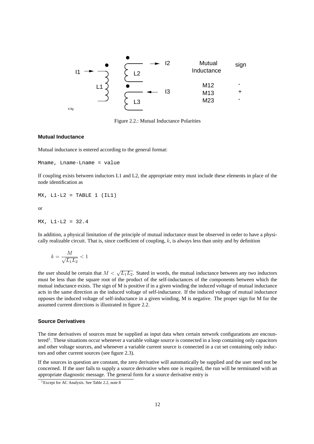

Figure 2.2.: Mutual Inductance Polarities

#### **Mutual Inductance**

Mutual inductance is entered according to the general format:

```
Mname, Lname-Lname = value
```
If coupling exists between inductors L1 and L2, the appropriate entry must include these elements in place of the node identification as

 $MX, L1-L2 = TABLE 1 (IL1)$ 

or

MX, L1-L2 = 32.4

In addition, a physical limitation of the principle of mutual inductance must be observed in order to have a physically realizable circuit. That is, since coefficient of coupling,  $k$ , is always less than unity and by definition

$$
k=\frac{M}{\sqrt{L_1L_2}}<1
$$

the user should be certain that  $M < \sqrt{L_1 L_2}$ . Stated in words, the mutual inductance between any two inductors must be less than the square root of the product of the self-inductances of the components between which the mutual inductance exists. The sign of M is positive if in a given winding the induced voltage of mutual inductance acts in the same direction as the induced voltage of self-inductance. If the induced voltage of mutual inductance opposes the induced voltage of self-inductance in a given winding, M is negative. The proper sign for M for the assumed current directions is illustrated in figure 2.2.

#### **Source Derivatives**

The time derivatives of sources must be supplied as input data when certain network configurations are encountered<sup>1</sup>. These situations occur whenever a variable voltage source is connected in a loop containing only capacitors and other voltage sources, and whenever a variable current source is connected in a cut set containing only inductors and other current sources (see figure 2.3).

If the sources in question are constant, the zero derivative will automatically be supplied and the user need not be concerned. If the user fails to supply a source derivative when one is required, the run will be terminated with an appropriate diagnostic message. The general form for a source derivative entry is

<sup>1</sup>Except for AC Analysis. See Table 2.2, note 8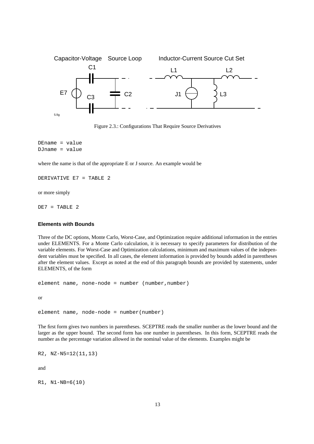

Figure 2.3.: Configurations That Require Source Derivatives

DEname = value DJname = value

where the name is that of the appropriate E or J source. An example would be

```
DERIVATIVE E7 = TABLE 2
```
or more simply

 $DE7 = TABLE$  2

#### **Elements with Bounds**

Three of the DC options, Monte Carlo, Worst-Case, and Optimization require additional information in the entries under ELEMENTS. For a Monte Carlo calculation, it is necessary to specify parameters for distribution of the variable elements. For Worst-Case and Optimization calculations, minimum and maximum values of the independent variables must be specified. In all cases, the element information is provided by bounds added in parentheses after the element values. Except as noted at the end of this paragraph bounds are provided by statements, under ELEMENTS, of the form

```
element name, none-node = number (number, number)
```
or

```
element name, node-node = number(number)
```
The first form gives two numbers in parentheses. SCEPTRE reads the smaller number as the lower bound and the larger as the upper bound. The second form has one number in parentheses. In this form, SCEPTRE reads the number as the percentage variation allowed in the nominal value of the elements. Examples might be

```
R2, NZ-N5=12(11,13)
```
and

```
R1, N1-NB=6(10)
```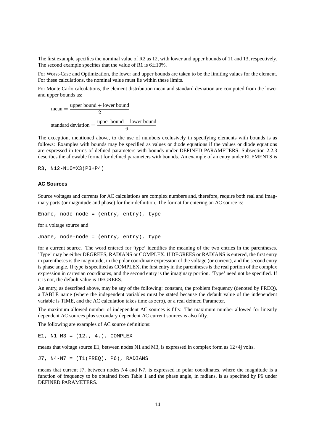The first example specifies the nominal value of R2 as 12, with lower and upper bounds of 11 and 13, respectively. The second example specifies that the value of R1 is  $6\pm10\%$ .

For Worst-Case and Optimization, the lower and upper bounds are taken to be the limiting values for the element. For these calculations, the nominal value must lie within these limits.

For Monte Carlo calculations, the element distribution mean and standard deviation are computed from the lower and upper bounds as:

mean = 
$$
\frac{\text{upper bound} + \text{lower bound}}{2}
$$
  
standard deviation =  $\frac{\text{upper bound} - \text{lower bound}}{6}$ 

The exception, mentioned above, to the use of numbers exclusively in specifying elements with bounds is as follows: Examples with bounds may be specified as values or diode equations if the values or diode equations are expressed in terms of defined parameters with bounds under DEFINED PARAMETERS. Subsection 2.2.3 describes the allowable format for defined parameters with bounds. An example of an entry under ELEMENTS is

R3, N12-N10=X3(P3+P4)

#### **AC Sources**

Source voltages and currents for AC calculations are complex numbers and, therefore, require both real and imaginary parts (or magnitude and phase) for their definition. The format for entering an AC source is:

```
Ename, node-node = (entry, entry), type
```
for a voltage source and

Jname, node-node = (entry, entry), type

for a current source. The word entered for 'type' identifies the meaning of the two entries in the parentheses. 'Type' may be either DEGREES, RADIANS or COMPLEX. If DEGREES or RADIANS is entered, the first entry in parentheses is the magnitude, in the polar coordinate expression of the voltage (or current), and the second entry is phase angle. If type is specified as COMPLEX, the first entry in the parentheses is the real portion of the complex expression in cartesian coordinates, and the second entry is the imaginary portion. 'Type' need not be specified. If it is not, the default value is DEGREES.

An entry, as described above, may be any of the following: constant, the problem frequency (denoted by FREQ), a TABLE name (where the independent variables must be stated because the default value of the independent variable is TIME, and the AC calculation takes time as zero), or a real defined Parameter.

The maximum allowed number of independent AC sources is fifty. The maximum number allowed for linearly dependent AC sources plus secondary dependent AC current sources is also fifty.

The following are examples of AC source definitions:

E1, N1-M3 = (12., 4.), COMPLEX

means that voltage source E1, between nodes N1 and M3, is expressed in complex form as 12+4j volts.

J7, N4-N7 = (T1(FREQ), P6), RADIANS

means that current J7, between nodes N4 and N7, is expressed in polar coordinates, where the magnitude is a function of frequency to be obtained from Table 1 and the phase angle, in radians, is as specified by P6 under DEFINED PARAMETERS.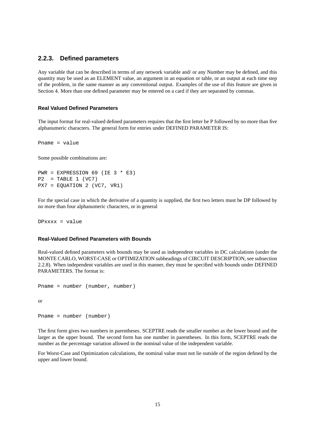#### **2.2.3. Defined parameters**

Any variable that can be described in terms of any network variable and/ or any Number may be defined, and this quantity may be used as an ELEMENT value, an argument in an equation or table, or an output at each time step of the problem, in the same manner as any conventional output. Examples of the use of this feature are given in Section 4. More than one defined parameter may be entered on a card if they are separated by commas.

#### **Real Valued Defined Parameters**

The input format for real-valued defined parameters requires that the first letter be P followed by no more than five alphanumeric characters. The general form for entries under DEFINED PARAMETER IS:

Pname = value

Some possible combinations are:

```
PWR = EXPRESSION 69 (IE 3 * E3)
P2 = TABLE 1 (VC7)PX7 = EQUATION 2 (VC7, VR1)
```
For the special case in which the derivative of a quantity is supplied, the first two letters must be DP followed by no more than four alphanumeric characters, or in general

DPxxxx = value

#### **Real-Valued Defined Parameters with Bounds**

Real-valued defined parameters with bounds may be used as independent variables in DC calculations (under the MONTE CARLO, WORST-CASE or OPTIMIZATION subheadings of CIRCUIT DESCRIPTION, see subsection 2.2.8). When independent variables are used in this manner, they must be specified with bounds under DEFINED PARAMETERS. The format is:

Pname = number (number, number)

or

Pname = number (number)

The first form gives two numbers in parentheses. SCEPTRE reads the smaller number as the lower bound and the larger as the upper bound. The second form has one number in parentheses. In this form, SCEPTRE reads the number as the percentage variation allowed in the nominal value of the independent variable.

For Worst-Case and Optimization calculations, the nominal value must not lie outside of the region defined by the upper and lower bound.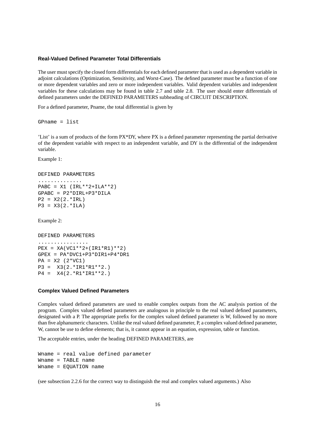#### **Real-Valued Defined Parameter Total Differentials**

The user must specify the closed form differentials for each defined parameter that is used as a dependent variable in adjoint calculations (Optimization, Sensitivity, and Worst-Case). The defined parameter must be a function of one or more dependent variables and zero or more independent variables. Valid dependent variables and independent variables for these calculations may be found in table 2.7 and table 2.8. The user should enter differentials of defined parameters under the DEFINED PARAMETERS subheading of CIRCUIT DESCRIPTION.

For a defined parameter, Pname, the total differential is given by

GPname = list

'List' is a sum of products of the form PX\*DY, where PX is a defined parameter representing the partial derivative of the dependent variable with respect to an independent variable, and DY is the differential of the independent variable.

Example 1:

```
DEFINED PARAMETERS
```

```
..............
PABC = X1 (IRL**2+ILA**2)
GPABC = P2*DIRL+P3*DILA
P2 = X2(2.*IRL)P3 = X3(2.*ILA)
```
Example 2:

```
DEFINED PARAMETERS
................
PEX = XA(VC1**2+(IR1*R1)**2)GPEX = PA*DVC1+P3*DIR1+P4*DR1
PA = X2 (2*VC1)P3 = X3(2.*IR1*R1**2.)P4 = X4(2.*R1*IR1**2.)
```
#### **Complex Valued Defined Parameters**

Complex valued defined parameters are used to enable complex outputs from the AC analysis portion of the program. Complex valued defined parameters are analogous in principle to the real valued defined parameters, designated with a P. The appropriate prefix for the complex valued defined parameter is W, followed by no more than five alphanumeric characters. Unlike the real valued defined parameter, P, a complex valued defined parameter, W, cannot be use to define elements; that is, it cannot appear in an equation, expression, table or function.

The acceptable entries, under the heading DEFINED PARAMETERS, are

Wname = real value defined parameter Wname = TABLE name Wname = EQUATION name

(see subsection 2.2.6 for the correct way to distinguish the real and complex valued arguments.) Also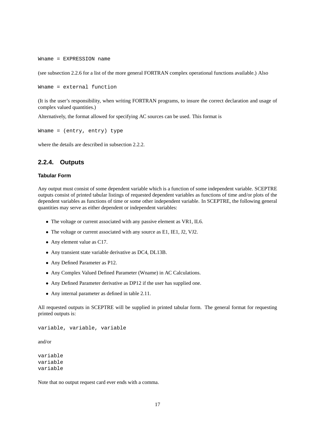Wname = EXPRESSION name

(see subsection 2.2.6 for a list of the more general FORTRAN complex operational functions available.) Also

Wname = external function

(It is the user's responsibility, when writing FORTRAN programs, to insure the correct declaration and usage of complex valued quantities.)

Alternatively, the format allowed for specifying AC sources can be used. This format is

Wname = (entry, entry) type

where the details are described in subsection 2.2.2.

### **2.2.4. Outputs**

#### **Tabular Form**

Any output must consist of some dependent variable which is a function of some independent variable. SCEPTRE outputs consist of printed tabular listings of requested dependent variables as functions of time and/or plots of the dependent variables as functions of time or some other independent variable. In SCEPTRE, the following general quantities may serve as either dependent or independent variables:

- The voltage or current associated with any passive element as VR1, IL6.
- The voltage or current associated with any source as E1, IE1, J2, VJ2.
- Any element value as C17.
- Any transient state variable derivative as DC4, DL13B.
- Any Defined Parameter as P12.
- Any Complex Valued Defined Parameter (Wname) in AC Calculations.
- Any Defined Parameter derivative as DP12 if the user has supplied one.
- Any internal parameter as defined in table 2.11.

All requested outputs in SCEPTRE will be supplied in printed tabular form. The general format for requesting printed outputs is:

```
variable, variable, variable
```
and/or

variable variable variable

Note that no output request card ever ends with a comma.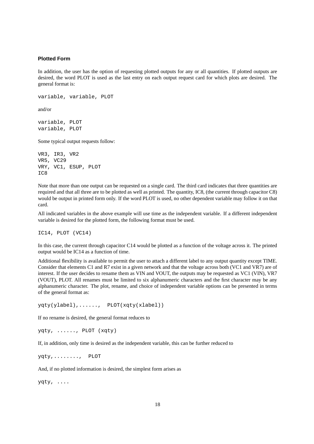#### **Plotted Form**

In addition, the user has the option of requesting plotted outputs for any or all quantities. If plotted outputs are desired, the word PLOT is used as the last entry on each output request card for which plots are desired. The general format is:

```
variable, variable, PLOT
```
and/or

variable, PLOT variable, PLOT

Some typical output requests follow:

```
VR3, IR3, VR2
VR5, VC29
VRY, VC1, ESUP, PLOT
IC8
```
Note that more than one output can be requested on a single card. The third card indicates that three quantities are required and that all three are to be plotted as well as printed. The quantity, IC8, (the current through capacitor C8) would be output in printed form only. If the word PLOT is used, no other dependent variable may follow it on that card.

All indicated variables in the above example will use time as the independent variable. If a different independent variable is desired for the plotted form, the following format must be used.

IC14, PLOT (VC14)

In this case, the current through capacitor C14 would be plotted as a function of the voltage across it. The printed output would be IC14 as a function of time.

Additional flexibility is available to permit the user to attach a different label to any output quantity except TIME. Consider that elements C1 and R7 exist in a given network and that the voltage across both (VC1 and VR7) are of interest. If the user decides to rename them as VIN and VOUT, the outputs may be requested as VC1 (VIN), VR7 (VOUT), PLOT. All renames must be limited to six alphanumeric characters and the first character may be any alphanumeric character. The plot, rename, and choice of independent variable options can be presented in terms of the general format as:

yqty(ylabel),......, PLOT(xqty(xlabel))

If no rename is desired, the general format reduces to

yqty, ......, PLOT (xqty)

If, in addition, only time is desired as the independent variable, this can be further reduced to

yqty,........, PLOT

And, if no plotted information is desired, the simplest form arises as

yqty, ....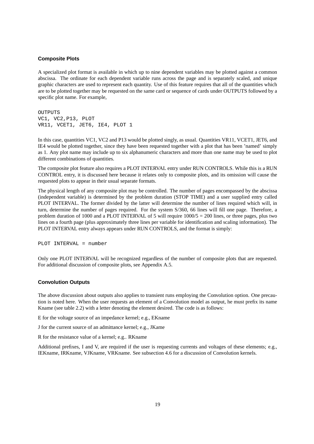#### **Composite Plots**

A specialized plot format is available in which up to nine dependent variables may be plotted against a common abscissa. The ordinate for each dependent variable runs across the page and is separately scaled, and unique graphic characters are used to represent each quantity. Use of this feature requires that all of the quantities which are to be plotted together may be requested on the same card or sequence of cards under OUTPUTS followed by a specific plot name. For example,

OUTPUTS VC1, VC2,P13, PLOT VR11, VCET1, JET6, IE4, PLOT 1

In this case, quantities VC1, VC2 and P13 would be plotted singly, as usual. Quantities VR11, VCET1, JET6, and IE4 would be plotted together, since they have been requested together with a plot that has been 'named' simply as 1. Any plot name may include up to six alphanumeric characters and more than one name may be used to plot different combinations of quantities.

The composite plot feature also requires a PLOT INTERVAL entry under RUN CONTROLS. While this is a RUN CONTROL entry, it is discussed here because it relates only to composite plots, and its omission will cause the requested plots to appear in their usual separate formats.

The physical length of any composite plot may be controlled. The number of pages encompassed by the abscissa (independent variable) is determined by the problem duration (STOP TIME) and a user supplied entry called PLOT INTERVAL. The former divided by the latter will determine the number of lines required which will, in turn, determine the number of pages required. For the system S/360, 66 lines will fill one page. Therefore, a problem duration of 1000 and a PLOT INTERVAL of 5 will require 1000/5 = 200 lines, or three pages, plus two lines on a fourth page (plus approximately three lines per variable for identification and scaling information). The PLOT INTERVAL entry always appears under RUN CONTROLS, and the format is simply:

PLOT INTERVAL = number

Only one PLOT INTERVAL will be recognized regardless of the number of composite plots that are requested. For additional discussion of composite plots, see Appendix A.5.

#### **Convolution Outputs**

The above discussion about outputs also applies to transient runs employing the Convolution option. One precaution is noted here. When the user requests an element of a Convolution model as output, he must prefix its name Kname (see table 2.2) with a letter denoting the element desired. The code is as follows:

E for the voltage source of an impedance kernel; e.g., EKname

J for the current source of an admittance kernel; e.g., JKame

R for the resistance value of a kernel; e.g.. RKname

Additional prefixes, I and V, are required if the user is requesting currents and voltages of these elements; e.g., IEKname, IRKname, VJKname, VRKname. See subsection 4.6 for a discussion of Convolution kernels.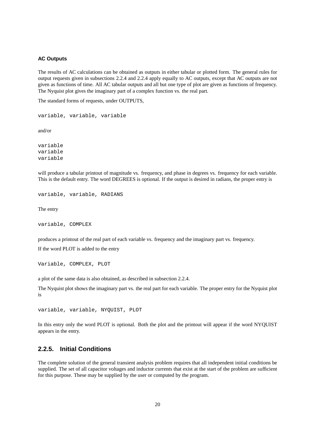#### **AC Outputs**

The results of AC calculations can be obtained as outputs in either tabular or plotted form. The general rules for output requests given in subsections 2.2.4 and 2.2.4 apply equally to AC outputs, except that AC outputs are not given as functions of time. All AC tabular outputs and all but one type of plot are given as functions of frequency. The Nyquist plot gives the imaginary part of a complex function vs. the real part.

The standard forms of requests, under OUTPUTS,

```
variable, variable, variable
```
and/or

variable variable variable

will produce a tabular printout of magnitude vs. frequency, and phase in degrees vs. frequency for each variable. This is the default entry. The word DEGREES is optional. If the output is desired in radians, the proper entry is

variable, variable, RADIANS

The entry

variable, COMPLEX

produces a printout of the real part of each variable vs. frequency and the imaginary part vs. frequency.

If the word PLOT is added to the entry

Variable, COMPLEX, PLOT

a plot of the same data is also obtained, as described in subsection 2.2.4.

The Nyquist plot shows the imaginary part vs. the real part for each variable. The proper entry for the Nyquist plot is

```
variable, variable, NYQUIST, PLOT
```
In this entry only the word PLOT is optional. Both the plot and the printout will appear if the word NYQUIST appears in the entry.

### **2.2.5. Initial Conditions**

The complete solution of the general transient analysis problem requires that all independent initial conditions be supplied. The set of all capacitor voltages and inductor currents that exist at the start of the problem are sufficient for this purpose. These may be supplied by the user or computed by the program.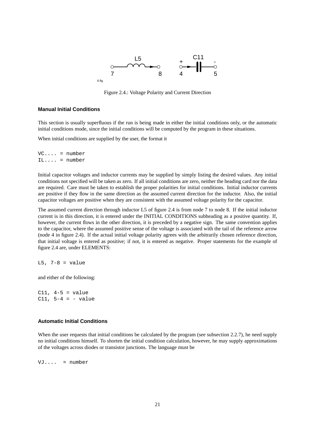

Figure 2.4.: Voltage Polarity and Current Direction

#### **Manual Initial Conditions**

This section is usually superfluous if the run is being made in either the initial conditions only, or the automatic initial conditions mode, since the initial conditions will be computed by the program in these situations.

When initial conditions are supplied by the user, the format it

 $VC...$  = number  $IL... = number$ 

Initial capacitor voltages and inductor currents may be supplied by simply listing the desired values. Any initial conditions not specified will be taken as zero. If all initial conditions are zero, neither the heading card nor the data are required. Care must be taken to establish the proper polarities for initial conditions. Initial inductor currents are positive if they flow in the same direction as the assumed current direction for the inductor. Also, the initial capacitor voltages are positive when they are consistent with the assumed voltage polarity for the capacitor.

The assumed current direction through inductor L5 of figure 2.4 is from node 7 to node 8. If the initial inductor current is in this direction, it is entered under the INITIAL CONDITIONS subheading as a positive quantity. If, however, the current flows in the other direction, it is preceded by a negative sign. The same convention applies to the capacitor, where the assumed positive sense of the voltage is associated with the tail of the reference arrow (node 4 in figure 2.4). If the actual initial voltage polarity agrees with the arbitrarily chosen reference direction, that initial voltage is entered as positive; if not, it is entered as negative. Proper statements for the example of figure 2.4 are, under ELEMENTS:

 $L5$ , 7-8 = value

and either of the following:

 $C11, 4-5 = value$ C11,  $5-4 = -$  value

#### **Automatic Initial Conditions**

When the user requests that initial conditions be calculated by the program (see subsection 2.2.7), he need supply no initial conditions himself. To shorten the initial condition calculation, however, he may supply approximations of the voltages across diodes or transistor junctions. The language must be

 $VJ...$  = number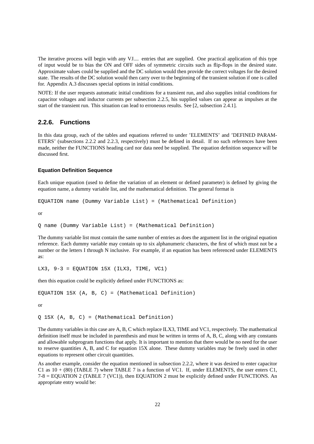The iterative process will begin with any VJ.... entries that are supplied. One practical application of this type of input would be to bias the ON and OFF sides of symmetric circuits such as flip-flops in the desired state. Approximate values could be supplied and the DC solution would then provide the correct voltages for the desired state. The results of the DC solution would then carry over to the beginning of the transient solution if one is called for. Appendix A.3 discusses special options in initial conditions.

NOTE: If the user requests automatic initial conditions for a transient run, and also supplies initial conditions for capacitor voltages and inductor currents per subsection 2.2.5, his supplied values can appear as impulses at the start of the transient run. This situation can lead to erroneous results. See [2, subsection 2.4.1].

#### **2.2.6. Functions**

In this data group, each of the tables and equations referred to under 'ELEMENTS' and 'DEFINED PARAM-ETERS' (subsections 2.2.2 and 2.2.3, respectively) must be defined in detail. If no such references have been made, neither the FUNCTIONS heading card nor data need be supplied. The equation definition sequence will be discussed first.

#### **Equation Definition Sequence**

Each unique equation (used to define the variation of an element or defined parameter) is defined by giving the equation name, a dummy variable list, and the mathematical definition. The general format is

EQUATION name (Dummy Variable List) = (Mathematical Definition)

or

```
Q name (Dummy Variable List) = (Mathematical Definition)
```
The dummy variable list must contain the same number of entries as does the argument list in the original equation reference. Each dummy variable may contain up to six alphanumeric characters, the first of which must not be a number or the letters I through N inclusive. For example, if an equation has been referenced under ELEMENTS as:

```
LX3, 9-3 = EQUATION 15X (ILX3, TIME, VC1)
```
then this equation could be explicitly defined under FUNCTIONS as:

EQUATION 15X  $(A, B, C) = (Mathematical Definition)$ 

or

Q 15X (A, B, C) = (Mathematical Definition)

The dummy variables in this case are A, B, C which replace ILX3, TIME and VC1, respectively. The mathematical definition itself must be included in parenthesis and must be written in terms of A, B, C, along with any constants and allowable subprogram functions that apply. It is important to mention that there would be no need for the user to reserve quantities A, B, and C for equation 15X alone. These dummy variables may be freely used in other equations to represent other circuit quantities.

As another example, consider the equation mentioned in subsection 2.2.2, where it was desired to enter capacitor C1 as  $10 + (80)$  (TABLE 7) where TABLE 7 is a function of VC1. If, under ELEMENTS, the user enters C1, 7-8 = EQUATION 2 (TABLE 7 (VC1)), then EQUATION 2 must be explicitly defined under FUNCTIONS. An appropriate entry would be: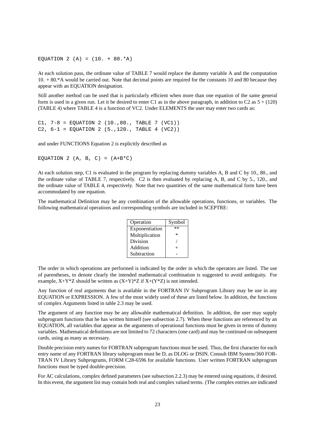EQUATION 2 (A) =  $(10. + 80.*A)$ 

At each solution pass, the ordinate value of TABLE 7 would replace the dummy variable A and the computation 10. + 80.\*A would be carried out. Note that decimal points are required for the constants 10 and 80 because they appear with an EQUATION designation.

Still another method can be used that is particularly efficient when more than one equation of the same general form is used in a given run. Let it be desired to enter C1 as in the above paragraph, in addition to C2 as  $5 + (120)$ (TABLE 4) where TABLE 4 is a function of VC2. Under ELEMENTS the user may enter two cards as:

C1, 7-8 = EQUATION 2 (10.,80., TABLE 7 (VC1)) C2, 6-1 = EQUATION 2 (5.,120., TABLE 4 (VC2))

and under FUNCTIONS Equation 2 is explicitly described as

EQUATION 2  $(A, B, C) = (A+B*C)$ 

At each solution step, C1 is evaluated in the program by replacing dummy variables A, B and C by 10., 80., and the ordinate value of TABLE 7, respectively. C2 is then evaluated by replacing A, B, and C by 5., 120., and the ordinate value of TABLE 4, respectively. Note that two quantities of the same mathematical form have been accommodated by one equation.

The mathematical Definition may be any combination of the allowable operations, functions, or variables. The following mathematical operations and corresponding symbols are included in SCEPTRE:

| Operation      | Symbol |
|----------------|--------|
| Exponentiation | $**$   |
| Multiplication | ∗      |
| Division       |        |
| Addition       | ┶      |
| Subtraction    |        |

The order in which operations are performed is indicated by the order in which the operators are listed. The use of parentheses, to denote clearly the intended mathematical combination is suggested to avoid ambiguity. For example,  $X+Y^*Z$  should be written as  $(X+Y)^*Z$  if  $X+(Y^*Z)$  is not intended.

Any function of real arguments that is available in the FORTRAN IV Subprogram Library may be use in any EQUATION or EXPRESSION. A few of the most widely used of these are listed below. In addition, the functions of complex Arguments listed in table 2.3 may be used.

The argument of any function may be any allowable mathematical definition. In addition, the user may supply subprogram functions that he has written himself (see subsection 2.7). When these functions are referenced by an EQUATION, all variables that appear as the arguments of operational functions must be given in terms of dummy variables. Mathematical definitions are not limited to 72 characters (one card) and may be continued on subsequent cards, using as many as necessary.

Double precision entry names for FORTRAN subprogram functions must be used. Thus, the first character for each entry name of any FORTRAN library subprogram must be D, as DLOG or DSIN. Consult IBM System/360 FOR-TRAN IV Library Subprograms, FORM C28-6596 for available functions. User written FORTRAN subprogram functions must be typed double-precision.

For AC calculations, complex defined parameters (see subsection 2.2.3) may be entered using equations, if desired. In this event, the argument list may contain both real and complex valued terms. (The complex entries are indicated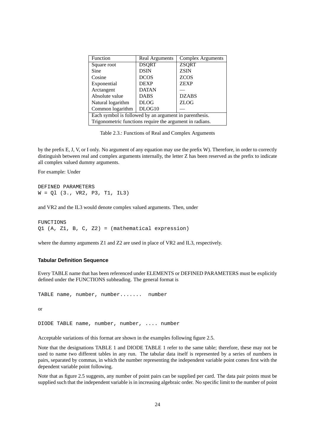| Function                                                 | <b>Real Arguments</b> | <b>Complex Arguments</b> |  |  |  |
|----------------------------------------------------------|-----------------------|--------------------------|--|--|--|
| Square root                                              | <b>DSQRT</b>          | <b>ZSQRT</b>             |  |  |  |
| Sine                                                     | <b>DSIN</b>           | <b>ZSIN</b>              |  |  |  |
| Cosine                                                   | <b>DCOS</b>           | <b>ZCOS</b>              |  |  |  |
| Exponential                                              | <b>DEXP</b>           | <b>ZEXP</b>              |  |  |  |
| Arctangent                                               | <b>DATAN</b>          |                          |  |  |  |
| Absolute value                                           | <b>DABS</b>           | <b>DZABS</b>             |  |  |  |
| Natural logarithm                                        | <b>DLOG</b>           | <b>ZLOG</b>              |  |  |  |
| Common logarithm                                         | DLOG10                |                          |  |  |  |
| Each symbol is followed by an argument in parenthesis.   |                       |                          |  |  |  |
| Trigonometric functions require the argument in radians. |                       |                          |  |  |  |

Table 2.3.: Functions of Real and Complex Arguments

by the prefix E, J, V, or I only. No argument of any equation may use the prefix W). Therefore, in order to correctly distinguish between real and complex arguments internally, the letter Z has been reserved as the prefix to indicate all complex valued dummy arguments.

For example: Under

DEFINED PARAMETERS W = Ql (3., VR2, P3, T1, IL3)

and VR2 and the IL3 would denote complex valued arguments. Then, under

FUNCTIONS  $Q1$  (A, Z1, B, C, Z2) = (mathematical expression)

where the dummy arguments Z1 and Z2 are used in place of VR2 and IL3, respectively.

#### **Tabular Definition Sequence**

Every TABLE name that has been referenced under ELEMENTS or DEFINED PARAMETERS must be explicitly defined under the FUNCTIONS subheading. The general format is

TABLE name, number, number....... number

or

DIODE TABLE name, number, number, .... number

Acceptable variations of this format are shown in the examples following figure 2.5.

Note that the designations TABLE 1 and DIODE TABLE 1 refer to the same table; therefore, these may not be used to name two different tables in any run. The tabular data itself is represented by a series of numbers in pairs, separated by commas, in which the number representing the independent variable point comes first with the dependent variable point following.

Note that as figure 2.5 suggests, any number of point pairs can be supplied per card. The data pair points must be supplied such that the independent variable is in increasing algebraic order. No specific limit to the number of point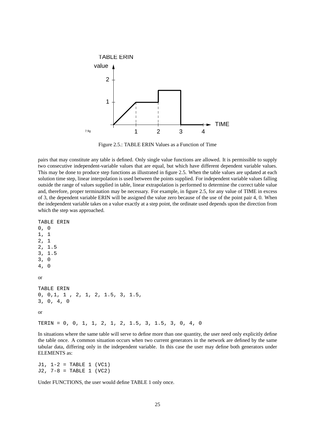

Figure 2.5.: TABLE ERIN Values as a Function of Time

pairs that may constitute any table is defined. Only single value functions are allowed. It is permissible to supply two consecutive independent-variable values that are equal, but which have different dependent variable values. This may be done to produce step functions as illustrated in figure 2.5. When the table values are updated at each solution time step, linear interpolation is used between the points supplied. For independent variable values falling outside the range of values supplied in table, linear extrapolation is performed to determine the correct table value and, therefore, proper termination may be necessary. For example, in figure 2.5, for any value of TIME in excess of 3, the dependent variable ERIN will be assigned the value zero because of the use of the point pair 4, 0. When the independent variable takes on a value exactly at a step point, the ordinate used depends upon the direction from which the step was approached.

```
TABLE ERIN
0, 0
1, 1
2, 1
2, 1.5
3, 1.5
3, 0
4, 0
or
TABLE ERIN
0, 0,1, 1 , 2, 1, 2, 1.5, 3, 1.5,
3, 0, 4, 0
or
TERIN = 0, 0, 1, 1, 2, 1, 2, 1.5, 3, 1.5, 3, 0, 4, 0
```
In situations where the same table will serve to define more than one quantity, the user need only explicitly define the table once. A common situation occurs when two current generators in the network are defined by the same tabular data, differing only in the independent variable. In this case the user may define both generators under ELEMENTS as:

J1, 1-2 = TABLE 1 (VC1) J2, 7-8 = TABLE 1 (VC2)

Under FUNCTIONS, the user would define TABLE 1 only once.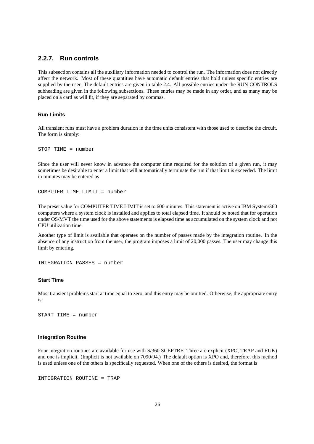#### **2.2.7. Run controls**

This subsection contains all the auxiliary information needed to control the run. The information does not directly affect the network. Most of these quantities have automatic default entries that hold unless specific entries are supplied by the user. The default entries are given in table 2.4. All possible entries under the RUN CONTROLS subheading are given in the following subsections. These entries may be made in any order, and as many may be placed on a card as will fit, if they are separated by commas.

#### **Run Limits**

All transient runs must have a problem duration in the time units consistent with those used to describe the circuit. The form is simply:

STOP TIME = number

Since the user will never know in advance the computer time required for the solution of a given run, it may sometimes be desirable to enter a limit that will automatically terminate the run if that limit is exceeded. The limit in minutes may be entered as

COMPUTER TIME LIMIT = number

The preset value for COMPUTER TIME LIMIT is set to 600 minutes. This statement is active on IBM System/360 computers where a system clock is installed and applies to total elapsed time. It should be noted that for operation under OS/MVT the time used for the above statements is elapsed time as accumulated on the system clock and not CPU utilization time.

Another type of limit is available that operates on the number of passes made by the integration routine. In the absence of any instruction from the user, the program imposes a limit of 20,000 passes. The user may change this limit by entering.

```
INTEGRATION PASSES = number
```
#### **Start Time**

Most transient problems start at time equal to zero, and this entry may be omitted. Otherwise, the appropriate entry is:

START TIME = number

#### **Integration Routine**

Four integration routines are available for use with S/360 SCEPTRE. Three are explicit (XPO, TRAP and RUK) and one is implicit. (Implicit is not available on 7090/94.) The default option is XPO and, therefore, this method is used unless one of the others is specifically requested. When one of the others is desired, the format is

```
INTEGRATION ROUTINE = TRAP
```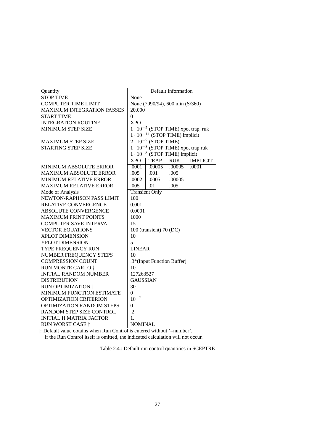| Quantity                          | <b>Default Information</b>                   |                                        |            |                                              |  |
|-----------------------------------|----------------------------------------------|----------------------------------------|------------|----------------------------------------------|--|
| <b>STOP TIME</b>                  | None                                         |                                        |            |                                              |  |
| <b>COMPUTER TIME LIMIT</b>        | None (7090/94), 600 min (S/360)              |                                        |            |                                              |  |
| <b>MAXIMUM INTEGRATION PASSES</b> |                                              | 20,000                                 |            |                                              |  |
| <b>START TIME</b>                 | $\overline{0}$                               |                                        |            |                                              |  |
| <b>INTEGRATION ROUTINE</b>        | <b>XPO</b>                                   |                                        |            |                                              |  |
| <b>MINIMUM STEP SIZE</b>          | $1 \cdot 10^{-5}$ (STOP TIME) xpo, trap, ruk |                                        |            |                                              |  |
|                                   | $1 \cdot 10^{-14}$ (STOP TIME) implicit      |                                        |            |                                              |  |
| <b>MAXIMUM STEP SIZE</b>          |                                              | $2 \cdot 10^{-2}$ (STOP TIME)          |            |                                              |  |
| <b>STARTING STEP SIZE</b>         |                                              |                                        |            | $1 \cdot 10^{-8}$ (STOP TIME) xpo, trap, ruk |  |
|                                   |                                              | $1 \cdot 10^{-8}$ (STOP TIME) implicit |            |                                              |  |
|                                   | <b>XPO</b>                                   | <b>TRAP</b>                            | <b>RUK</b> | <b>IMPLICIT</b>                              |  |
| <b>MINIMUM ABSOLUTE ERROR</b>     | .0001                                        | .00005                                 | .00005     | .0001                                        |  |
| <b>MAXIMUM ABSOLUTE ERROR</b>     | .005                                         | .001                                   | .005       |                                              |  |
| <b>MINIMUM RELATIVE ERROR</b>     | .0002                                        | .0005                                  | .00005     |                                              |  |
| <b>MAXIMUM RELATIVE ERROR</b>     | .005                                         | .01                                    | .005       |                                              |  |
| Mode of Analysis                  |                                              | <b>Transient Only</b>                  |            |                                              |  |
| NEWTON-RAPHSON PASS LIMIT         | 100                                          |                                        |            |                                              |  |
| <b>RELATIVE CONVERGENCE</b>       | 0.001                                        |                                        |            |                                              |  |
| <b>ABSOLUTE CONVERGENCE</b>       | 0.0001                                       |                                        |            |                                              |  |
| <b>MAXIMUM PRINT POINTS</b>       | 1000                                         |                                        |            |                                              |  |
| <b>COMPUTER SAVE INTERVAL</b>     | 15                                           |                                        |            |                                              |  |
| <b>VECTOR EQUATIONS</b>           |                                              | 100 (transient) 70 (DC)                |            |                                              |  |
| <b>XPLOT DIMENSION</b>            | 10                                           |                                        |            |                                              |  |
| YPLOT DIMENSION                   | 5                                            |                                        |            |                                              |  |
| TYPE FREQUENCY RUN                | <b>LINEAR</b>                                |                                        |            |                                              |  |
| NUMBER FREQUENCY STEPS            | 10                                           |                                        |            |                                              |  |
| <b>COMPRESSION COUNT</b>          | .3*(Input Function Buffer)                   |                                        |            |                                              |  |
| RUN MONTE CARLO †                 | 10                                           |                                        |            |                                              |  |
| <b>INITIAL RANDOM NUMBER</b>      | 127263527                                    |                                        |            |                                              |  |
| <b>DISTRIBUTION</b>               | <b>GAUSSIAN</b>                              |                                        |            |                                              |  |
| RUN OPTIMIZATION †                | 30                                           |                                        |            |                                              |  |
| MINIMUM FUNCTION ESTIMATE         | $\boldsymbol{0}$                             |                                        |            |                                              |  |
| OPTIMIZATION CRITERION            | $10^{-7}$                                    |                                        |            |                                              |  |
| <b>OPTIMIZATION RANDOM STEPS</b>  | $\theta$                                     |                                        |            |                                              |  |
| RANDOM STEP SIZE CONTROL          | $\cdot$                                      |                                        |            |                                              |  |
| <b>INITIAL H MATRIX FACTOR</b>    | 1.                                           |                                        |            |                                              |  |
| <b>RUN WORST CASE †</b>           | <b>NOMINAL</b>                               |                                        |            |                                              |  |

†: Default value obtains when Run Control is entered without '=number'.

If the Run Control itself is omitted, the indicated calculation will not occur.

Table 2.4.: Default run control quantities in SCEPTRE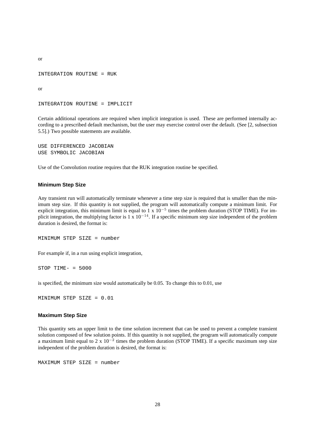or

```
INTEGRATION ROUTINE = RUK
```
or

```
INTEGRATION ROUTINE = IMPLICIT
```
Certain additional operations are required when implicit integration is used. These are performed internally according to a prescribed default mechanism, but the user may exercise control over the default. (See [2, subsection 5.5].) Two possible statements are available.

```
USE DIFFERENCED JACOBIAN
USE SYMBOLIC JACOBIAN
```
Use of the Convolution routine requires that the RUK integration routine be specified.

#### **Minimum Step Size**

Any transient run will automatically terminate whenever a time step size is required that is smaller than the minimum step size. If this quantity is not supplied, the program will automatically compute a minimum limit. For explicit integration, this minimum limit is equal to  $1 \times 10^{-5}$  times the problem duration (STOP TIME). For implicit integration, the multiplying factor is 1 x  $10^{-14}$ . If a specific minimum step size independent of the problem duration is desired, the format is:

```
MINIMUM STEP SIZE = number
```
For example if, in a run using explicit integration,

STOP TIME- = 5000

is specified, the minimum size would automatically be 0.05. To change this to 0.01, use

MINIMUM STEP SIZE = 0.01

#### **Maximum Step Size**

This quantity sets an upper limit to the time solution increment that can be used to prevent a complete transient solution composed of few solution points. If this quantity is not supplied, the program will automatically compute a maximum limit equal to 2 x  $10^{-2}$  times the problem duration (STOP TIME). If a specific maximum step size independent of the problem duration is desired, the format is:

MAXIMUM STEP SIZE = number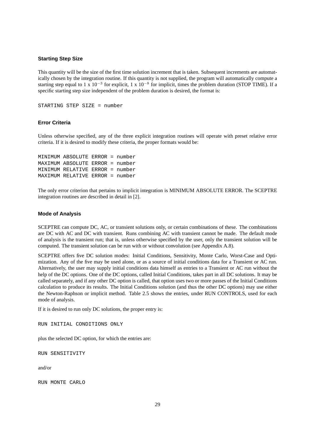#### **Starting Step Size**

This quantity will be the size of the first time solution increment that is taken. Subsequent increments are automatically chosen by the integration routine. If this quantity is not supplied, the program will automatically compute a starting step equal to 1 x  $10^{-3}$  for explicit, 1 x  $10^{-8}$  for implicit, times the problem duration (STOP TIME). If a specific starting step size independent of the problem duration is desired, the format is:

```
STARTING STEP SIZE = number
```
#### **Error Criteria**

Unless otherwise specified, any of the three explicit integration routines will operate with preset relative error criteria. If it is desired to modify these criteria, the proper formats would be:

```
MINIMUM ABSOLUTE ERROR = number
MAXIMUM ABSOLUTE ERROR = number
MINIMUM RELATIVE ERROR = number
MAXIMUM RELATIVE ERROR = number
```
The only error criterion that pertains to implicit integration is MINIMUM ABSOLUTE ERROR. The SCEPTRE integration routines are described in detail in [2].

#### **Mode of Analysis**

SCEPTRE can compute DC, AC, or transient solutions only, or certain combinations of these. The combinations are DC with AC and DC with transient. Runs combining AC with transient cannot be made. The default mode of analysis is the transient run; that is, unless otherwise specified by the user, only the transient solution will be computed. The transient solution can be run with or without convolution (see Appendix A.8).

SCEPTRE offers five DC solution modes: Initial Conditions, Sensitivity, Monte Carlo, Worst-Case and Optimization. Any of the five may be used alone, or as a source of initial conditions data for a Transient or AC run. Alternatively, the user may supply initial conditions data himself as entries to a Transient or AC run without the help of the DC options. One of the DC options, called Initial Conditions, takes part in all DC solutions. It may be called separately, and if any other DC option is called, that option uses two or more passes of the Initial Conditions calculation to produce its results. The Initial Conditions solution (and thus the other DC options) may use either the Newton-Raphson or implicit method. Table 2.5 shows the entries, under RUN CONTROLS, used for each mode of analysis.

If it is desired to run only DC solutions, the proper entry is:

RUN INITIAL CONDITIONS ONLY

plus the selected DC option, for which the entries are:

RUN SENSITIVITY

and/or

RUN MONTE CARLO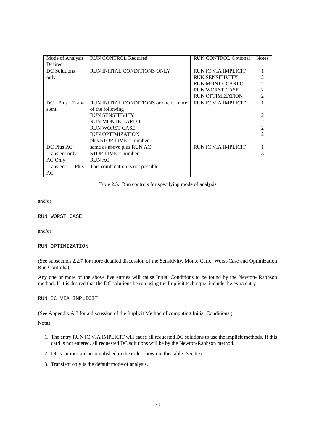| Mode of Analysis     | <b>RUN CONTROL Required</b>           | <b>RUN CONTROL Optional</b> | <b>Notes</b>                |
|----------------------|---------------------------------------|-----------------------------|-----------------------------|
| Desired              |                                       |                             |                             |
| <b>DC</b> Solutions  | RUN INITIAL CONDITIONS ONLY           | RUN IC VIA IMPLICIT         |                             |
| only                 |                                       | <b>RUN SENSITIVITY</b>      | $\mathcal{D}_{\mathcal{L}}$ |
|                      |                                       | <b>RUN MONTE CARLO</b>      | $\overline{2}$              |
|                      |                                       | <b>RUN WORST CASE</b>       | $\overline{2}$              |
|                      |                                       | <b>RUN OPTIMIZATION</b>     | $\mathfrak{D}$              |
| Plus<br>Tran-<br>DC. | RUN INITIAL CONDITIONS or one or more | RUN IC VIA IMPLICIT         |                             |
| sient                | of the following                      |                             |                             |
|                      | <b>RUN SENSITIVITY</b>                |                             | 2                           |
|                      | RUN MONTE CARLO                       |                             | $\overline{2}$              |
|                      | <b>RUN WORST CASE</b>                 |                             | $\overline{2}$              |
|                      | <b>RUN OPTIMIZATION</b>               |                             | $\mathcal{D}$               |
|                      | plus STOP TIME $=$ number             |                             |                             |
| DC Plus AC           | same as above plus RUN AC             | <b>RUN IC VIA IMPLICIT</b>  |                             |
| Transient only       | $STOP TIME = number$                  |                             | 3                           |
| AC Only              | <b>RUN AC</b>                         |                             |                             |
| Transient<br>Plus    | This combination is not possible      |                             |                             |
| AC                   |                                       |                             |                             |

Table 2.5.: Run controls for specifying mode of analysis

and/or

RUN WORST CASE

and/or

RUN OPTIMIZATION

(See subsection 2.2.7 for more detailed discussion of the Sensitivity, Monte Carlo, Worst-Case and Optimization Run Controls.)

Any one or more of the above five entries will cause Initial Conditions to be found by the Newton- Raphson method. If it is desired that the DC solutions be run using the Implicit technique, include the extra entry

RUN IC VIA IMPLICIT

(See Appendix A.3 for a discussion of the Implicit Method of computing Initial Conditions.)

## Notes:

- 1. The entry RUN IC VIA IMPLICIT will cause all requested DC solutions to use the implicit methods. If this card is not entered, all requested DC solutions will be by the Newton-Raphson method.
- 2. DC solutions are accomplished in the order shown in this table. See text.
- 3. Transient only is the default mode of analysis.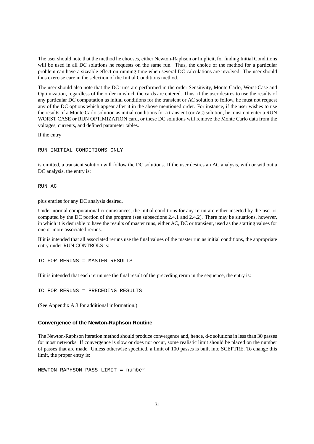The user should note that the method he chooses, either Newton-Raphson or Implicit, for finding Initial Conditions will be used in all DC solutions he requests on the same run. Thus, the choice of the method for a particular problem can have a sizeable effect on running time when several DC calculations are involved. The user should thus exercise care in the selection of the Initial Conditions method.

The user should also note that the DC runs are performed in the order Sensitivity, Monte Carlo, Worst-Case and Optimization, regardless of the order in which the cards are entered. Thus, if the user desires to use the results of any particular DC computation as initial conditions for the transient or AC solution to follow, he must not request any of the DC options which appear after it in the above mentioned order. For instance, if the user wishes to use the results of a Monte Carlo solution as initial conditions for a transient (or AC) solution, he must not enter a RUN WORST CASE or RUN OPTIMIZATION card, or these DC solutions will remove the Monte Carlo data from the voltages, currents, and defined parameter tables.

If the entry

RUN INITIAL CONDITIONS ONLY

is omitted, a transient solution will follow the DC solutions. If the user desires an AC analysis, with or without a DC analysis, the entry is:

RUN AC

plus entries for any DC analysis desired.

Under normal computational circumstances, the initial conditions for any rerun are either inserted by the user or computed by the DC portion of the program (see subsections 2.4.1 and 2.4.2). There may be situations, however, in which it is desirable to have the results of master runs, either AC, DC or transient, used as the starting values for one or more associated reruns.

If it is intended that all associated reruns use the final values of the master run as initial conditions, the appropriate entry under RUN CONTROLS is:

IC FOR RERUNS = MASTER RESULTS

If it is intended that each rerun use the final result of the preceding rerun in the sequence, the entry is:

IC FOR RERUNS = PRECEDING RESULTS

(See Appendix A.3 for additional information.)

#### **Convergence of the Newton-Raphson Routine**

The Newton-Raphson iteration method should produce convergence and, hence, d-c solutions in less than 30 passes for most networks. If convergence is slow or does not occur, some realistic limit should be placed on the number of passes that are made. Unless otherwise specified, a limit of 100 passes is built into SCEPTRE. To change this limit, the proper entry is:

NEWTON-RAPHSON PASS LIMIT = number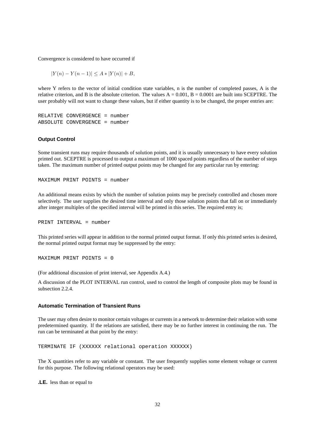Convergence is considered to have occurred if

$$
|Y(n) - Y(n-1)| \le A * |Y(n)| + B,
$$

where Y refers to the vector of initial condition state variables, n is the number of completed passes, A is the relative criterion, and B is the absolute criterion. The values  $A = 0.001$ ,  $B = 0.0001$  are built into SCEPTRE. The user probably will not want to change these values, but if either quantity is to be changed, the proper entries are:

RELATIVE CONVERGENCE = number ABSOLUTE CONVERGENCE = number

#### **Output Control**

Some transient runs may require thousands of solution points, and it is usually unnecessary to have every solution printed out. SCEPTRE is processed to output a maximum of 1000 spaced points regardless of the number of steps taken. The maximum number of printed output points may be changed for any particular run by entering:

MAXIMUM PRINT POINTS = number

An additional means exists by which the number of solution points may be precisely controlled and chosen more selectively. The user supplies the desired time interval and only those solution points that fall on or immediately after integer multiples of the specified interval will be printed in this series. The required entry is;

PRINT INTERVAL = number

This printed series will appear in addition to the normal printed output format. If only this printed series is desired, the normal printed output format may be suppressed by the entry:

MAXIMUM PRINT POINTS = 0

(For additional discussion of print interval, see Appendix A.4.)

A discussion of the PLOT INTERVAL run control, used to control the length of composite plots may be found in subsection 2.2.4.

### **Automatic Termination of Transient Runs**

The user may often desire to monitor certain voltages or currents in a network to determine their relation with some predetermined quantity. If the relations are satisfied, there may be no further interest in continuing the run. The run can be terminated at that point by the entry:

TERMINATE IF (XXXXXX relational operation XXXXXX)

The X quantities refer to any variable or constant. The user frequently supplies some element voltage or current for this purpose. The following relational operators may be used:

**.LE.** less than or equal to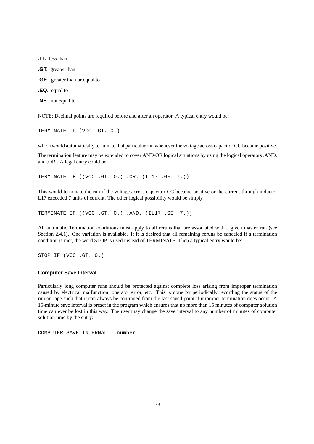**.LT.** less than

**.GT.** greater than

**.GE.** greater than or equal to

**.EQ.** equal to

**.NE.** not equal to

NOTE: Decimal points are required before and after an operator. A typical entry would be:

TERMINATE IF (VCC .GT. 0.)

which would automatically terminate that particular run whenever the voltage across capacitor CC became positive.

The termination feature may be extended to cover AND/OR logical situations by using the logical operators .AND. and .OR.. A legal entry could be:

TERMINATE IF ((VCC .GT. 0.) .OR. (IL17 .GE. 7.))

This would terminate the run if the voltage across capacitor CC became positive or the current through inductor L17 exceeded 7 units of current. The other logical possibility would be simply

TERMINATE IF ((VCC .GT. 0.) .AND. (IL17 .GE. 7.))

All automatic Termination conditions must apply to all reruns that are associated with a given master run (see Section 2.4.1). One variation is available. If it is desired that all remaining reruns be canceled if a termination condition is met, the word STOP is used instead of TERMINATE. Then a typical entry would be:

STOP IF (VCC .GT. 0.)

#### **Computer Save Interval**

Particularly long computer runs should be protected against complete loss arising from improper termination caused by electrical malfunction, operator error, etc. This is done by periodically recording the status of the run on tape such that it can always be continued from the last saved point if improper termination does occur. A 15-minute save interval is preset in the program which ensures that no more than 15 minutes of computer solution time can ever be lost in this way. The user may change the save interval to any number of minutes of computer solution time by the entry:

```
COMPUTER SAVE INTERNAL = number
```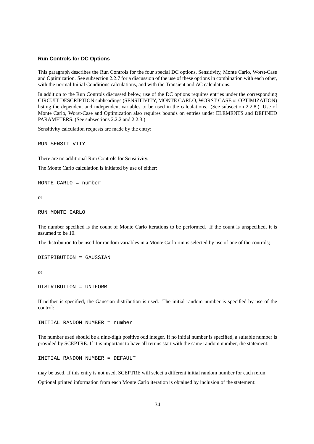#### **Run Controls for DC Options**

This paragraph describes the Run Controls for the four special DC options, Sensitivity, Monte Carlo, Worst-Case and Optimization. See subsection 2.2.7 for a discussion of the use of these options in combination with each other, with the normal Initial Conditions calculations, and with the Transient and AC calculations.

In addition to the Run Controls discussed below, use of the DC options requires entries under the corresponding CIRCUIT DESCRIPTION subheadings (SENSITIVITY, MONTE CARLO, WORST-CASE or OPTIMIZATION) listing the dependent and independent variables to be used in the calculations. (See subsection 2.2.8.) Use of Monte Carlo, Worst-Case and Optimization also requires bounds on entries under ELEMENTS and DEFINED PARAMETERS. (See subsections 2.2.2 and 2.2.3.)

Sensitivity calculation requests are made by the entry:

RUN SENSITIVITY

There are no additional Run Controls for Sensitivity.

The Monte Carlo calculation is initiated by use of either:

MONTE CARLO = number

or

RUN MONTE CARLO

The number specified is the count of Monte Carlo iterations to be performed. If the count is unspecified, it is assumed to be 10.

The distribution to be used for random variables in a Monte Carlo run is selected by use of one of the controls;

DISTRIBUTION = GAUSSIAN

or

DISTRIBUTION = UNIFORM

If neither is specified, the Gaussian distribution is used. The initial random number is specified by use of the control:

INITIAL RANDOM NUMBER = number

The number used should be a nine-digit positive odd integer. If no initial number is specified, a suitable number is provided by SCEPTRE. If it is important to have all reruns start with the same random number, the statement:

INITIAL RANDOM NUMBER = DEFAULT

may be used. If this entry is not used, SCEPTRE will select a different initial random number for each rerun.

Optional printed information from each Monte Carlo iteration is obtained by inclusion of the statement: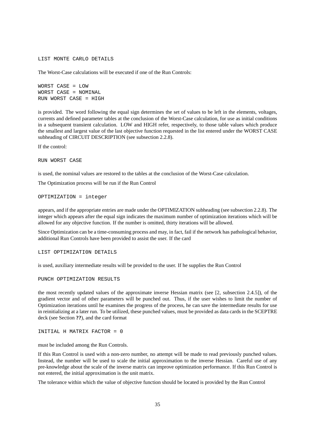LIST MONTE CARLO DETAILS

The Worst-Case calculations will be executed if one of the Run Controls:

WORST CASE = LOW WORST CASE = NOMINAL RUN WORST CASE = HIGH

is provided. The word following the equal sign determines the set of values to be left in the elements, voltages, currents and defined parameter tables at the conclusion of the Worst-Case calculation, for use as initial conditions in a subsequent transient calculation. LOW and HIGH refer, respectively, to those table values which produce the smallest and largest value of the last objective function requested in the list entered under the WORST CASE subheading of CIRCUIT DESCRIPTION (see subsection 2.2.8).

If the control:

RUN WORST CASE

is used, the nominal values are restored to the tables at the conclusion of the Worst-Case calculation.

The Optimization process will be run if the Run Control

OPTIMIZATION = integer

appears, and if the appropriate entries are made under the OPTIMIZATION subheading (see subsection 2.2.8). The integer which appears after the equal sign indicates the maximum number of optimization iterations which will be allowed for any objective function. If the number is omitted, thirty iterations will be allowed.

Since Optimization can be a time-consuming process and may, in fact, fail if the network has pathological behavior, additional Run Controls have been provided to assist the user. If the card

LIST OPTIMIZATI0N DETAILS

is used, auxiliary intermediate results will be provided to the user. If he supplies the Run Control

PUNCH OPTIMIZATION RESULTS

the most recently updated values of the approximate inverse Hessian matrix (see [2, subsection 2.4.5]), of the gradient vector and of other parameters will be punched out. Thus, if the user wishes to limit the number of Optimization iterations until he examines the progress of the process, he can save the intermediate results for use in reinitializing at a later run. To be utilized, these punched values, must be provided as data cards in the SCEPTRE deck (see Section **??**), and the card format

INITIAL H MATRIX FACTOR = 0

must be included among the Run Controls.

If this Run Control is used with a non-zero number, no attempt will be made to read previously punched values. Instead, the number will be used to scale the initial approximation to the inverse Hessian. Careful use of any pre-knowledge about the scale of the inverse matrix can improve optimization performance. If this Run Control is not entered, the initial approximation is the unit matrix.

The tolerance within which the value of objective function should be located is provided by the Run Control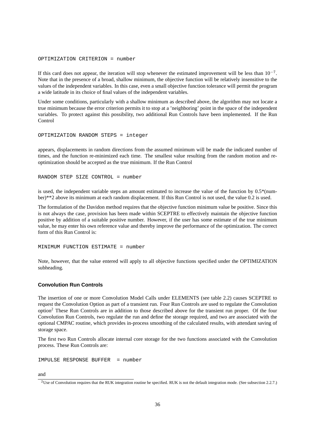OPTIMIZATION CRITERION = number

If this card does not appear, the iteration will stop whenever the estimated improvement will be less than  $10^{-7}$ . Note that in the presence of a broad, shallow minimum, the objective function will be relatively insensitive to the values of the independent variables. In this case, even a small objective function tolerance will permit the program a wide latitude in its choice of final values of the independent variables.

Under some conditions, particularly with a shallow minimum as described above, the algorithm may not locate a true minimum because the error criterion permits it to stop at a 'neighboring' point in the space of the independent variables. To protect against this possibility, two additional Run Controls have been implemented. If the Run Control

OPTIMIZATION RANDOM STEPS = integer

appears, displacements in random directions from the assumed minimum will be made the indicated number of times, and the function re-minimized each time. The smallest value resulting from the random motion and reoptimization should be accepted as the true minimum. If the Run Control

RANDOM STEP SIZE CONTROL = number

is used, the independent variable steps an amount estimated to increase the value of the function by 0.5\*(number)\*\*2 above its minimum at each random displacement. If this Run Control is not used, the value 0.2 is used.

The formulation of the Davidon method requires that the objective function minimum value be positive. Since this is not always the case, provision has been made within SCEPTRE to effectively maintain the objective function positive by addition of a suitable positive number. However, if the user has some estimate of the true minimum value, he may enter his own reference value and thereby improve the performance of the optimization. The correct form of this Run Control is:

MINIMUM FUNCTION ESTIMATE = number

Note, however, that the value entered will apply to all objective functions specified under the OPTIMIZATION subheading.

## **Convolution Run Controls**

The insertion of one or more Convolution Model Calls under ELEMENTS (see table 2.2) causes SCEPTRE to request the Convolution Option as part of a transient run. Four Run Controls are used to regulate the Convolution option<sup>2</sup> These Run Controls are in addition to those described above for the transient run proper. Of the four Convolution Run Controls, two regulate the run and define the storage required, and two are associated with the optional CMPAC routine, which provides in-process smoothing of the calculated results, with attendant saving of storage space.

The first two Run Controls allocate internal core storage for the two functions associated with the Convolution process. These Run Controls are:

IMPULSE RESPONSE BUFFER = number

and

<sup>2</sup>Use of Convolution requires that the RUK integration routine be specified. RUK is not the default integration mode. (See subsection 2.2.7.)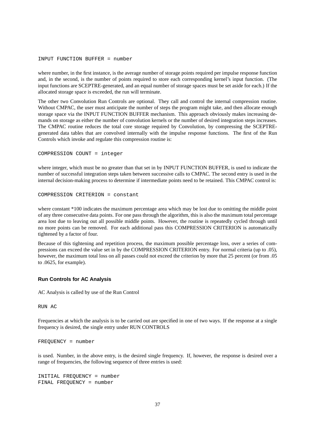#### INPUT FUNCTION BUFFER = number

where number, in the first instance, is the average number of storage points required per impulse response function and, in the second, is the number of points required to store each corresponding kernel's input function. (The input functions are SCEPTRE-generated, and an equal number of storage spaces must be set aside for each.) If the allocated storage space is exceeded, the run will terminate.

The other two Convolution Run Controls are optional. They call and control the internal compression routine. Without CMPAC, the user must anticipate the number of steps the program might take, and then allocate enough storage space via the INPUT FUNCTION BUFFER mechanism. This approach obviously makes increasing demands on storage as either the number of convolution kernels or the number of desired integration steps increases. The CMPAC routine reduces the total core storage required by Convolution, by compressing the SCEPTREgenerated data tables that are convolved internally with the impulse response functions. The first of the Run Controls which invoke and regulate this compression routine is:

COMPRESSION COUNT = integer

where integer, which must be no greater than that set in by INPUT FUNCTION BUFFER, is used to indicate the number of successful integration steps taken between successive calls to CMPAC. The second entry is used in the internal decision-making process to determine if intermediate points need to be retained. This CMPAC control is:

COMPRESSION CRITERION = constant

where constant \*100 indicates the maximum percentage area which may be lost due to omitting the middle point of any three consecutive data points. For one pass through the algorithm, this is also the maximum total percentage area lost due to leaving out all possible middle points. However, the routine is repeatedly cycled through until no more points can be removed. For each additional pass this COMPRESSION CRITERION is automatically tightened by a factor of four.

Because of this tightening and repetition process, the maximum possible percentage loss, over a series of compressions can exceed the value set in by the COMPRESSION CRITERION entry. For normal criteria (up to .05), however, the maximum total loss on all passes could not exceed the criterion by more that 25 percent (or from .05 to .0625, for example).

### **Run Controls for AC Analysis**

AC Analysis is called by use of the Run Control

RUN AC

Frequencies at which the analysis is to be carried out are specified in one of two ways. If the response at a single frequency is desired, the single entry under RUN CONTROLS

FREQUENCY = number

is used. Number, in the above entry, is the desired single frequency. If, however, the response is desired over a range of frequencies, the following sequence of three entries is used:

```
INITIAL FREQUENCY = number
FINAL FREQUENCY = number
```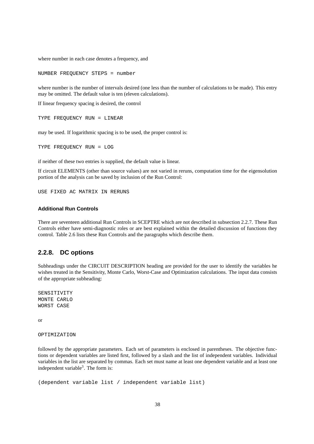where number in each case denotes a frequency, and

NUMBER FREQUENCY STEPS = number

where number is the number of intervals desired (one less than the number of calculations to be made). This entry may be omitted. The default value is ten (eleven calculations).

If linear frequency spacing is desired, the control

TYPE FREQUENCY RUN = LINEAR

may be used. If logarithmic spacing is to be used, the proper control is:

TYPE FREQUENCY RUN = LOG

if neither of these two entries is supplied, the default value is linear.

If circuit ELEMENTS (other than source values) are not varied in reruns, computation time for the eigensolution portion of the analysis can be saved by inclusion of the Run Control:

USE FIXED AC MATRIX IN RERUNS

## **Additional Run Controls**

There are seventeen additional Run Controls in SCEPTRE which are not described in subsection 2.2.7. These Run Controls either have semi-diagnostic roles or are best explained within the detailed discussion of functions they control. Table 2.6 lists these Run Controls and the paragraphs which describe them.

# **2.2.8. DC options**

Subheadings under the CIRCUIT DESCRIPTION heading are provided for the user to identify the variables he wishes treated in the Sensitivity, Monte Carlo, Worst-Case and Optimization calculations. The input data consists of the appropriate subheading:

```
SENSITIVITY
MONTE CARLO
WORST CASE
```
or

OPTIMIZATION

followed by the appropriate parameters. Each set of parameters is enclosed in parentheses. The objective functions or dependent variables are listed first, followed by a slash and the list of independent variables. Individual variables in the list are separated by commas. Each set must name at least one dependent variable and at least one independent variable<sup>3</sup>. The form is:

(dependent variable list / independent variable list)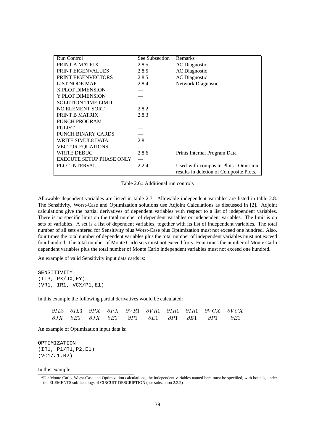| Run Control                | See Subsection | Remarks                                                                        |
|----------------------------|----------------|--------------------------------------------------------------------------------|
| PRINT A MATRIX             | 2.8.5          | <b>AC Diagnostic</b>                                                           |
| <b>PRINT EIGENVALUES</b>   | 2.8.5          | <b>AC</b> Diagnostic                                                           |
| <b>PRINT EIGENVECTORS</b>  | 2.8.5          | <b>AC</b> Diagnostic                                                           |
| <b>LIST NODE MAP</b>       | 2.8.4          | Network Diagnostic                                                             |
| X PLOT DIMENSION           |                |                                                                                |
| Y PLOT DIMENSION           |                |                                                                                |
| <b>SOLUTION TIME LIMIT</b> |                |                                                                                |
| <b>NO ELEMENT SORT</b>     | 2.8.2          |                                                                                |
| PRINT B MATRIX             | 2.8.3          |                                                                                |
| <b>PUNCH PROGRAM</b>       |                |                                                                                |
| <b>FULIST</b>              |                |                                                                                |
| PUNCH BINARY CARDS         |                |                                                                                |
| <b>WRITE SIMUL8 DATA</b>   | 2.8            |                                                                                |
| <b>VECTOR EQUATIONS</b>    |                |                                                                                |
| <b>WRITE DEBUG</b>         | 2.8.6          | Prints Internal Program Data                                                   |
| EXECUTE SETUP PHASE ONLY   |                |                                                                                |
| PLOT INTERVAL              | 2.2.4          | Used with composite Plots. Omission<br>results in deletion of Composite Plots. |

Table 2.6.: Additional run controls

Allowable dependent variables are listed in table 2.7. Allowable independent variables are listed in table 2.8. The Sensitivity, Worst-Case and Optimization solutions use Adjoint Calculations as discussed in [2]. Adjoint calculations give the partial derivatives of dependent variables with respect to a list of independent variables. There is no specific limit on the total number of dependent variables or independent variables. The limit is on sets of variables. A set is a list of dependent variables, together with its list of independent variables. The total number of all sets entered for Sensitivity plus Worst-Case plus Optimization must not exceed one hundred. Also, four times the total number of dependent variables plus the total number of independent variables must not exceed four hundred. The total number of Monte Carlo sets must not exceed forty. Four times the number of Monte Carlo dependent variables plus the total number of Monte Carlo independent variables must not exceed one hundred.

An example of valid Sensitivity input data cards is:

SENSITIVITY (IL3, PX/JX,EY) (VR1, IR1, VCX/P1,E1)

In this example the following partial derivatives would be calculated:

|  |  |  |  | $\partial I L3$ $\partial I L3$ $\partial PX$ $\partial PX$ $\partial V R1$ $\partial V R1$ $\partial I R1$ $\partial I R1$ $\partial VCX$ $\partial VCX$ |  |
|--|--|--|--|-----------------------------------------------------------------------------------------------------------------------------------------------------------|--|
|  |  |  |  | $\partial JX$ $\partial EY$ $\partial JX$ $\partial EY$ $\partial P1$ $\partial E1$ $\partial P1$ $\partial E1$ $\partial P1$ $\partial E1$               |  |

An example of Optimization input data is:

OPTIMIZATION (IR1, P1/R1,P2,E1) (VC1/J1,R2)

In this example

<sup>3</sup>For Monte Carlo, Worst-Case and Optimization calculations, the independent variables named here must be specified, with bounds, under the ELEMENTS sub-headings of CIRCUIT DESCRIPTION (see subsection 2.2.2)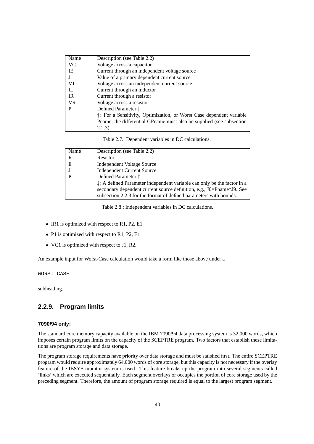| Name      | Description (see Table 2.2)                                          |
|-----------|----------------------------------------------------------------------|
| VC.       | Voltage across a capacitor                                           |
| IE        | Current through an independent voltage source                        |
|           | Value of a primary dependent current source                          |
| VJ        | Voltage across an independent current source                         |
| IL        | Current through an inductor                                          |
| IR.       | Current through a resistor                                           |
| <b>VR</b> | Voltage across a resistor                                            |
|           | Defined Parameter †                                                  |
|           | †: For a Sensitivity, Optimization, or Worst Case dependent variable |
|           | Pname, the differential GPname must also be supplied (see subsection |
|           | (2.2.3)                                                              |

Table 2.7.: Dependent variables in DC calculations.

| Name | Description (see Table 2.2)                                                         |
|------|-------------------------------------------------------------------------------------|
| R    | Resistor                                                                            |
| E    | <b>Independent Voltage Source</b>                                                   |
|      | <b>Independent Current Source</b>                                                   |
|      | Defined Parameter ‡                                                                 |
|      | <sup>†</sup> : A defined Parameter independent variable can only be the factor in a |
|      | secondary dependent current source definition, e.g., J0=Pname*J9. See               |
|      | subsection 2.2.3 for the format of defined parameters with bounds.                  |

Table 2.8.: Independent variables in DC calculations.

- IR1 is optimized with respect to R1, P2, E1
- P1 is optimized with respect to R1, P2, E1
- VC1 is optimized with respect to J1, R2.

An example input for Worst-Case calculation would take a form like those above under a

WORST CASE

subheading.

## **2.2.9. Program limits**

### **7090/94 only:**

The standard core memory capacity available on the IBM 7090/94 data processing system is 32,000 words, which imposes certain program limits on the capacity of the SCEPTRE program. Two factors that establish these limitations are program storage and data storage.

The program storage requirements have priority over data storage and must be satisfied first. The entire SCEPTRE program would require approximately 64,000 words of core storage, but this capacity is not necessary if the overlay feature of the IBSYS monitor system is used. This feature breaks up the program into several segments called 'links' which are executed sequentially. Each segment overlays or occupies the portion of core storage used by the preceding segment. Therefore, the amount of program storage required is equal to the largest program segment.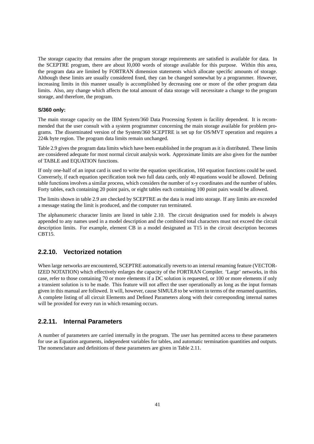The storage capacity that remains after the program storage requirements are satisfied is available for data. In the SCEPTRE program, there are about l0,000 words of storage available for this purpose. Within this area, the program data are limited by FORTRAN dimension statements which allocate specific amounts of storage. Although these limits are usually considered fixed, they can be changed somewhat by a programmer. However, increasing limits in this manner usually is accomplished by decreasing one or more of the other program data limits. Also, any change which affects the total amount of data storage will necessitate a change to the program storage, and therefore, the program.

## **S/360 only:**

The main storage capacity on the IBM System/360 Data Processing System is facility dependent. It is recommended that the user consult with a system programmer concerning the main storage available for problem programs. The disseminated version of the System/360 SCEPTRE is set up for OS/MVT operation and requires a 224k byte region. The program data limits remain unchanged.

Table 2.9 gives the program data limits which have been established in the program as it is distributed. These limits are considered adequate for most normal circuit analysis work. Approximate limits are also given for the number of TABLE and EQUATION functions.

If only one-half of an input card is used to write the equation specification, 160 equation functions could be used. Conversely, if each equation specification took two full data cards, only 40 equations would be allowed. Defining table functions involves a similar process, which considers the number of x-y coordinates and the number of tables. Forty tables, each containing 20 point pairs, or eight tables each containing 100 point pairs would be allowed.

The limits shown in table 2.9 are checked by SCEPTRE as the data is read into storage. If any limits are exceeded a message stating the limit is produced, and the computer run terminated.

The alphanumeric character limits are listed in table 2.10. The circuit designation used for models is always appended to any names used in a model description and the combined total characters must not exceed the circuit description limits. For example, element CB in a model designated as T15 in the circuit description becomes CBT<sub>15</sub>.

# **2.2.10. Vectorized notation**

When large networks are encountered, SCEPTRE automatically reverts to an internal renaming feature (VECTOR-IZED NOTATION) which effectively enlarges the capacity of the FORTRAN Compiler. 'Large' networks, in this case, refer to those containing 70 or more elements if a DC solution is requested, or 100 or more elements if only a transient solution is to be made. This feature will not affect the user operationally as long as the input formats given in this manual are followed. It will, however, cause SIMUL8 to be written in terms of the renamed quantities. A complete listing of all circuit Elements and Defined Parameters along with their corresponding internal names will be provided for every run in which renaming occurs.

# **2.2.11. Internal Parameters**

A number of parameters are carried internally in the program. The user has permitted access to these parameters for use as Equation arguments, independent variables for tables, and automatic termination quantities and outputs. The nomenclature and definitions of these parameters are given in Table 2.11.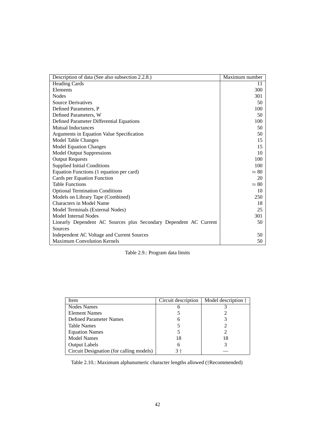| Description of data (See also subsection 2.2.8.)                  | Maximum number |
|-------------------------------------------------------------------|----------------|
| <b>Heading Cards</b>                                              | 11             |
| Elements                                                          | 300            |
| <b>Nodes</b>                                                      | 301            |
| <b>Source Derivatives</b>                                         | 50             |
| Defined Parameters, P                                             | 100            |
| Defined Parameters, W                                             | 50             |
| Defined Parameter Differential Equations                          | 100            |
| <b>Mutual Inductances</b>                                         | 50             |
| Arguments in Equation Value Specification                         | 50             |
| <b>Model Table Changes</b>                                        | 15             |
| <b>Model Equation Changes</b>                                     | 15             |
| <b>Model Output Suppressions</b>                                  | 10             |
| <b>Output Requests</b>                                            | 100            |
| <b>Supplied Initial Conditions</b>                                | 100            |
| Equation Functions (1 equation per card)                          | $\approx 80$   |
| Cards per Equation Function                                       | 20             |
| <b>Table Functions</b>                                            | $\approx 80$   |
| <b>Optional Termination Conditions</b>                            | 10             |
| Models on Library Tape (Combined)                                 | 250            |
| <b>Characters in Model Name</b>                                   | 18             |
| Model Terminals (External Nodes)                                  | 25             |
| Model Internal Nodes                                              | 301            |
| Linearly Dependent AC Sources plus Secondary Dependent AC Current | 50             |
| Sources                                                           |                |
| Independent AC Voltage and Current Sources                        | 50             |
| <b>Maximum Convolution Kernels</b>                                | 50             |

Table 2.9.: Program data limits

| Item                                     | Circuit description | Model description † |
|------------------------------------------|---------------------|---------------------|
| <b>Nodes Names</b>                       | 6                   |                     |
| <b>Element Names</b>                     |                     |                     |
| <b>Defined Parameter Names</b>           | 6                   |                     |
| <b>Table Names</b>                       |                     |                     |
| <b>Equation Names</b>                    |                     |                     |
| <b>Model Names</b>                       | 18                  | 18                  |
| <b>Output Labels</b>                     | 6                   |                     |
| Circuit Designation (for calling models) |                     |                     |

Table 2.10.: Maximum alphanumeric character lengths allowed (†Recommended)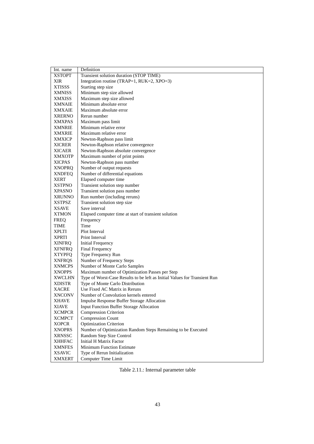| Int. name     | Definition                                                                |
|---------------|---------------------------------------------------------------------------|
| <b>XSTOPT</b> | Transient solution duration (STOP TIME)                                   |
| XIR           | Integration routine (TRAP=1, RUK=2, XPO=3)                                |
| <b>XTISSS</b> | Starting step size                                                        |
| <b>XMNISS</b> | Minimum step size allowed                                                 |
| XMXISS        | Maximum step size allowed                                                 |
| <b>XMNAIE</b> | Minimum absolute error                                                    |
| XMXAIE        | Maximum absolute error                                                    |
| <b>XRERNO</b> | Rerun number                                                              |
| <b>XMXPAS</b> | Maximum pass limit                                                        |
| XMNRIE        | Minimum relative error                                                    |
| XMXRIE        | Maximum relative error                                                    |
| XMXICP        | Newton-Raphson pass limit                                                 |
| <b>XICRER</b> | Newton-Raphson relative convergence                                       |
| XICAER        | Newton-Raphson absolute convergence                                       |
| XMXOTP        | Maximum number of print points                                            |
| <b>XICPAS</b> | Newton-Raphson pass number                                                |
| <b>XNOPRQ</b> | Number of output requests                                                 |
| <b>XNDFEQ</b> | Number of differential equations                                          |
| <b>XERT</b>   | Elapsed computer time                                                     |
| <b>XSTPNO</b> | Transient solution step number                                            |
| XPASNO        | Transient solution pass number                                            |
| XRUNNO        | Run number (including reruns)                                             |
| XSTPSZ        | Transient solution step size                                              |
| XSAVE         | Save interval                                                             |
| <b>XTMON</b>  | Elapsed computer time at start of transient solution                      |
| <b>FREQ</b>   | Frequency                                                                 |
| TIME          | Time                                                                      |
| <b>XPLTI</b>  | Plot Interval                                                             |
| <b>XPRTI</b>  | Print Interval                                                            |
| <b>XINFRQ</b> | <b>Initial Frequency</b>                                                  |
| <b>XFNFRQ</b> | Final Frequency                                                           |
| <b>XTYPFQ</b> | Type Frequency Run                                                        |
| <b>XNFRQS</b> | Number of Frequency Steps                                                 |
| <b>XNMCPS</b> | Number of Monte Carlo Samples                                             |
| <b>XNOPPS</b> | Maximum number of Optimization Passes per Step                            |
| <b>XWCLHN</b> | Type of Worst-Case Results to be left as Initial Values for Transient Run |
| <b>XDISTR</b> | Type of Monte Carlo Distribution                                          |
| XACRE         | Use Fixed AC Matrix in Reruns                                             |
| XNCONV        | Number of Convolution kernels entered                                     |
| XHAVE         | <b>Impulse Response Buffer Storage Allocation</b>                         |
| XIAVE         | Input Function Buffer Storage Allocation                                  |
| <b>XCMPCR</b> | Compression Criterion                                                     |
| <b>XCMPCT</b> | <b>Compression Count</b>                                                  |
| <b>XOPCR</b>  | <b>Optimization Criterion</b>                                             |
| <b>XNOPRS</b> | Number of Optimization Random Steps Remaining to be Executed              |
| <b>XRNSSC</b> | Random Step Size Control                                                  |
| <b>XHHFAC</b> | <b>Initial H Matrix Factor</b>                                            |
| <b>XMNFES</b> | <b>Minimum Function Estimate</b>                                          |
| <b>XSAVIC</b> | Type of Rerun Initialization                                              |
| <b>XMXERT</b> | Computer Time Limit                                                       |

Table 2.11.: Internal parameter table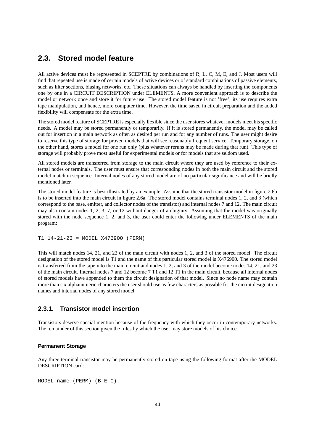# **2.3. Stored model feature**

All active devices must be represented in SCEPTRE by combinations of R, L, C, M, E, and J. Most users will find that repeated use is made of certain models of active devices or of standard combinations of passive elements, such as filter sections, biasing networks, etc. These situations can always be handled by inserting the components one by one in a CIRCUIT DESCRIPTION under ELEMENTS. A more convenient approach is to describe the model or network once and store it for future use. The stored model feature is not 'free'; its use requires extra tape manipulation, and hence, more computer time. However, the time saved in circuit preparation and the added flexibility will compensate for the extra time.

The stored model feature of SCEPTRE is especially flexible since the user stores whatever models meet his specific needs. A model may be stored permanently or temporarily. If it is stored permanently, the model may be called out for insertion in a main network as often as desired per run and for any number of runs. The user might desire to reserve this type of storage for proven models that will see reasonably frequent service. Temporary storage, on the other hand, stores a model for one run only (plus whatever reruns may be made during that run). This type of storage will probably prove most useful for experimental models or for models that are seldom used.

All stored models are transferred from storage to the main circuit where they are used by reference to their external nodes or terminals. The user must ensure that corresponding nodes in both the main circuit and the stored model match in sequence. Internal nodes of any stored model are of no particular significance and will be briefly mentioned later.

The stored model feature is best illustrated by an example. Assume that the stored transistor model in figure 2.6b is to be inserted into the main circuit in figure 2.6a. The stored model contains terminal nodes 1, 2, and 3 (which correspond to the base, emitter, and collector nodes of the transistor) and internal nodes 7 and 12. The main circuit may also contain nodes 1, 2, 3, 7, or 12 without danger of ambiguity. Assuming that the model was originally stored with the node sequence 1, 2, and 3, the user could enter the following under ELEMENTS of the main program:

T1 14-21-23 = MODEL X476900 (PERM)

This will match nodes 14, 21, and 23 of the main circuit with nodes 1, 2, and 3 of the stored model. The circuit designation of the stored model is T1 and the name of this particular stored model is X476900. The stored model is transferred from the tape into the main circuit and nodes 1, 2, and 3 of the model become nodes 14, 21, and 23 of the main circuit. Internal nodes 7 and 12 become 7 T1 and 12 T1 in the main circuit, because all internal nodes of stored models have appended to them the circuit designation of that model. Since no node name may contain more than six alphanumeric characters the user should use as few characters as possible for the circuit designation names and internal nodes of any stored model.

# **2.3.1. Transistor model insertion**

Transistors deserve special mention because of the frequency with which they occur in contemporary networks. The remainder of this section given the rules by which the user may store models of his choice.

## **Permanent Storage**

Any three-terminal transistor may be permanently stored on tape using the following format after the MODEL DESCRIPTION card:

```
MODEL name (PERM) (B-E-C)
```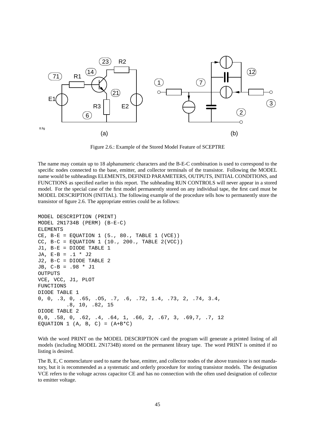

Figure 2.6.: Example of the Stored Model Feature of SCEPTRE

The name may contain up to 18 alphanumeric characters and the B-E-C combination is used to correspond to the specific nodes connected to the base, emitter, and collector terminals of the transistor. Following the MODEL name would be subheadings ELEMENTS, DEFINED PARAMETERS, OUTPUTS, INITIAL CONDITIONS, and FUNCTIONS as specified earlier in this report. The subheading RUN CONTROLS will never appear in a stored model. For the special case of the first model permanently stored on any individual tape, the first card must be MODEL DESCRIPTION (INITIAL). The following example of the procedure tells how to permanently store the transistor of figure 2.6. The appropriate entries could be as follows:

```
MODEL DESCRIPTION (PRINT)
MODEL 2N1734B (PERM) (B-E-C)
ELEMENTS
CE, B-E = EQUATION 1 (5., 80., TABLE 1 (VCE))CC, B-C = EQUATION 1 (10., 200., TABLE 2(VCC))J1, B-E = DIODE TABLE 1
JA, E-B = .1 * J2J2, B-C = DIODE TABLE 2
JB, C-B = .98 * J1
OUTPUTS
VCE, VCC, J1, PLOT
FUNCTIONS
DIODE TABLE 1
0, 0, .3, 0, .65, .O5, .7, .6, .72, 1.4, .73, 2, .74, 3.4,
         .8, 10, .82, 15
DIODE TABLE 2
0,0, .58, 0, .62, .4, .64, 1, .66, 2, .67, 3, .69,7, .7, 12
EQUATION 1 (A, B, C) = (A+B*C)
```
With the word PRINT on the MODEL DESCRIPTION card the program will generate a printed listing of all models (including MODEL 2N1734B) stored on the permanent library tape. The word PRINT is omitted if no listing is desired.

The B, E, C nomenclature used to name the base, emitter, and collector nodes of the above transistor is not mandatory, but it is recommended as a systematic and orderly procedure for storing transistor models. The designation VCE refers to the voltage across capacitor CE and has no connection with the often used designation of collector to emitter voltage.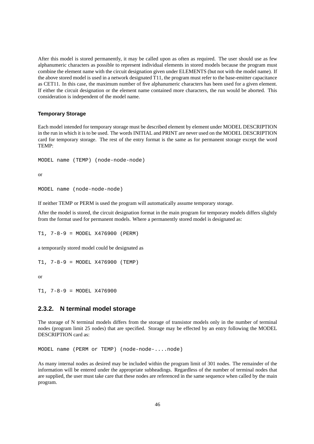After this model is stored permanently, it may be called upon as often as required. The user should use as few alphanumeric characters as possible to represent individual elements in stored models because the program must combine the element name with the circuit designation given under ELEMENTS (but not with the model name). If the above stored model is used in a network designated T11, the program must refer to the base-emitter capacitance as CET11. In this case, the maximum number of five alphanumeric characters has been used for a given element. If either the circuit designation or the element name contained more characters, the run would be aborted. This consideration is independent of the model name.

### **Temporary Storage**

Each model intended for temporary storage must be described element by element under MODEL DESCRIPTION in the run in which it is to be used. The words INITIAL and PRINT are never used on the MODEL DESCRIPTION card for temporary storage. The rest of the entry format is the same as for permanent storage except the word TEMP:

```
MODEL name (TEMP) (node-node-node)
```
or

```
MODEL name (node-node-node)
```
If neither TEMP or PERM is used the program will automatically assume temporary storage.

After the model is stored, the circuit designation format in the main program for temporary models differs slightly from the format used for permanent models. Where a permanently stored model is designated as:

T1, 7-8-9 = MODEL X476900 (PERM)

a temporarily stored model could be designated as

```
T1, 7-8-9 = MODEL X476900 (TEMP)
```
or

```
T1, 7-8-9 = MODEL X476900
```
# **2.3.2. N terminal model storage**

The storage of N terminal models differs from the storage of transistor models only in the number of terminal nodes (program limit 25 nodes) that are specified. Storage may be effected by an entry following the MODEL DESCRIPTION card as:

MODEL name (PERM or TEMP) (node-node-....node)

As many internal nodes as desired may be included within the program limit of 301 nodes. The remainder of the information will be entered under the appropriate subheadings. Regardless of the number of terminal nodes that are supplied, the user must take care that these nodes are referenced in the same sequence when called by the main program.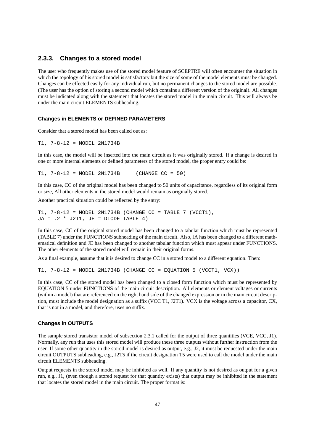## **2.3.3. Changes to a stored model**

The user who frequently makes use of the stored model feature of SCEPTRE will often encounter the situation in which the topology of his stored model is satisfactory but the size of some of the model elements must be changed. Changes can be effected easily for any individual run, but no permanent changes to the stored model are possible. (The user has the option of storing a second model which contains a different version of the original). All changes must be indicated along with the statement that locates the stored model in the main circuit. This will always be under the main circuit ELEMENTS subheading.

## **Changes in ELEMENTS or DEFINED PARAMETERS**

Consider that a stored model has been called out as:

T1, 7-8-12 = MODEL 2N1734B

In this case, the model will be inserted into the main circuit as it was originally stored. If a change is desired in one or more internal elements or defined parameters of the stored model, the proper entry could be:

T1, 7-8-12 = MODEL 2N1734B (CHANGE CC = 50)

In this case, CC of the original model has been changed to 50 units of capacitance, regardless of its original form or size, All other elements in the stored model would remain as originally stored.

Another practical situation could be reflected by the entry:

T1,  $7-8-12$  = MODEL 2N1734B (CHANGE CC = TABLE 7 (VCCT1),  $JA = .2 * J2T1, JE = DIODE TABLE 4)$ 

In this case, CC of the original stored model has been changed to a tabular function which must be represented (TABLE 7) under the FUNCTIONS subheading of the main circuit. Also, JA has been changed to a different mathematical definition and JE has been changed to another tabular function which must appear under FUNCTIONS. The other elements of the stored model will remain in their original forms.

As a final example, assume that it is desired to change CC in a stored model to a different equation. Then:

```
T1, 7-8-12 = MODEL 2N1734B (CHANGE CC = EQUATION 5 (VCCT1, VCX))
```
In this case, CC of the stored model has been changed to a closed form function which must be represented by EQUATION 5 under FUNCTIONS of the main circuit description. All elements or element voltages or currents (within a model) that are referenced on the right hand side of the changed expression or in the main circuit description, must include the model designation as a suffix (VCC T1, J2T1). VCX is the voltage across a capacitor, CX, that is not in a model, and therefore, uses no suffix.

#### **Changes in OUTPUTS**

The sample stored transistor model of subsection 2.3.1 called for the output of three quantities (VCE, VCC, J1). Normally, any run that uses this stored model will produce these three outputs without further instruction from the user. If some other quantity in the stored model is desired as output, e.g., J2, it must be requested under the main circuit OUTPUTS subheading, e.g., J2T5 if the circuit designation T5 were used to call the model under the main circuit ELEMENTS subheading.

Output requests in the stored model may be inhibited as well. If any quantity is not desired as output for a given run, e.g., J1, (even though a stored request for that quantity exists) that output may be inhibited in the statement that locates the stored model in the main circuit. The proper format is: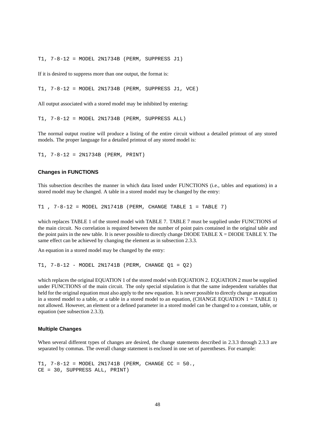T1, 7-8-12 = MODEL 2N1734B (PERM, SUPPRESS J1)

If it is desired to suppress more than one output, the format is:

T1, 7-8-12 = MODEL 2N1734B (PERM, SUPPRESS J1, VCE)

All output associated with a stored model may be inhibited by entering:

T1, 7-8-12 = MODEL 2N1734B (PERM, SUPPRESS ALL)

The normal output routine will produce a listing of the entire circuit without a detailed printout of any stored models. The proper language for a detailed printout of any stored model is:

T1, 7-8-12 = 2N1734B (PERM, PRINT)

## **Changes in FUNCTIONS**

This subsection describes the manner in which data listed under FUNCTIONS (i.e., tables and equations) in a stored model may be changed. A table in a stored model may be changed by the entry:

T1 , 7-8-12 = MODEL 2N1741B (PERM, CHANGE TABLE 1 = TABLE 7)

which replaces TABLE 1 of the stored model with TABLE 7. TABLE 7 must be supplied under FUNCTIONS of the main circuit. No correlation is required between the number of point pairs contained in the original table and the point pairs in the new table. It is never possible to directly change DIODE TABLE  $X = DIO$ DE TABLE Y. The same effect can be achieved by changing the element as in subsection 2.3.3.

An equation in a stored model may be changed by the entry:

T1, 7-8-12 - MODEL 2N1741B (PERM, CHANGE Q1 = Q2)

which replaces the original EQUATION 1 of the stored model with EQUATION 2. EQUATION 2 must be supplied under FUNCTIONS of the main circuit. The only special stipulation is that the same independent variables that held for the original equation must also apply to the new equation. It is never possible to directly change an equation in a stored model to a table, or a table in a stored model to an equation, (CHANGE EQUATION  $1 = TABLE 1$ ) not allowed. However, an element or a defined parameter in a stored model can be changed to a constant, table, or equation (see subsection 2.3.3).

#### **Multiple Changes**

When several different types of changes are desired, the change statements described in 2.3.3 through 2.3.3 are separated by commas. The overall change statement is enclosed in one set of parentheses. For example:

```
T1, 7-8-12 = MODEL 2N1741B (PERM, CHANGE CC = 50.,
CE = 30, SUPPRESS ALL, PRINT)
```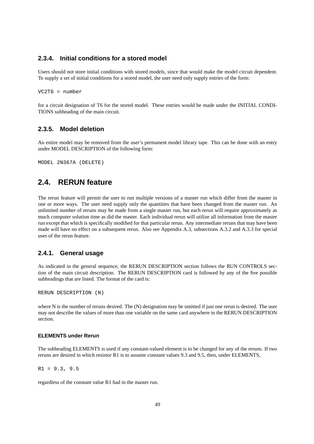# **2.3.4. Initial conditions for a stored model**

Users should not store initial conditions with stored models, since that would make the model circuit dependent. To supply a set of initial conditions for a stored model, the user need only supply entries of the form:

 $VC2T6 = number$ 

for a circuit designation of T6 for the stored model. These entries would be made under the INITIAL CONDI-TIONS subheading of the main circuit.

## **2.3.5. Model deletion**

An entire model may be removed from the user's permanent model library tape. This can be done with an entry under MODEL DESCRIPTION of the following form:

```
MODEL 2N367A (DELETE)
```
# **2.4. RERUN feature**

The rerun feature will permit the user to run multiple versions of a master run which differ from the master in one or more ways. The user need supply only the quantities that have been changed from the master run. An unlimited number of reruns may be made from a single master run, but each rerun will require approximately as much computer solution time as did the master. Each individual rerun will utilize all information from the master run except that which is specifically modified for that particular rerun. Any intermediate reruns that may have been made will have no effect on a subsequent rerun. Also see Appendix A.3, subsections A.3.2 and A.3.3 for special uses of the rerun feature.

# **2.4.1. General usage**

As indicated in the general sequence, the RERUN DESCRIPTION section follows the RUN CONTROLS section of the main circuit description. The RERUN DESCRIPTION card is followed by any of the five possible subheadings that are listed. The format of the card is:

```
RERUN DESCRIPTION (N)
```
where N is the number of reruns desired. The (N) designation may be omitted if just one rerun is desired. The user may not describe the values of more than one variable on the same card anywhere in the RERUN DESCRIPTION section.

#### **ELEMENTS under Rerun**

The subheading ELEMENTS is used if any constant-valued element is to be changed for any of the reruns. If two reruns are desired in which resistor R1 is to assume constant values 9.3 and 9.5, then, under ELEMENTS,

 $R1 = 9.3, 9.5$ 

regardless of the constant value R1 had in the master run.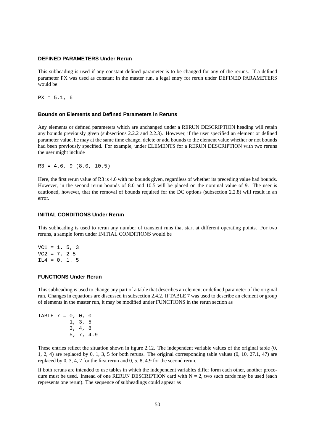## **DEFINED PARAMETERS Under Rerun**

This subheading is used if any constant defined parameter is to be changed for any of the reruns. If a defined parameter PX was used as constant in the master run, a legal entry for rerun under DEFINED PARAMETERS would be:

 $PX = 5.1, 6$ 

### **Bounds on Elements and Defined Parameters in Reruns**

Any elements or defined parameters which are unchanged under a RERUN DESCRIPTION heading will retain any bounds previously given (subsections 2.2.2 and 2.2.3). However, if the user specified an element or defined parameter value, he may at the same time change, delete or add bounds to the element value whether or not bounds had been previously specified. For example, under ELEMENTS for a RERUN DESCRIPTION with two reruns the user might include

 $R3 = 4.6, 9 (8.0, 10.5)$ 

Here, the first rerun value of R3 is 4.6 with no bounds given, regardless of whether its preceding value had bounds. However, in the second rerun bounds of 8.0 and 10.5 will be placed on the nominal value of 9. The user is cautioned, however, that the removal of bounds required for the DC options (subsection 2.2.8) will result in an error.

## **INITIAL CONDITIONS Under Rerun**

This subheading is used to rerun any number of transient runs that start at different operating points. For two reruns, a sample form under INITIAL CONDITIONS would be

 $VC1 = 1.5, 3$  $VC2 = 7, 2.5$  $IL4 = 0, 1.5$ 

## **FUNCTIONS Under Rerun**

This subheading is used to change any part of a table that describes an element or defined parameter of the original run. Changes in equations are discussed in subsection 2.4.2. If TABLE 7 was used to describe an element or group of elements in the master run, it may be modified under FUNCTIONS in the rerun section as

```
TABLE 7 = 0, 0, 0
          1, 3, 5
          3, 4, 8
          5, 7, 4.9
```
These entries reflect the situation shown in figure 2.12. The independent variable values of the original table (0, 1, 2, 4) are replaced by 0, 1, 3, 5 for both reruns. The original corresponding table values (0, 10, 27.1, 47) are replaced by 0, 3, 4, 7 for the first rerun and 0, 5, 8, 4.9 for the second rerun.

If both reruns are intended to use tables in which the independent variables differ form each other, another procedure must be used. Instead of one RERUN DESCRIPTION card with  $N = 2$ , two such cards may be used (each represents one rerun). The sequence of subheadings could appear as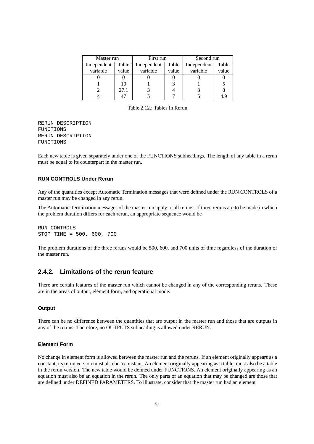| Master run  |       | First run   |       | Second run  |       |
|-------------|-------|-------------|-------|-------------|-------|
| Independent | Table | Independent | Table | Independent | Table |
| variable    | value | variable    | value | variable    | value |
|             |       |             |       |             |       |
|             | 10    |             |       |             |       |
|             | 27.1  |             |       |             |       |
|             |       |             |       |             | 4.9   |

Table 2.12.: Tables In Rerun

RERUN DESCRIPTION FUNCTIONS RERUN DESCRIPTION FUNCTIONS

Each new table is given separately under one of the FUNCTIONS subheadings. The length of any table in a rerun must be equal to its counterpart in the master run.

## **RUN CONTROLS Under Rerun**

Any of the quantities except Automatic Termination messages that were defined under the RUN CONTROLS of a master run may be changed in any rerun.

The Automatic Termination messages of the master run apply to all reruns. If three reruns are to be made in which the problem duration differs for each rerun, an appropriate sequence would be

```
RUN CONTROLS
STOP TIME = 500, 600, 700
```
The problem durations of the three reruns would be 500, 600, and 700 units of time regardless of the duration of the master run.

# **2.4.2. Limitations of the rerun feature**

There are certain features of the master run which cannot be changed in any of the corresponding reruns. These are in the areas of output, element form, and operational mode.

## **Output**

There can be no difference between the quantities that are output in the master run and those that are outputs in any of the reruns. Therefore, no OUTPUTS subheading is allowed under RERUN.

## **Element Form**

No change in element form is allowed between the master run and the reruns. If an element originally appears as a constant, its rerun version must also be a constant. An element originally appearing as a table, must also be a table in the rerun version. The new table would be defined under FUNCTIONS. An element originally appearing as an equation must also be an equation in the rerun. The only parts of an equation that may be changed are those that are defined under DEFINED PARAMETERS. To illustrate, consider that the master run had an element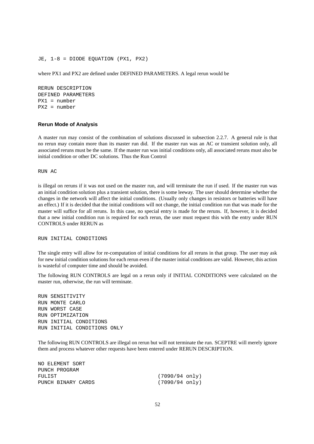JE, 1-8 = DIODE EQUATION (PX1, PX2)

where PX1 and PX2 are defined under DEFINED PARAMETERS. A legal rerun would be

RERUN DESCRIPTION DEFINED PARAMETERS PX1 = number PX2 = number

## **Rerun Mode of Analysis**

A master run may consist of the combination of solutions discussed in subsection 2.2.7. A general rule is that no rerun may contain more than its master run did. If the master run was an AC or transient solution only, all associated reruns must be the same. If the master run was initial conditions only, all associated reruns must also be initial condition or other DC solutions. Thus the Run Control

RUN AC

is illegal on reruns if it was not used on the master run, and will terminate the run if used. If the master run was an initial condition solution plus a transient solution, there is some leeway. The user should determine whether the changes in the network will affect the initial conditions. (Usually only changes in resistors or batteries will have an effect.) If it is decided that the initial conditions will not change, the initial condition run that was made for the master will suffice for all reruns. In this case, no special entry is made for the reruns. If, however, it is decided that a new initial condition run is required for each rerun, the user must request this with the entry under RUN CONTROLS under RERUN as

RUN INITIAL CONDITIONS

The single entry will allow for re-computation of initial conditions for all reruns in that group. The user may ask for new initial condition solutions for each rerun even if the master initial conditions are valid. However, this action is wasteful of computer time and should be avoided.

The following RUN CONTROLS are legal on a rerun only if INITIAL CONDITIONS were calculated on the master run, otherwise, the run will terminate.

RUN SENSITIVITY RUN MONTE CARLO RUN WORST CASE RUN OPTIMIZATION RUN INITIAL CONDITIONS RUN INITIAL CONDITIONS ONLY

The following RUN CONTROLS are illegal on rerun but will not terminate the run. SCEPTRE will merely ignore them and process whatever other requests have been entered under RERUN DESCRIPTION.

| NO ELEMENT SORT    |                          |
|--------------------|--------------------------|
| PUNCH PROGRAM      |                          |
| FULIST             | (7090/94 only)           |
| PUNCH BINARY CARDS | $(7090/94 \text{ only})$ |
|                    |                          |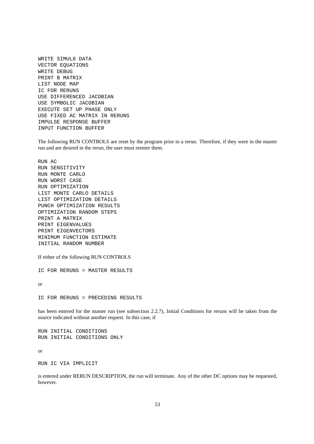WRITE SIMUL8 DATA VECTOR EQUATIONS WRITE DEBUG PRINT B MATRIX LIST NODE MAP IC FOR RERUNS USE DIFFERENCED JACOBIAN USE SYMBOLIC JACOBIAN EXECUTE SET UP PHASE ONLY USE FIXED AC MATRIX IN RERUNS IMPULSE RESPONSE BUFFER INPUT FUNCTION BUFFER

The following RUN CONTROLS are reset by the program prior to a rerun. Therefore, if they were in the master run and are desired in the rerun, the user must reenter them.

RUN AC RUN SENSITIVITY RUN MONTE CARLO RUN WORST CASE RUN OPTIMIZATION LIST MONTE CARLO DETAILS LIST OPTIMIZATION DETAILS PUNCH OPTIMIZATION RESULTS OPTIMIZATION RANDOM STEPS PRINT A MATRIX PRINT EIGENVALUES PRINT EIGENVECTORS MINIMUM FUNCTION ESTIMATE INITIAL RANDOM NUMBER

If either of the following RUN CONTROLS

IC FOR RERUNS = MASTER RESULTS

or

IC FOR RERUNS = PRECEDING RESULTS

has been entered for the master run (see subsection 2.2.7), Initial Conditions for reruns will be taken from the source indicated without another request. In this case, if

RUN INITIAL CONDITIONS RUN INITIAL CONDITIONS ONLY

or

RUN IC VIA IMPLICIT

is entered under RERUN DESCRIPTION, the run will terminate. Any of the other DC options may be requested, however.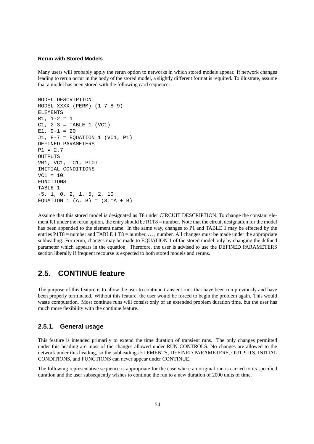#### **Rerun with Stored Models**

Many users will probably apply the rerun option to networks in which stored models appear. If network changes leading to rerun occur in the body of the stored model, a slightly different format is required. To illustrate, assume that a model has been stored with the following card sequence:

```
MODEL DESCRIPTION
MODEL XXXX (PERM) (1-7-8-9)
ELEMENTS
R1, 1-2 = 1C1, 2-3 = TABLE 1 (VC1)E1, 9-1 = 20J1, 8-7 = EQUATION 1 (VC1, P1)
DEFINED PARAMETERS
P1 = 2.7OUTPUTS
VR1, VC1, IC1, PLOT
INITIAL CONDITIONS
VC1 = 10
FUNCTIONS
TABLE 1
-5, 1, 0, 2, 1, 5, 2, 10
EQUATION 1 (A, B) = (3.*A + B)
```
Assume that this stored model is designated as T8 under CIRCUIT DESCRIPTION. To change the constant element R1 under the rerun option, the entry should be R1T8 = number. Note that the circuit designation for the model has been appended to the element name. In the same way, changes to P1 and TABLE 1 may be effected by the entries P1T8 = number and TABLE 1 T8 = number, ..., number. All changes must be made under the appropriate subheading. For rerun, changes may be made to EQUATION 1 of the stored model only by changing the defined parameter which appears in the equation. Therefore, the user is advised to use the DEFINED PARAMETERS section liberally if frequent recourse is expected to both stored models and reruns.

# **2.5. CONTINUE feature**

The purpose of this feature is to allow the user to continue transient runs that have been run previously and have been properly terminated. Without this feature, the user would be forced to begin the problem again. This would waste computation. Most continue runs will consist only of an extended problem duration time, but the user has much more flexibility with the continue feature.

# **2.5.1. General usage**

This feature is intended primarily to extend the time duration of transient runs. The only changes permitted under this heading are most of the changes allowed under RUN CONTROLS. No changes are allowed to the network under this heading, so the subheadings ELEMENTS, DEFINED PARAMETERS, OUTPUTS, INITIAL CONDITIONS, and FUNCTIONS can never appear under CONTINUE.

The following representative sequence is appropriate for the case where an original run is carried to its specified duration and the user subsequently wishes to continue the run to a new duration of 2000 units of time.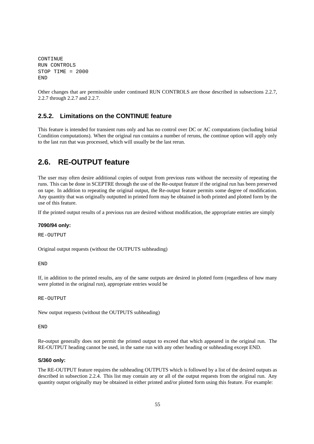CONTINUE RUN CONTROLS STOP TIME = 2000 END

Other changes that are permissible under continued RUN CONTROLS are those described in subsections 2.2.7, 2.2.7 through 2.2.7 and 2.2.7.

# **2.5.2. Limitations on the CONTINUE feature**

This feature is intended for transient runs only and has no control over DC or AC computations (including Initial Condition computations). When the original run contains a number of reruns, the continue option will apply only to the last run that was processed, which will usually be the last rerun.

# **2.6. RE-OUTPUT feature**

The user may often desire additional copies of output from previous runs without the necessity of repeating the runs. This can be done in SCEPTRE through the use of the Re-output feature if the original run has been preserved on tape. In addition to repeating the original output, the Re-output feature permits some degree of modification. Any quantity that was originally outputted in printed form may be obtained in both printed and plotted form by the use of this feature.

If the printed output results of a previous run are desired without modification, the appropriate entries are simply

#### **7090/94 only:**

RE-OUTPUT

Original output requests (without the OUTPUTS subheading)

END

If, in addition to the printed results, any of the same outputs are desired in plotted form (regardless of how many were plotted in the original run), appropriate entries would be

RE-OUTPUT

New output requests (without the OUTPUTS subheading)

END

Re-output generally does not permit the printed output to exceed that which appeared in the original run. The RE-OUTPUT heading cannot be used, in the same run with any other heading or subheading except END.

#### **S/360 only:**

The RE-OUTPUT feature requires the subheading OUTPUTS which is followed by a list of the desired outputs as described in subsection 2.2.4. This list may contain any or all of the output requests from the original run. Any quantity output originally may be obtained in either printed and/or plotted form using this feature. For example: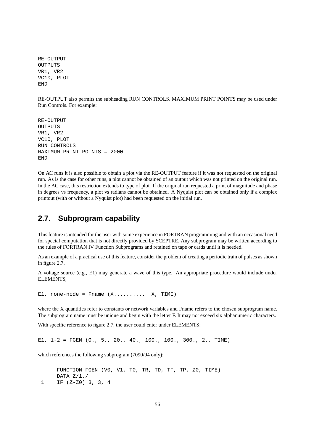RE-OUTPUT OUTPUTS VR1, VR2 VC10, PLOT END

RE-OUTPUT also permits the subheading RUN CONTROLS. MAXIMUM PRINT POINTS may be used under Run Controls. For example:

RE-OUTPUT OUTPUTS VR1, VR2 VC10, PLOT RUN CONTROLS MAXIMUM PRINT POINTS = 2000 END

On AC runs it is also possible to obtain a plot via the RE-OUTPUT feature if it was not requested on the original run. As is the case for other runs, a plot cannot be obtained of an output which was not printed on the original run. In the AC case, this restriction extends to type of plot. If the original run requested a print of magnitude and phase in degrees vs frequency, a plot vs radians cannot be obtained. A Nyquist plot can be obtained only if a complex printout (with or without a Nyquist plot) had been requested on the initial run.

# **2.7. Subprogram capability**

This feature is intended for the user with some experience in FORTRAN programming and with an occasional need for special computation that is not directly provided by SCEPTRE. Any subprogram may be written according to the rules of FORTRAN IV Function Subprograms and retained on tape or cards until it is needed.

As an example of a practical use of this feature, consider the problem of creating a periodic train of pulses as shown in figure 2.7.

A voltage source (e.g., E1) may generate a wave of this type. An appropriate procedure would include under ELEMENTS,

E1, none-node = Fname  $(X$ .......... X, TIME)

where the X quantities refer to constants or network variables and Fname refers to the chosen subprogram name. The subprogram name must be unique and begin with the letter F. It may not exceed six alphanumeric characters.

With specific reference to figure 2.7, the user could enter under ELEMENTS:

E1,  $1-2 = FGEN (0., 5., 20., 40., 100., 100., 300., 2., TIME)$ 

which references the following subprogram (7090/94 only):

```
FUNCTION FGEN (V0, V1, T0, TR, TD, TF, TP, Z0, TIME)
    DATA Z/1./
1 IF (Z-Z0) 3, 3, 4
```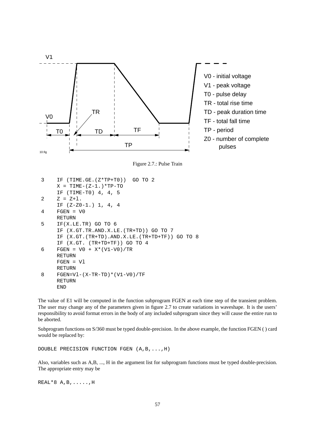

Figure 2.7.: Pulse Train

| 3 | IF (TIME.GE. (Z*TP+T0)) GO TO 2                   |
|---|---------------------------------------------------|
|   | $X = TIME - (Z - 1.)*TP - TO$                     |
|   | IF (TIME-T0) 4, 4, 5                              |
| 2 | $Z = Z + 1$ .                                     |
|   | IF $(Z-Z0-1.) 1, 4, 4$                            |
| 4 | $FGEN = VO$                                       |
|   | RETURN                                            |
| 5 | IF(X.LE.TR) GO TO 6                               |
|   | IF $(X.GT.TR.AND.X.LE.(TR+TD))$ GO TO 7           |
|   | IF $(X.GT. (TR+TD).AND.X.LE. (TR+TD+TF))$ GO TO 8 |
|   | IF (X.GT. (TR+TD+TF)) GO TO 4                     |
| 6 | $FGEN = VO + X*(V1-V0)/TR$                        |
|   | RETURN                                            |
|   | $FGEN = VI$                                       |
|   | RETURN                                            |
| 8 | $FGEN=V1 - (X-TR-TD) * (V1-V0)/TF$                |
|   | RETURN                                            |
|   | END                                               |

The value of E1 will be computed in the function subprogram FGEN at each time step of the transient problem. The user may change any of the parameters given in figure 2.7 to create variations in waveshape. It is the users' responsibility to avoid format errors in the body of any included subprogram since they will cause the entire run to be aborted.

Subprogram functions on S/360 must be typed double-precision. In the above example, the function FGEN ( ) card would be replaced by:

DOUBLE PRECISION FUNCTION FGEN (A,B,...,H)

Also, variables such as A,B, ..., H in the argument list for subprogram functions must be typed double-precision. The appropriate entry may be

REAL\*8 A,B,.....,H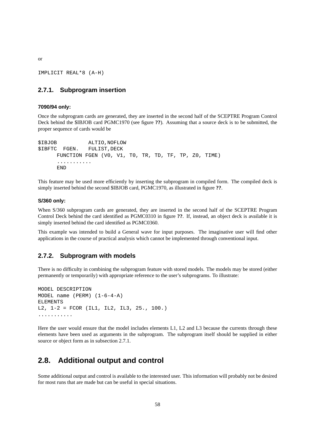or

IMPLICIT REAL\*8 (A-H)

## **2.7.1. Subprogram insertion**

## **7090/94 only:**

Once the subprogram cards are generated, they are inserted in the second half of the SCEPTRE Program Control Deck behind the \$IBJOB card PGMC1970 (see figure **??**). Assuming that a source deck is to be submitted, the proper sequence of cards would be

```
$IBJOB ALTIO,NOFLOW
$IBFTC FGEN. FULIST,DECK
     FUNCTION FGEN (V0, V1, T0, TR, TD, TF, TP, Z0, TIME)
     ...........
     END
```
This feature may be used more efficiently by inserting the subprogram in compiled form. The compiled deck is simply inserted behind the second \$IBJOB card, PGMC1970, as illustrated in figure **??**.

#### **S/360 only:**

When S/360 subprogram cards are generated, they are inserted in the second half of the SCEPTRE Program Control Deck behind the card identified as PGMC0310 in figure **??**. If, instead, an object deck is available it is simply inserted behind the card identified as PGMC0360.

This example was intended to build a General wave for input purposes. The imaginative user will find other applications in the course of practical analysis which cannot be implemented through conventional input.

## **2.7.2. Subprogram with models**

There is no difficulty in combining the subprogram feature with stored models. The models may be stored (either permanently or temporarily) with appropriate reference to the user's subprograms. To illustrate:

```
MODEL DESCRIPTION
MODEL name (PERM) (1-6-4-A)
ELEMENTS
L2, 1-2 = FCOR (IL1, IL2, IL3, 25., 100.)
...........
```
Here the user would ensure that the model includes elements L1, L2 and L3 because the currents through these elements have been used as arguments in the subprogram. The subprogram itself should be supplied in either source or object form as in subsection 2.7.1.

# **2.8. Additional output and control**

Some additional output and control is available to the interested user. This information will probably not be desired for most runs that are made but can be useful in special situations.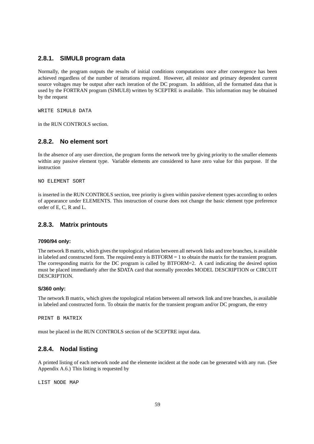# **2.8.1. SIMUL8 program data**

Normally, the program outputs the results of initial conditions computations once after convergence has been achieved regardless of the number of iterations required. However, all resistor and primary dependent current source voltages may be output after each iteration of the DC program. In addition, all the formatted data that is used by the FORTRAN program (SIMUL8) written by SCEPTRE is available. This information may be obtained by the request

WRITE SIMUL8 DATA

in the RUN CONTROLS section.

## **2.8.2. No element sort**

In the absence of any user direction, the program forms the network tree by giving priority to the smaller elements within any passive element type. Variable elements are considered to have zero value for this purpose. If the instruction

NO ELEMENT SORT

is inserted in the RUN CONTROLS section, tree priority is given within passive element types according to orders of appearance under ELEMENTS. This instruction of course does not change the basic element type preference order of E, C, R and L.

# **2.8.3. Matrix printouts**

#### **7090/94 only:**

The network B matrix, which gives the topological relation between all network links and tree branches, is available in labeled and constructed form. The required entry is  $BTPORM = 1$  to obtain the matrix for the transient program. The corresponding matrix for the DC program is called by BTFORM=2. A card indicating the desired option must be placed immediately after the \$DATA card that normally precedes MODEL DESCRIPTION or CIRCUIT DESCRIPTION.

## **S/360 only:**

The network B matrix, which gives the topological relation between all network link and tree branches, is available in labeled and constructed form. To obtain the matrix for the transient program and/or DC program, the entry

PRINT B MATRIX

must be placed in the RUN CONTROLS section of the SCEPTRE input data.

# **2.8.4. Nodal listing**

A printed listing of each network node and the elemente incident at the node can be generated with any run. (See Appendix A.6.) This listing is requested by

LIST NODE MAP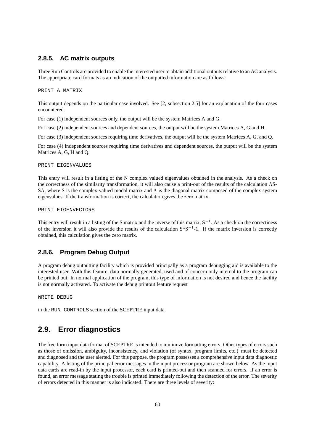## **2.8.5. AC matrix outputs**

Three Run Controls are provided to enable the interested user to obtain additional outputs relative to an AC analysis. The appropriate card formats as an indication of the outputted information are as follows:

PRINT A MATRIX

This output depends on the particular case involved. See [2, subsection 2.5] for an explanation of the four cases encountered.

For case (1) independent sources only, the output will be the system Matrices A and G.

For case (2) independent sources and dependent sources, the output will be the system Matrices A, G and H.

For case (3) independent sources requiring time derivatives, the output will be the system Matrices A, G, and Q.

For case (4) independent sources requiring time derivatives and dependent sources, the output will be the system Matrices A, G, H and Q.

PRINT EIGENVALUES

This entry will result in a listing of the N complex valued eigenvalues obtained in the analysis. As a check on the correctness of the similarity transformation, it will also cause a print-out of the results of the calculation ΛS-SΛ, where S is the complex-valued modal matrix and  $\Lambda$  is the diagonal matrix composed of the complex system eigenvalues. If the transformation is correct, the calculation gives the zero matrix.

PRINT EIGENVECTORS

This entry will result in a listing of the S matrix and the inverse of this matrix,  $S^{-1}$ . As a check on the correctiness of the inversion it will also provide the results of the calculation S\*S<sup>-1</sup>-1. If the matrix inversion is correctly obtained, this calculation gives the zero matrix.

# **2.8.6. Program Debug Output**

A program debug outputting facility which is provided principally as a program debugging aid is available to the interested user. With this feature, data normally generated, used and of concern only internal to the program can be printed out. In normal application of the program, this type of information is not desired and hence the facility is not normally activated. To activate the debug printout feature request

WRITE DEBUG

in the RUN CONTROLS section of the SCEPTRE input data.

# **2.9. Error diagnostics**

The free form input data format of SCEPTRE is intended to minimize formatting errors. Other types of errors such as those of omission, ambiguity, inconsistency, and violation (of syntax, program limits, etc.) must be detected and diagnosed and the user alerted. For this purpose, the program possesses a comprehensive input data diagnostic capability. A listing of the principal error messages in the input processor program are shown below. As the input data cards are read-in by the input processor, each card is printed-out and then scanned for errors. If an error is found, an error message stating the trouble is printed immediately following the detection of the error. The severity of errors detected in this manner is also indicated. There are three levels of severity: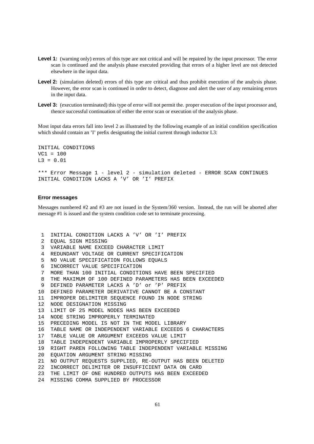- **Level 1:** (warning only) errors of this type are not critical and will be repaired by the input processor. The error scan is continued and the analysis phase executed providing that errors of a higher level are not detected elsewhere in the input data.
- **Level 2:** (simulation deleted) errors of this type are critical and thus prohibit execution of the analysis phase. However, the error scan is continued in order to detect, diagnose and alert the user of any remaining errors in the input data.
- **Level 3:** (execution terminated) this type of error will not permit the. proper execution of the input processor and, thence successful continuation of either the error scan or execution of the analysis phase.

Most input data errors fall into level 2 as illustrated by the following example of an initial condition specification which should contain an 'I' prefix designating the initial current through inductor L3:

INITIAL CONDITIONS VC1 = 100  $L3 = 0.01$ \*\*\* Error Message 1 - level 2 - simulation deleted - ERROR SCAN CONTINUES INITIAL CONDITION LACKS A 'V' OR 'I' PREFIX

### **Error messages**

Messages numbered #2 and #3 are not issued in the System/360 version. Instead, the run will be aborted after message #1 is issued and the system condition code set to terminate processing.

1 INITIAL CONDITION LACKS A 'V' OR 'I' PREFIX 2 EQUAL SIGN MISSING 3 VARIABLE NAME EXCEED CHARACTER LIMIT 4 REDUNDANT VOLTAGE OR CURRENT SPECIFICATION 5 NO VALUE SPECIFICATION FOLLOWS EQUALS 6 INCORRECT VALUE SPECIFICATION 7 MORE THAN 100 INITIAL CONDITIONS HAVE BEEN SPECIFIED 8 THE MAXIMUM OF 100 DEFINED PARAMETERS HAS BEEN EXCEEDED 9 DEFINED PARAMETER LACKS A 'D' or 'P' PREFIX 10 DEFINED PARAMETER DERIVATIVE CANNOT BE A CONSTANT 11 IMPROPER DELIMITER SEQUENCE FOUND IN NODE STRING 12 NODE DESIGNATION MISSING 13 LIMIT OF 25 MODEL NODES HAS BEEN EXCEEDED 14 NODE STRING IMPROPERLY TERMINATED 15 PRECEDING MODEL IS NOT IN THE MODEL LIBRARY 16 TABLE NAME OR INDEPENDENT VARIABLE EXCEEDS 6 CHARACTERS 17 TABLE VALUE OR ARGUMENT EXCEEDS VALUE LIMIT 18 TABLE INDEPENDENT VARIABLE IMPROPERLY SPECIFIED 19 RIGHT PAREN FOLLOWING TABLE INDEPENDENT VARIABLE MISSING 20 EQUATION ARGUMENT STRING MISSING 21 NO OUTPUT REQUESTS SUPPLIED, RE-OUTPUT HAS BEEN DELETED 22 INCORRECT DELIMITER OR INSUFFICIENT DATA ON CARD 23 THE LIMIT OF ONE HUNDRED OUTPUTS HAS BEEN EXCEEDED 24 MISSING COMMA SUPPLIED BY PROCESSOR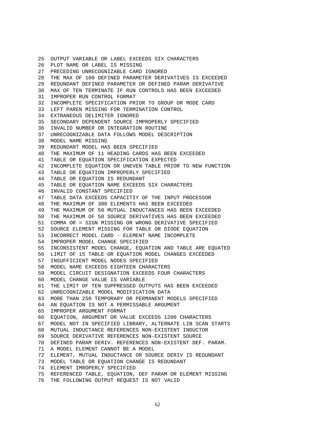25 OUTPUT VARIABLE OR LABEL EXCEEDS SIX CHARACTERS 26 PLOT NAME OR LABEL IS MISSING 27 PRECEDING UNRECOGNIZABLE CARD IGNORED 28 THE MAX OF 100 DEFINED PARAMETER DERIVATIVES IS EXCEEDED 29 REDUNDANT DEFINED PARAMETER OR DEFINED PARAM DERIVATIVE 30 MAX OF TEN TERMINATE IF RUN CONTROLS HAS BEEN EXCEEDED 31 IMPROPER RUN CONTROL FORMAT 32 INCOMPLETE SPECIFICATION PRIOR TO GROUP OR MODE CARD 33 LEFT PAREN MISSING FOR TERMINATION CONTROL 34 EXTRANEOUS DELIMITER IGNORED 35 SECONDARY DEPENDENT SOURCE IMPROPERLY SPECIFIED 36 INVALID NUMBER OR INTEGRATION ROUTINE 37 UNRECOGNIZABLE DATA FOLLOWS MODEL DESCRIPTION 38 MODEL NAME MISSING 39 REDUNDANT MODEL HAS BEEN SPECIFIED 40 THE MAXIMUM OF 11 HEADING CARDS HAS BEEN EXCEEDED 41 TABLE OR EQUATION SPECIFICATION EXPECTED 42 INCOMPLETE EQUATION OR UNEVEN TABLE PRIOR TO NEW FUNCTION 43 TABLE OR EQUATION IMPROPERLY SPECIFIED 44 TABLE OR EQUATION IS REDUNDANT 45 TABLE OR EQUATION NAME EXCEEDS SIX CHARACTERS 46 INVALID CONSTANT SPECIFIED 47 TABLE DATA EXCEEDS CAPACITIY OF THE INPUT PROCESSOR 48 THE MAXIMUM OF 300 ELEMENTS HAS BEEN EXCEEDED 49 THE MAXIMUM OF 50 MUTUAL INDUCTANCES HAS BEEN EXCEEDED 50 THE MAXIMUM OF 50 SOURCE DERIVATIVES HAS BEEN EXCEEDED 51 COMMA OR = SIGN MISSING OR WRONG DERIVATIVE SPECIFIED 52 SOURCE ELEMENT MISSING FOR TABLE OR DIODE EQUATION 53 INCORRECT MODEL CARD - ELEMENT NAME INCOMPLETE 54 IMPROPER MODEL CHANGE SPECIFIED 55 INCONSISTENT MODEL CHANGE, EQUATION AND TABLE ARE EQUATED 56 LIMIT OF 15 TABLE OR EQUATION MODEL CHANGES EXCEEDED 57 INSUFFICIENT MODEL NODES SPECIFIED 58 MODEL NAME EXCEEDS EIGHTEEN CHARACTERS 59 MODEL CIRCUIT DESIGNATION EXCEEDS FOUR CHARACTERS 60 MODEL CHANGE VALUE IS VARIABLE 61 THE LIMIT OF TEN SUPPRESSED OUTPUTS HAS BEEN EXCEEDED 62 UNRECOGNIZABLE MODEL MODIFICATION DATA 63 MORE THAN 250 TEMPORARY OR PERMANENT MODELS SPECIFIED 64 AN EQUATION IS NOT A PERMISSABLE ARGUMENT 65 IMPROPER ARGUMENT FORMAT 66 EQUATION, ARGUMENT OR VALUE EXCEEDS 1200 CHARACTERS 67 MODEL NOT IN SPECIFIED LIBRARY, ALTERNATE LIB SCAN STARTS 68 MUTUAL INDUCTANCE REFERENCES NON-EXISTENT INDUCTOR 69 SOURCE DERIVATIVE REFERENCES NON-EXISTENT SOURCE 70 DEFINED PARAM DERIV. REFERENCES NON-EXISTENT DEF. PARAM. 71 A MODEL ELEMENT CANNOT BE A MODEL 72 ELEMENT, MUTUAL INDUCTANCE OR SOURCE DERIV IS REDUNDANT 73 MODEL TABLE OR EQUATION CHANGE IS REDUNDANT 74 ELEMENT IMROPERLY SPECIFIED 75 REFERENCED TABLE, EQUATION, DEF PARAM OR ELEMENT MISSING

76 THE FOLLOWING OUTPUT REQUEST IS NOT VALID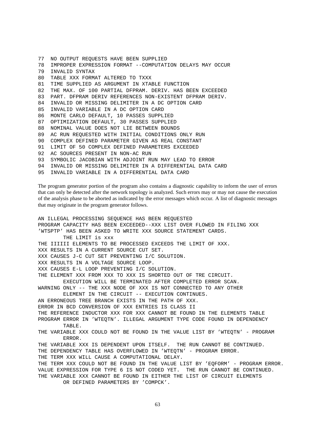77 NO OUTPUT REQUESTS HAVE BEEN SUPPLIED 78 IMPROPER EXPRESSION FORMAT --COMPUTATION DELAYS MAY OCCUR 79 INVALID SYNTAX 80 TABLE XXX FORMAT ALTERED TO TXXX 81 TIME SUPPLIED AS ARGUMENT IN XTABLE FUNCTION 82 THE MAX. OF 100 PARTIAL DFPRAM. DERIV. HAS BEEN EXCEEDED 83 PART. DFPRAM DERIV REFERENCES NON-EXISTENT DFPRAM DERIV. 84 INVALID OR MISSING DELIMITER IN A DC OPTION CARD 85 INVALID VARIABLE IN A DC OPTION CARD 86 MONTE CARLO DEFAULT, 10 PASSES SUPPLIED 87 OPTIMIZATION DEFAULT, 30 PASSES SUPPLIED 88 NOMINAL VALUE DOES NOT LIE BETWEEN BOUNDS 89 AC RUN REQUESTED WITH INITIAL CONDITIONS ONLY RUN 90 COMPLEX DEFINED PARAMETER GIVEN AS REAL CONSTANT 91 LIMIT OF 50 COMPLEX DEFINED PARAMETERS EXCEEDED 92 AC SOURCES PRESENT IN NON-AC RUN 93 SYMBOLIC JACOBIAN WITH ADJOINT RUN MAY LEAD TO ERROR 94 INVALID OR MISSING DELIMITER IN A DIFFERENTIAL DATA CARD 95 INVALID VARIABLE IN A DIFFERENTIAL DATA CARD

The program generator portion of the program also contains a diagnostic capability to inform the user of errors that can only be detected after the network topology is analyzed. Such errors may or may not cause the execution of the analysis phase to be aborted as indicated by the error messages which occur. A list of diagnostic messages that may originate in the program generator follows.

AN ILLEGAL PROCESSING SEQUENCE HAS BEEN REQUESTED PROGRAM CAPACITY HAS BEEN EXCEEDED--XXX LIST OVER FLOWED IN FILING XXX 'WTSPTP' HAS BEEN ASKED TO WRITE XXX SOURCE STATEMENT CARDS. THE LIMIT is xxx THE IIIIII ELEMENTS TO BE PROCESSED EXCEEDS THE LIMIT OF XXX. XXX RESULTS IN A CURRENT SOURCE CUT SET. XXX CAUSES J-C CUT SET PREVENTING I/C SOLUTION. XXX RESULTS IN A VOLTAGE SOURCE LOOP. XXX CAUSES E-L LOOP PREVENTING I/C SOLUTION. THE ELEMENT XXX FROM XXX TO XXX IS SHORTED OUT OF TRE CIRCUIT. EXECUTION WILL BE TERMINATED AFTER COMPLETED ERROR SCAN. WARNING ONLY -- THE XXX NODE OF XXX IS NOT CONNECTED TO ANY OTHER ELEMENT IN THE CIRCUIT -- EXECUTION CONTINUES. AN ERRONEOUS TREE BRANCH EXISTS IN THE PATH OF XXX. ERROR IN BCD CONVERSION OF XXX ENTRIES IS CLASS II THE REFERENCE INDUCTOR XXX FOR XXX CANNOT BE FOUND IN THE ELEMENTS TABLE PROGRAM ERROR IN 'WTEQTN'. ILLEGAL ARGUMENT TYPE CODE FOUND IN DEPENDENCY TABLE. THE VARIABLE XXX COULD NOT BE FOUND IN THE VALUE LIST BY 'WTEQTN' - PROGRAM ERROR. THE VARIABLE XXX IS DEPENDENT UPON ITSELF. THE RUN CANNOT BE CONTINUED. THE DEPENDENCY TABLE HAS OVERFLOWED IN 'WTEQTN' - PROGRAM ERROR. THE TERM XXX WILL CAUSE A COMPUTATIONAL DELAY. THE TERM XXX COULD NOT BE FOUND IN THE VALUE LIST BY 'EQFORM' - PROGRAM ERROR. VALUE EXPRESSION FOR TYPE 6 IS NOT CODED YET. THE RUN CANNOT BE CONTINUED. THE VARIABLE XXX CANNOT BE FOUND IN EITHER THE LIST OF CIRCUIT ELEMENTS OR DEFINED PARAMETERS BY 'COMPCK'.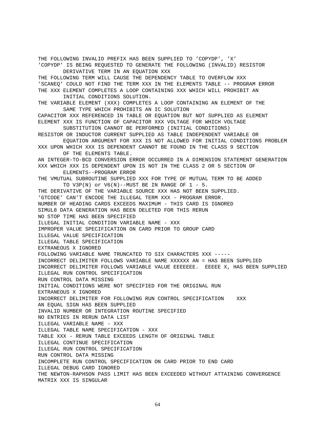THE FOLLOWING INVALID PREFIX HAS BEEN SUPPLIED TO 'COPYDP', 'X' 'COPYDP' IS BEING REQUESTED TO GENERATE THE FOLLOWING (INVALID) RESISTOR DERIVATIVE TERM IN AN EQUATION XXX THE FOLLOWING TERM WILL CAUSE THE DEPENDENCY TABLE TO OVERFLOW XXX 'SCANEQ' COULD NOT FIND THE TERM XXX IN THE ELEMENTS TABLE -- PROGRAM ERROR THE XXX ELEMENT COMPLETES A LOOP CONTAINING XXX WHICH WILL PROHIBIT AN INITIAL CONDITIONS SOLUTION. THE VARIABLE ELEMENT (XXX) COMPLETES A LOOP CONTAINING AN ELEMENT OF THE SAME TYPE WHICH PROHIBITS AN IC SOLUTION CAPACITOR XXX REFERENCED IN TABLE OR EQUATION BUT NOT SUPPLIED AS ELEMENT ELEMENT XXX IS FUNCTION OF CAPACITOR XXX VOLTAGE FOR WHICH VOLTAGE SUBSTITUTION CANNOT BE PERFORMED (INITIAL CONDITIONS) RESISTOR OR INDUCTOR CURRENT SUPPLIED AS TABLE INDEPENDENT VARIABLE OR EQUATION ARGUMENT FOR XXX IS NOT ALLOWED FOR INITIAL CONDITIONS PROBLEM XXX UPON WHICH XXX IS DEPENDENT CANNOT BE FOUND IN THE CLASS 9 SECTION OF THE ELEMENTS TABLE. AN INTEGER-TO-BCD CONVERSION ERROR OCCURRED IN A DIMENSION STATEMENT GENERATION XXX WHICH XXX IS DEPENDENT UPON IS NOT IN THE CLASS 2 OR 5 SECTION OF ELEMENTS--PROGRAM ERROR THE VMUTUAL SUBROUTINE SUPPLIED XXX FOR TYPE OF MUTUAL TERM TO BE ADDED TO V3P(N) or  $V6(N)$ --MUST BE IN RANGE OF  $1 - 5$ . THE DERIVATIVE OF THE VARIABLE SOURCE XXX HAS NOT BEEN SUPPLIED. 'GTCODE' CAN'T ENCODE THE ILLEGAL TERM XXX - PROGRAM ERROR. NUMBER OF HEADING CARDS EXCEEDS MAXIMUM - THIS CARD IS IGNORED SIMUL8 DATA GENERATION HAS BEEN DELETED FOR THIS RERUN NO STOP TIME HAS BEEN SPECIFIED ILLEGAL INITIAL CONDITION VARIABLE NAME - XXX IMPROPER VALUE SPECIFICATION ON CARD PRIOR TO GROUP CARD ILLEGAL VALUE SPECIFICATION ILLEGAL TABLE SPECIFICATION EXTRANEOUS X IGNORED FOLLOWING VARIABLE NAME TRUNCATED TO SIX CHARACTERS XXX ----- INCORRECT DELIMITER FOLLOWS VARIABLE NAME XXXXXX AN = HAS BEEN SUPPLIED INCORRECT DELIMITER FOLLOWS VARIABLE VALUE EEEEEEE. EEEEE X, HAS BEEN SUPPLIED ILLEGAL RUN CONTROL SPECIFICATION RUN CONTROL DATA MISSING INITIAL CONDITIONS WERE NOT SPECIFIED FOR THE ORIGINAL RUN EXTRANEOUS X IGNORED INCORRECT DELIMITER FOR FOLLOWING RUN CONTROL SPECIFICATION XXX AN EQUAL SIGN HAS BEEN SUPPLIED INVALID NUMBER OR INTEGRATION ROUTINE SPECIFIED NO ENTRIES IN RERUN DATA LIST ILLEGAL VARIABLE NAME - XXX ILLEGAL TABLE NAME SPECIFICATION - XXX TABLE XXX - RERUN TABLE EXCEEDS LENGTH OF ORIGINAL TABLE ILLEGAL CONTINUE SPECIFICATION ILLEGAL RUN CONTROL SPECIFICATION RUN CONTROL DATA MISSING INCOMPLETE RUN CONTROL SPECIFICATION ON CARD PRIOR TO END CARD ILLEGAL DEBUG CARD IGNORED THE NEWTON-RAPHSON PASS LIMIT HAS BEEN EXCEEDED WITHOUT ATTAINING CONVERGENCE MATRIX XXX IS SINGULAR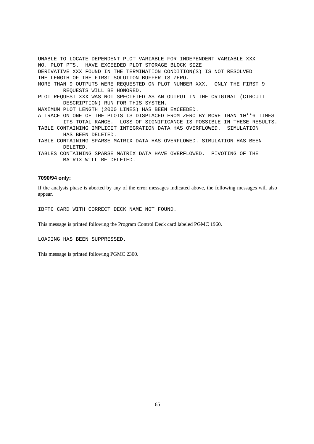UNABLE TO LOCATE DEPENDENT PLOT VARIABLE FOR INDEPENDENT VARIABLE XXX NO. PLOT PTS. HAVE EXCEEDED PLOT STORAGE BLOCK SIZE DERIVATIVE XXX FOUND IN THE TERMINATION CONDITION(S) IS NOT RESOLVED THE LENGTH OF THE FIRST SOLUTION BUFFER IS ZERO. MORE THAN 9 OUTPUTS WERE REQUESTED ON PLOT NUMBER XXX. ONLY THE FIRST 9 REQUESTS WILL BE HONORED. PLOT REQUEST XXX WAS NOT SPECIFIED AS AN OUTPUT IN THE ORIGINAL (CIRCUIT DESCRIPTION) RUN FOR THIS SYSTEM. MAXIMUM PLOT LENGTH (2000 LINES) HAS BEEN EXCEEDED. A TRACE ON ONE OF THE PLOTS IS DISPLACED FROM ZERO BY MORE THAN 10\*\*6 TIMES ITS TOTAL RANGE. LOSS OF SIGNIFICANCE IS POSSIBLE IN THESE RESULTS. TABLE CONTAINING IMPLICIT INTEGRATION DATA HAS OVERFLOWED. SIMULATION HAS BEEN DELETED. TABLE CONTAINING SPARSE MATRIX DATA HAS OVERFLOWED. SIMULATION HAS BEEN DELETED. TABLES CONTAINING SPARSE MATRIX DATA HAVE OVERFLOWED. PIVOTING OF THE MATRIX WILL BE DELETED.

#### **7090/94 only:**

If the analysis phase is aborted by any of the error messages indicated above, the following messages will also appear.

IBFTC CARD WITH CORRECT DECK NAME NOT FOUND.

This message is printed following the Program Control Deck card labeled PGMC 1960.

LOADING HAS BEEN SUPPRESSED.

This message is printed following PGMC 2300.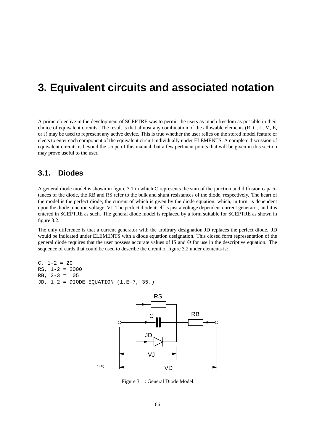# **3. Equivalent circuits and associated notation**

A prime objective in the development of SCEPTRE was to permit the users as much freedom as possible in their choice of equivalent circuits. The result is that almost any combination of the allowable elements (R, C, L, M, E, or J) may be used to represent any active device. This is true whether the user relies on the stored model feature or elects to enter each component of the equivalent circuit individually under ELEMENTS. A complete discussion of equivalent circuits is beyond the scope of this manual, but a few pertinent points that will be given in this section may prove useful to the user.

### **3.1. Diodes**

A general diode model is shown in figure 3.1 in which C represents the sum of the junction and diffusion capacitances of the diode, the RB and RS refer to the bulk and shunt resistances of the diode, respectively. The heart of the model is the perfect diode, the current of which is given by the diode equation, which, in turn, is dependent upon the diode junction voltage, VJ. The perfect diode itself is just a voltage dependent current generator, and it is entered in SCEPTRE as such. The general diode model is replaced by a form suitable for SCEPTRE as shown in figure 3.2.

The only difference is that a current generator with the arbitrary designation JD replaces the perfect diode. JD would be indicated under ELEMENTS with a diode equation designation. This closed form representation of the general diode requires that the user possess accurate values of IS and Θ for use in the descriptive equation. The sequence of cards that could be used to describe the circuit of figure 3.2 under elements is:

```
C, 1-2 = 20RS, 1-2 = 2000RB, 2-3 = .05JD, 1-2 = DIODE EQUATION (1.E-7, 35.)
```


Figure 3.1.: General Diode Model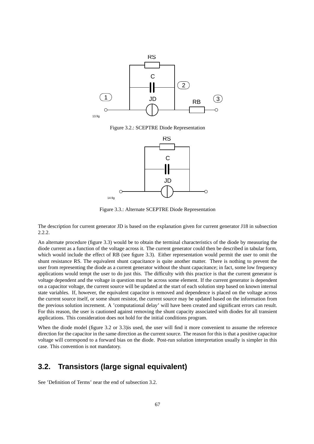

Figure 3.2.: SCEPTRE Diode Representation



Figure 3.3.: Alternate SCEPTRE Diode Representation

The description for current generator JD is based on the explanation given for current generator J18 in subsection 2.2.2.

An alternate procedure (figure 3.3) would be to obtain the terminal characteristics of the diode by measuring the diode current as a function of the voltage across it. The current generator could then be described in tabular form, which would include the effect of RB (see figure 3.3). Either representation would permit the user to omit the shunt resistance RS. The equivalent shunt capacitance is quite another matter. There is nothing to prevent the user from representing the diode as a current generator without the shunt capacitance; in fact, some low frequency applications would tempt the user to do just this. The difficulty with this practice is that the current generator is voltage dependent and the voltage in question must be across some element. If the current generator is dependent on a capacitor voltage, the current source will be updated at the start of each solution step based on known internal state variables. If, however, the equivalent capacitor is removed and dependence is placed on the voltage across the current source itself, or some shunt resistor, the current source may be updated based on the information from the previous solution increment. A 'computational delay' will have been created and significant errors can result. For this reason, the user is cautioned against removing the shunt capacity associated with diodes for all transient applications. This consideration does not hold for the initial conditions program.

When the diode model (figure 3.2 or 3.3)is used, the user will find it more convenient to assume the reference direction for the capacitor in the same direction as the current source. The reason for this is that a positive capacitor voltage will correspond to a forward bias on the diode. Post-run solution interpretation usually is simpler in this case. This convention is not mandatory.

# **3.2. Transistors (large signal equivalent)**

See 'Definition of Terms' near the end of subsection 3.2.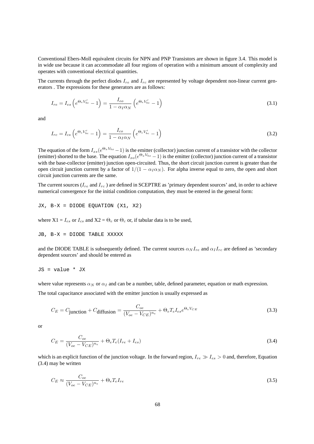Conventional Ebers-Moll equivalent circuits for NPN and PNP Transistors are shown in figure 3.4. This model is in wide use because it can accommodate all four regions of operation with a minimum amount of complexity and operates with conventional electrical quantities.

The currents through the perfect diodes  $I_{re}$  and  $I_{rc}$  are represented by voltage dependent non-linear current generators . The expressions for these generators are as follows:

$$
I_{re} = I_{es} \left( e^{\Theta_e V'_{be}} - 1 \right) = \frac{I_{eo}}{1 - \alpha_I \alpha_N} \left( e^{\Theta_e V'_{be}} - 1 \right)
$$
\n(3.1)

and

$$
I_{rc} = I_{cs} \left( e^{\Theta_c V'_{bc}} - 1 \right) = \frac{I_{co}}{1 - \alpha_I \alpha_N} \left( e^{\Theta_c V'_{bc}} - 1 \right)
$$
\n(3.2)

The equation of the form  $I_{xs}(e^{\Theta_x V_{bx}}-1)$  is the emitter (collector) junction current of a transistor with the collector (emitter) shorted to the base. The equation  $I_{xo}(e^{\Theta_x V_{bx}} - 1)$  is the emitter (collector) junction current of a transistor with the base-collector (emitter) junction open-circuited. Thus, the short circuit junction current is greater than the open circuit junction current by a factor of  $1/(1 - \alpha_I \alpha_N)$ . For alpha inverse equal to zero, the open and short circuit junction currents are the same.

The current sources ( $I_{re}$  and  $I_{rc}$ ) are defined in SCEPTRE as 'primary dependent sources' and, in order to achieve numerical convergence for the initial condition computation, they must be entered in the general form:

JX, B-X = DIODE EQUATION (X1, X2)

where  $X1 = I_{es}$  or  $I_{cs}$  and  $X2 = \Theta_e$  or  $\Theta_c$  or, if tabular data is to be used,

JB, B-X = DIODE TABLE XXXXX

and the DIODE TABLE is subsequently defined. The current sources  $\alpha_N I_{re}$  and  $\alpha_I I_{re}$  are defined as 'secondary dependent sources' and should be entered as

 $JS = value * JX$ 

where value represents  $\alpha_N$  or  $\alpha_I$  and can be a number, table, defined parameter, equation or math expression.

The total capacitance associated with the emitter junction is usually expressed as

$$
C_E = C_{\text{junction}} + C_{\text{diffusion}} = \frac{C_{oe}}{(V_{oe} - V_{CE})^{n_e}} + \Theta_e T_e I_{es} e^{\Theta_e V_{CE}}
$$
(3.3)

or

$$
C_E = \frac{C_{oe}}{(V_{oe} - V_{CE})^{n_e}} + \Theta_e T_e (I_{re} + I_{es})
$$
\n(3.4)

which is an explicit function of the junction voltage. In the forward region,  $I_{re} \gg I_{es} > 0$  and, therefore, Equation (3.4) may be written

$$
C_E \approx \frac{C_{oe}}{(V_{oe} - V_{CE})^{n_e}} + \Theta_e T_e I_{re}
$$
\n(3.5)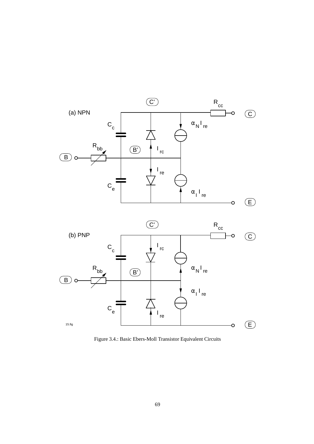



Figure 3.4.: Basic Ebers-Moll Transistor Equivalent Circuits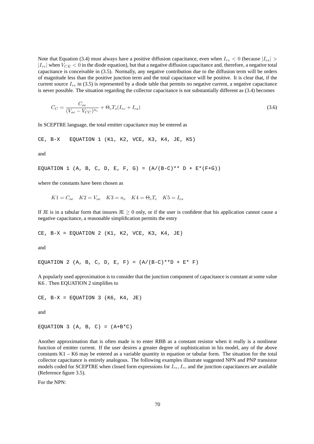Note that Equation (3.4) must always have a positive diffusion capacitance, even when  $I_{re} < 0$  (because  $|I_{es}| >$  $|I_{re}|$  when  $V_{CE}$  < 0 in the diode equation), but that a negative diffusion capacitance and, therefore, a negative total capacitance is conceivable in (3.5). Normally, any negative contribution due to the diffusion term will be orders of magnitude less than the positive junction term and the total capacitance will be positive. It is clear that, if the current source  $I_{re}$  in (3.5) is represented by a diode table that permits no negative current, a negative capacitance is never possible. The situation regarding the collector capacitance is not substantially different as (3.4) becomes

$$
C_C = \frac{C_{oe}}{(V_{oc} - V_{CC})^{n_c}} + \Theta_c T_s (I_{rc} + I_{cs})
$$
\n(3.6)

In SCEPTRE language, the total emitter capacitance may be entered as

CE, B-X EQUATION 1 (K1, K2, VCE, K3, K4, JE, K5)

and

EQUATION 1 (A, B, C, D, E, F, G) =  $(A/(B-C)*D + E*(F+G))$ 

where the constants have been chosen as

 $K1 = C_{oe}$   $K2 = V_{oe}$   $K3 = n_e$   $K4 = \Theta_e T_e$   $K5 = I_{es}$ 

If JE is in a tabular form that insures JE  $\geq$  0 only, or if the user is confident that his application cannot cause a negative capacitance, a reasonable simplification permits the entry

CE,  $B-X = EQUATION 2 (K1, K2, VCE, K3, K4, JE)$ 

and

EQUATION 2 (A, B, C, D, E, F) =  $(A/(B-C)*D + E*F)$ 

A popularly used approximation is to consider that the junction component of capacitance is constant at some value K6 . Then EQUATION 2 simplifies to

CE,  $B-X = EQUATION 3 (K6, K4, JE)$ 

and

EQUATION 3 (A, B, C) =  $(A+B*C)$ 

Another approximation that is often made is to enter RBB as a constant resistor when it really is a nonlinear function of emitter current. If the user desires a greater degree of sophistication in his model, any of the above constants K1 – K6 may be entered as a variable quantity in equation or tabular form. The situation for the total collector capacitance is entirely analogous. The following examples illustrate suggested NPN and PNP transistor models coded for SCEPTRE when closed form expressions for  $I_{re}$ ,  $I_{re}$  and the junction capacitances are available (Reference figure 3.5).

For the NPN: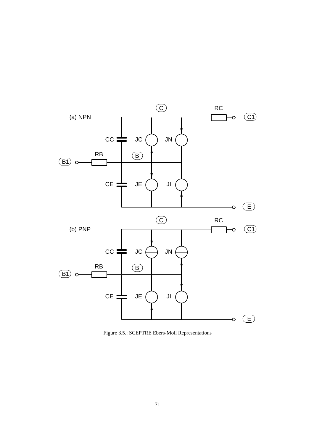

Figure 3.5.: SCEPTRE Ebers-Moll Representations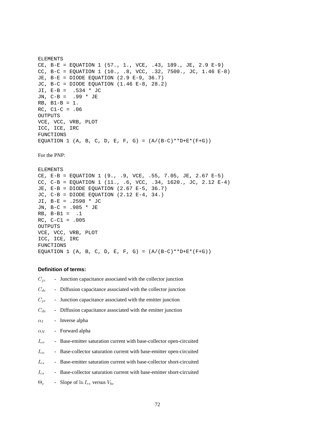```
ELEMENTS
CE, B-E = EQUATION 1 (57., 1., VCE, .43, 189., JE, 2.9 E-9)
CC, B-C = EQUATION 1 (10., .8, VCC, .32, 7500., JC, 1.46 E-8)
JE, B-E = DIODE EQUATION (2.9 E-9, 36.7)
JC, B-C = DIODE EQUATION (1.46 E-8, 28.2)JI, E-B = .534 * JC
JN, C-B = .99 * JE
RB, B1-B = 1.
RC, CL-C = .06OUTPUTS
VCE, VCC, VRB, PLOT
ICC, ICE, IRC
FUNCTIONS
EQUATION 1 (A, B, C, D, E, F, G) = (A/(B-C)*D+E*(F+G))For the PNP:
ELEMENTS
CE, E-B = EQUATION 1 (9., .9, VCE, .55, 7.05, JE, 2.67 E-5)
CC, C-B = EQUATION 1 (11., .6, VCC, .34, 1620., JC, 2.12 E-4)
JE, E-B = DIODE EQUATION (2.67 E-5, 36.7)
JC, C-B = DIODE EQUATION (2.12 E-4, 34.)
JI, B-E = .2598 * JC
JN, B-C = .985 * JE
RB, B-B1 = .1
RC, C-C1 = .005OUTPUTS
VCE, VCC, VRB, PLOT
ICC, ICE, IRC
FUNCTIONS
EQUATION 1 (A, B, C, D, E, F, G) = (A/(B-C)**D+E*(F+G))
```
#### **Definition of terms:**

- $C_{jc}$  Junction capacitance associated with the collector junction
- $C_{dc}$  Diffusion capacitance associated with the collector junction
- $C_{je}$  Junction capacitance associated with the emitter junction
- $C_{de}$  Diffusion capacitance associated with the emitter junction
- $\alpha_I$  Inverse alpha
- $\alpha_N$  Forward alpha
- $I_{eo}$  Base-emitter saturation current with base-collector open-circuited
- $I_{co}$  Base-collector saturation current with base-emitter open-circuited
- $I_{ex}$  Base-emitter saturation current with base-collector short-circuited
- $I_{cs}$  Base-collector saturation current with base-emitter short-circuited
- $\Theta_e$  Slope of  $\ln I_{re}$  versus  $V_{be}$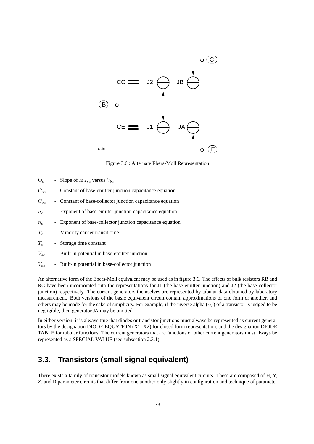

Figure 3.6.: Alternate Ebers-Moll Representation

- $\Theta_c$  Slope of  $\ln I_{rc}$  versus  $V_{bc}$
- $C_{oe}$  Constant of base-emitter junction capacitance equation
- $C_{oc}$  Constant of base-collector junction capacitance equation
- $n_e$  Exponent of base-emitter junction capacitance equation
- $n_c$  Exponent of base-collector junction capacitance equation
- $T_e$  Minority carrier transit time
- $T<sub>s</sub>$  Storage time constant
- $V_{oe}$  Built-in potential in base-emitter junction
- $V_{oc}$  Built-in potential in base-collector junction

An alternative form of the Ebers-Moll equivalent may be used as in figure 3.6. The effects of bulk resistors RB and RC have been incorporated into the representations for J1 (the base-emitter junction) and J2 (the base-collector junction) respectively. The current generators themselves are represented by tabular data obtained by laboratory measurement. Both versions of the basic equivalent circuit contain approximations of one form or another, and others may be made for the sake of simplicity. For example, if the inverse alpha  $(\alpha_I)$  of a transistor is judged to be negligible, then generator JA may be omitted.

In either version, it is always true that diodes or transistor junctions must always be represented as current generators by the designation DIODE EQUATION (X1, X2) for closed form representation, and the designation DIODE TABLE for tabular functions. The current generators that are functions of other current generators must always be represented as a SPECIAL VALUE (see subsection 2.3.1).

## **3.3. Transistors (small signal equivalent)**

There exists a family of transistor models known as small signal equivalent circuits. These are composed of H, Y, Z, and R parameter circuits that differ from one another only slightly in configuration and technique of parameter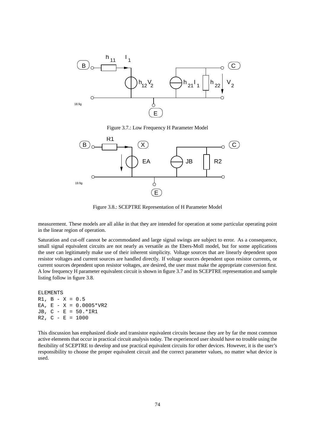

Figure 3.7.: Low Frequency H Parameter Model



Figure 3.8.: SCEPTRE Representation of H Parameter Model

measurement. These models are all alike in that they are intended for operation at some particular operating point in the linear region of operation.

Saturation and cut-off cannot be accommodated and large signal swings are subject to error. As a consequence, small signal equivalent circuits are not nearly as versatile as the Ebers-Moll model, but for some applications the user can legitimately make use of their inherent simplicity. Voltage sources that are linearly dependent upon resistor voltages and current sources are handled directly. If voltage sources dependent upon resistor currents, or current sources dependent upon resistor voltages, are desired, the user must make the appropriate conversion first. A low frequency H parameter equivalent circuit is shown in figure 3.7 and its SCEPTRE representation and sample listing follow in figure 3.8.

ELEMENTS  $R1, B - X = 0.5$ EA,  $E - X = 0.0005*VR2$ JB, C - E = 50.\*IR1  $R2, C - E = 1000$ 

This discussion has emphasized diode and transistor equivalent circuits because they are by far the most common active elements that occur in practical circuit analysis today. The experienced user should have no trouble using the flexibility of SCEPTRE to develop and use practical equivalent circuits for other devices. However, it is the user's responsibility to choose the proper equivalent circuit and the correct parameter values, no matter what device is used.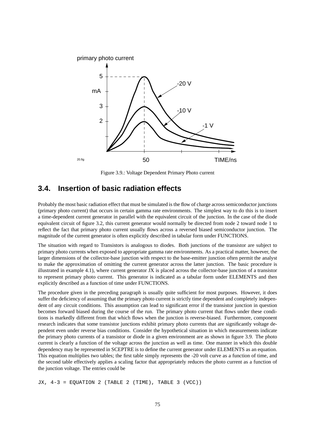

Figure 3.9.: Voltage Dependent Primary Photo current

### **3.4. Insertion of basic radiation effects**

Probably the most basic radiation effect that must be simulated is the flow of charge across semiconductor junctions (primary photo current) that occurs in certain gamma rate environments. The simplest way to do this is to insert a time-dependent current generator in parallel with the equivalent circuit of the junction. In the case of the diode equivalent circuit of figure 3.2, this current generator would normally be directed from node 2 toward node 1 to reflect the fact that primary photo current usually flows across a reversed biased semiconductor junction. The magnitude of the current generator is often explicitly described in tabular form under FUNCTIONS.

The situation with regard to Transistors is analogous to diodes. Both junctions of the transistor are subject to primary photo currents when exposed to appropriate gamma rate environments. As a practical matter, however, the larger dimensions of the collector-base junction with respect to the base-emitter junction often permit the analyst to make the approximation of omitting the current generator across the latter junction. The basic procedure is illustrated in example 4.1), where current generator JX is placed across the collector-base junction of a transistor to represent primary photo current. This generator is indicated as a tabular form under ELEMENTS and then explicitly described as a function of time under FUNCTIONS.

The procedure given in the preceding paragraph is usually quite sufficient for most purposes. However, it does suffer the deficiency of assuming that the primary photo current is strictly time dependent and completely independent of any circuit conditions. This assumption can lead to significant error if the transistor junction in question becomes forward biased during the course of the run. The primary photo current that flows under these conditions is markedly different from that which flows when the junction is reverse-biased. Furthermore, component research indicates that some transistor junctions exhibit primary photo currents that are significantly voltage dependent even under reverse bias conditions. Consider the hypothetical situation in which measurements indicate the primary photo currents of a transistor or diode in a given environment are as shown in figure 3.9. The photo current is clearly a function of the voltage across the junction as well as time. One manner in which this double dependency may be represented in SCEPTRE is to define the current generator under ELEMENTS as an equation. This equation multiplies two tables; the first table simply represents the -20 volt curve as a function of time, and the second table effectively applies a scaling factor that appropriately reduces the photo current as a function of the junction voltage. The entries could be

JX,  $4-3$  = EQUATION 2 (TABLE 2 (TIME), TABLE 3 (VCC))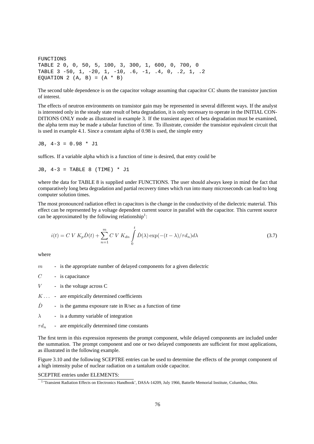FUNCTIONS TABLE 2 0, 0, 50, 5, 100, 3, 300, 1, 600, 0, 700, 0 TABLE 3 -50, 1, -20, 1, -10, .6, -1, .4, 0, .2, 1, .2 EQUATION 2  $(A, B) = (A * B)$ 

The second table dependence is on the capacitor voltage assuming that capacitor CC shunts the transistor junction of interest.

The effects of neutron environments on transistor gain may be represented in several different ways. If the analyst is interested only in the steady state result of beta degradation, it is only necessary to operate in the INITIAL CON-DITIONS ONLY mode as illustrated in example 3. If the transient aspect of beta degradation must be examined, the alpha term may be made a tabular function of time. To illustrate, consider the transistor equivalent circuit that is used in example 4.1. Since a constant alpha of 0.98 is used, the simple entry

 $JB. 4-3 = 0.98 * J1$ 

suffices. If a variable alpha which is a function of time is desired, that entry could be

JB, 
$$
4-3
$$
 = TABLE 8 (TIME) \* J1

where the data for TABLE 8 is supplied under FUNCTIONS. The user should always keep in mind the fact that comparatively long beta degradation and partial recovery times which run into many microseconds can lead to long computer solution times.

The most pronounced radiation effect in capacitors is the change in the conductivity of the dielectric material. This effect can be represented by a voltage dependent current source in parallel with the capacitor. This current source can be approximated by the following relationship<sup>1</sup>:

$$
i(t) = CV K_p \dot{D}(t) + \sum_{n=1}^{m} CV K_{dn} \int_{0}^{t} \dot{D}(\lambda) \exp(-(t - \lambda)/\tau d_n) d\lambda
$$
\n(3.7)

where

 $m$  - is the appropriate number of delayed components for a given dielectric

 $C$  - is capacitance

- $V$  is the voltage across C
- $K \ldots$  are empirically determined coefficients
- $\dot{D}$ - is the gamma exposure rate in R/sec as a function of time
- $\lambda$  is a dummy variable of integration
- $\tau d_n$  are empirically determined time constants

The first term in this expression represents the prompt component, while delayed components are included under the summation. The prompt component and one or two delayed components are sufficient for most applications, as illustrated in the following example.

Figure 3.10 and the following SCEPTRE entries can be used to determine the effects of the prompt component of a high intensity pulse of nuclear radiation on a tantalum oxide capacitor.

#### SCEPTRE entries under ELEMENTS:

<sup>&</sup>lt;sup>1</sup>'Transient Radiation Effects on Electronics Handbook', DASA-14209, July 1966, Battelle Memorial Institute, Columbus, Ohio.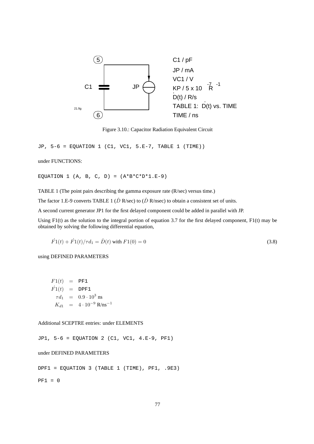

Figure 3.10.: Capacitor Radiation Equivalent Circuit

JP, 5-6 = EQUATION 1 (C1, VC1, 5.E-7, TABLE 1 (TIME))

under FUNCTIONS:

EQUATION 1 (A, B, C, D) =  $(A*B*C*D*1.E-9)$ 

TABLE 1 (The point pairs describing the gamma exposure rate (R/sec) versus time.)

The factor 1.E-9 converts TABLE 1 (D R/sec) to (D R/nsec) to obtain a consistent set of units.

A second current generator JP1 for the first delayed component could be added in parallel with JP.

Using  $F1(t)$  as the solution to the integral portion of equation 3.7 for the first delayed component,  $F1(t)$  may be obtained by solving the following differential equation,

$$
\dot{F1}(t) + \dot{F1}(t) / \tau d_1 = \dot{D}(t) \text{ with } F1(0) = 0 \tag{3.8}
$$

using DEFINED PARAMETERS

 $F1(t) = PF1$  $\dot{F1}(t) = \text{DPF1}$  $\tau d_1 = 0.9 \cdot 10^3 \text{ ns}$  $K_{d1} = 4 \cdot 10^{-9}$  R/ns<sup>-1</sup>

Additional SCEPTRE entries: under ELEMENTS

JP1, 5-6 = EQUATION 2 (C1, VC1, 4.E-9, PF1)

#### under DEFINED PARAMETERS

DPF1 = EQUATION 3 (TABLE 1 (TIME), PF1, .9E3)

 $PF1 = 0$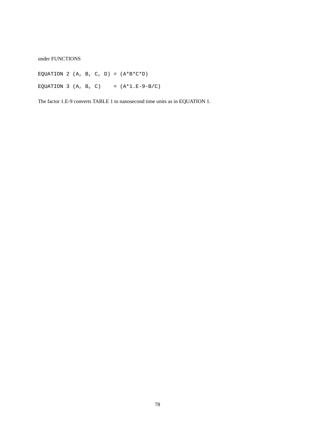### under FUNCTIONS

EQUATION 2 (A, B, C, D) =  $(A*B*C*D)$ EQUATION 3 (A, B, C) =  $(A*1.E-9-B/C)$ 

The factor 1.E-9 converts TABLE 1 to nanosecond time units as in EQUATION 1.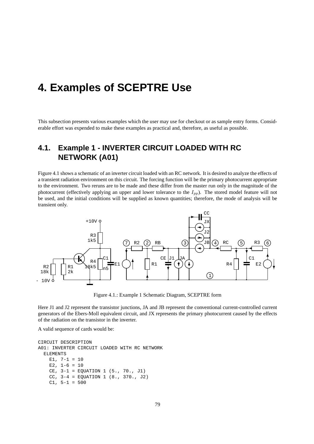# **4. Examples of SCEPTRE Use**

This subsection presents various examples which the user may use for checkout or as sample entry forms. Considerable effort was expended to make these examples as practical and, therefore, as useful as possible.

# **4.1. Example 1 - INVERTER CIRCUIT LOADED WITH RC NETWORK (A01)**

Figure 4.1 shows a schematic of an inverter circuit loaded with an RC network. It is desired to analyze the effects of a transient radiation environment on this circuit. The forcing function will be the primary photocurrent appropriate to the environment. Two reruns are to be made and these differ from the master run only in the magnitude of the photocurrent (effectively applying an upper and lower tolerance to the  $I_{pp}$ ). The stored model feature will not be used, and the initial conditions will be supplied as known quantities; therefore, the mode of analysis will be transient only.



Figure 4.1.: Example 1 Schematic Diagram, SCEPTRE form

Here J1 and J2 represent the transistor junctions, JA and JB represent the conventional current-controlled current generators of the Ebers-Moll equivalent circuit, and JX represents the primary photocurrent caused by the effects of the radiation on the transistor in the inverter.

A valid sequence of cards would be:

```
CIRCUIT DESCRIPTION
A01: INVERTER CIRCUIT LOADED WITH RC NETWORK
 ELEMENTS
   E1, 7-1 = 10E2, 1-6 = 10CE, 3-1 = EQUATION 1 (5., 70., J1)
    CC, 3-4 = EQUATION 1 (8., 370., J2)
    C1, 5-1 = 500
```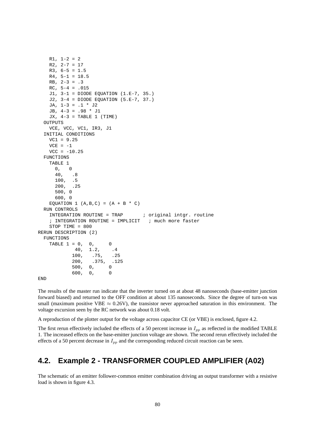```
R1, 1-2 = 2R2, 2-7 = 17R3, 6-5 = 1.5R4, 5-1 = 18.5RB, 2-3 = .3RC. 5-4 = .015J1, 3-1 = DIODE EQUATION (1.E-7, 35.)
   J2, 3-4 = DIODE EQUATION (5.E-7, 37.)
   JA, 1-3 = .1 * J2JB, 4-3 = .98 * J1JX, 4-3 = TABLE 1 (TIME)OUTPUTS
   VCE, VCC, VC1, IR3, J1
 INITIAL CONDITIONS
   VC1 = 9.25VCE = -1VCC = -10.25FUNCTIONS
   TABLE 1
     0, 0
     40, .8
     100, .5
     200, .25
     500, 0
     600, 0
   EQUATION 1 (A,B,C) = (A + B * C)RUN CONTROLS
   INTEGRATION ROUTINE = TRAP : original intgr. routine
   ; INTEGRATION ROUTINE = IMPLICIT ; much more faster
   STOP TIME = 800
RERUN DESCRIPTION (2)
 FUNCTIONS
   TABLE 1 = 0, 0, 040, 1.2, .4
           100, .75, .25
           200, .375, .125
           500, 0, 0
           600, 0, 0
END
```
The results of the master run indicate that the inverter turned on at about 48 nanoseconds (base-emitter junction forward biased) and returned to the OFF condition at about 135 nanoseconds. Since the degree of turn-on was small (maximum positive VBE  $\approx 0.26V$ ), the transistor never approached saturation in this environment. The voltage excursion seen by the RC network was about 0.18 volt.

A reproduction of the plotter output for the voltage across capacitor CE (or VBE) is enclosed, figure 4.2.

The first rerun effectively included the effects of a 50 percent increase in  $I_{pp}$  as reflected in the modified TABLE 1. The increased effects on the base-emitter junction voltage are shown. The second rerun effectively included the effects of a 50 percent decrease in  $I_{pp}$  and the corresponding reduced circuit reaction can be seen.

# **4.2. Example 2 - TRANSFORMER COUPLED AMPLIFIER (A02)**

The schematic of an emitter follower-common emitter combination driving an output transformer with a resistive load is shown in figure 4.3.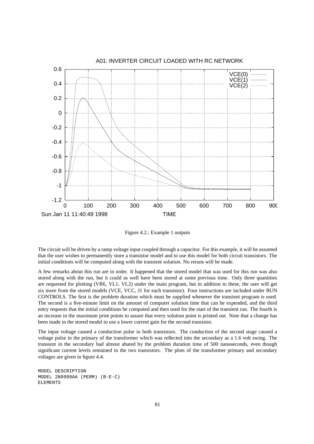

Figure 4.2.: Example 1 outputs

The circuit will be driven by a ramp voltage input coupled through a capacitor. For this example, it will be assumed that the user wishes to permanently store a transistor model and to use this model for both circuit transistors. The initial conditions will be computed along with the transient solution. No reruns will be made.

A few remarks about this run are in order. It happened that the stored model that was used for this run was also stored along with the run, but it could as well have been stored at some previous time. Only three quantities are requested for plotting (VR6, VL1, VL2) under the main program, but in addition to these, the user will get six more from the stored models (VCE, VCC, J1 for each transistor). Four instructions are included under RUN CONTROLS. The first is the problem duration which must be supplied whenever the transient program is used. The second is a five-minute limit on the amount of computer solution time that can be expended, and the third entry requests that the initial conditions be computed and then used for the start of the transient run. The fourth is an increase in the maximum print points to assure that every solution point is printed out. Note that a change has been made in the stored model to use a lower current gain for the second transistor.

The input voltage caused a conduction pulse in both transistors. The conduction of the second stage caused a voltage pulse in the primary of the transformer which was reflected into the secondary as a 1.6 volt swing. The transient in the secondary had almost abated by the problem duration time of 500 nanoseconds, even though significant current levels remained in the two transistors. The plots of the transformer primary and secondary voltages are given in figure 4.4.

```
MODEL DESCRIPTION
MODEL 2N9999AA (PERM) (B-E-C)
ELEMENTS
```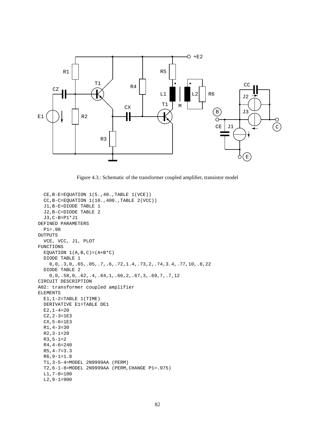

Figure 4.3.: Schematic of the transformer coupled amplifier, transistor model

```
CE,B-E=EQUATION 1(5.,40.,TABLE 1(VCE))
 CC,B-C=EQUATION 1(10.,400.,TABLE 2(VCC))
 J1,B-E=DIODE TABLE 1
 J2,B-C=DIODE TABLE 2
 J3,C-B=P1*J1
DEFINED PARAMETERS
 P1=.98
OUTPUTS
 VCE, VCC, J1, PLOT
FUNCTIONS
 EQUATION 1(A,B,C)=(A+B*C)DIODE TABLE 1
    0,0,.3,0,.65,.05,.7,.6,.72,1.4,.73,2,.74,3.4,.77,10,.8,22
 DIODE TABLE 2
    0,0,.58,0,.62,.4,.64,1,.66,2,.67,3,.69,7,.7,12
CIRCUIT DESCRIPTION
A02: transformer coupled amplifier
ELEMENTS
 E1, 1-2=TABLE 1(TIME)DERIVATIVE E1=TABLE DE1
 E2, 1-4=20CZ,2-3=1E3
 CX, 5-6=1E3R1, 4-3=30R2,3-1=20
 R3, 5-1=2R4.4-6=240R5, 4-7=3.3R6, 9-1=1.8T1,3-5-4=MODEL 2N9999AA (PERM)
 T2,6-1-8=MODEL 2N9999AA (PERM,CHANGE P1=.975)
 L1,7-8=100
 L2,9-1=900
```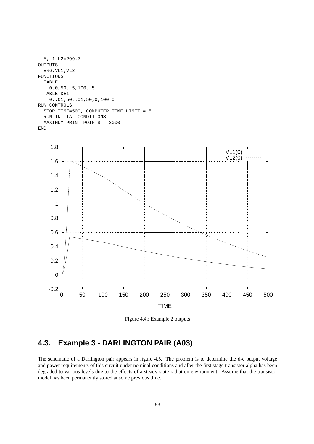```
M,L1-L2=299.7
OUTPUTS
  VR6,VL1,VL2
FUNCTIONS
  TABLE 1
    0,0,50,.5,100,.5
  TABLE DE1
    0,.01,50,.01,50,0,100,0
RUN CONTROLS
  STOP TIME=500, COMPUTER TIME LIMIT = 5
  RUN INITIAL CONDITIONS
  MAXIMUM PRINT POINTS = 3000
END
```


Figure 4.4.: Example 2 outputs

# **4.3. Example 3 - DARLINGTON PAIR (A03)**

The schematic of a Darlington pair appears in figure 4.5. The problem is to determine the d-c output voltage and power requirements of this circuit under nominal conditions and after the first stage transistor alpha has been degraded to various levels due to the effects of a steady-state radiation environment. Assume that the transistor model has been permanently stored at some previous time.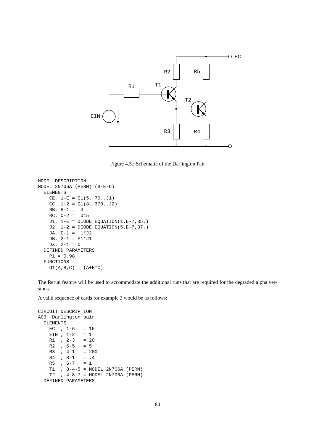

Figure 4.5.: Schematic of the Darlington Pair

```
MODEL DESCRIPTION
MODEL 2N706A (PERM) (B-E-C)
  ELEMENTS
    CE, 1-E = Q1(5., 70., J1)CC, 1-2 = Q1(8., 370., J2)RB, B-1 = .3
    RC, C-2 = .015J1, 1-E = DIODE EQUATION(1.E-7,35.)
    J2, 1-2 = DIODE EQUATION(5.E-7,37.)
    JA, E-1 = .1*J2
    JB, 2-1 = P1*J1
    JX, 2-1 = 0DEFINED PARAMETERS
    P1 = 0.98
  FUNCTIONS
    Q1(A, B, C) = (A+B*C)
```
The Rerun feature will be used to accommodate the additional runs that are required for the degraded alpha versions.

A valid sequence of cards for example 3 would be as follows:

```
CIRCUIT DESCRIPTION
A03: Darlington pair
 ELEMENTS
   EC , 1-6 = 10EIN , 1-2 = 1R1 , 2-3 = 20R2 , 6-5 = 5R3, 4-1 = 200
   R4 , 8-1 = .4
   R5, 6-7 = 1T1 , 3-4-5 = MODEL 2N706A (PERM)
   T2 , 4-8-7 = MODEL 2N706A (PERM)
 DEFINED PARAMETERS
```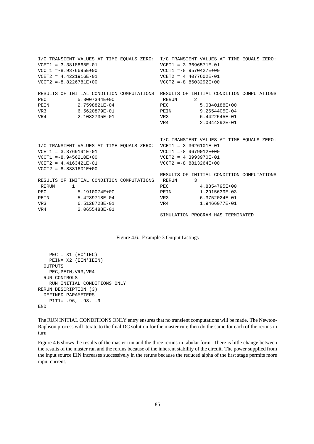| $VCET1 = 3.3818865E-01$<br>$VCCT1 = -8.9376695E+00$<br>$VCET2 = 4.4221916E-01$<br>$VCCT2 = -8.8226781E+00$ |                                                                                                               | $VCET1 = 3.3696571E-01$<br>$VCCT1 = -8.9570427E+00$<br>$VCET2 = 4.4077602E-01$<br>$VCCT2 = -8.8603292E+00$ |                                                                                                                                                                               |  |
|------------------------------------------------------------------------------------------------------------|---------------------------------------------------------------------------------------------------------------|------------------------------------------------------------------------------------------------------------|-------------------------------------------------------------------------------------------------------------------------------------------------------------------------------|--|
| <b>PEC</b><br>PEIN<br>VR4                                                                                  | 5.3007344E+00<br>2.7598821E-04<br>VR3 6.5620879E-01<br>2.1082735E-01                                          | RERUN<br>PEC<br>VR 3<br>VR4                                                                                | RESULTS OF INITIAL CONDITION COMPUTATIONS RESULTS OF INITIAL CONDITION COMPUTATIONS<br>$\mathcal{L}$<br>5.0340188E+00<br>PEIN 9.2654405E-04<br>6.4422545E-01<br>2.0044292E-01 |  |
| $VCET1 = 3.3769191E-01$<br>$VCCT1 = -8.9456210E+00$<br>$VCET2 = 4.4163421E-01$<br>$VCCT2 = -8.8381601E+00$ | I/C TRANSIENT VALUES AT TIME EOUALS ZERO: VCET1 = 3.3626101E-01                                               | $VCCT1 = -8.9679012E+00$<br>$VCET2 = 4.3993970E-01$<br>$VCCT2 = -8.8813264E+00$                            | I/C TRANSIENT VALUES AT TIME EQUALS ZERO:                                                                                                                                     |  |
| RERUN<br>1<br><b>PEC</b><br>PEIN<br>VR <sub>3</sub><br>VR4                                                 | RESULTS OF INITIAL CONDITION COMPUTATIONS<br>5.1910074E+00<br>5.4289718E-04<br>6.5128728E-01<br>2.0655488E-01 | RERUN<br>PEC<br>PEIN<br>VR4                                                                                | RESULTS OF INITIAL CONDITION COMPUTATIONS<br>3<br>4.8854795E+00<br>1.2915639E-03<br>VR3 6.3752024E-01<br>1.9466077E-01<br>SIMULATION PROGRAM HAS TERMINATED                   |  |

Figure 4.6.: Example 3 Output Listings

```
PEC = X1 (EC*IEC)
    PEIN= X2 (EIN*IEIN)
 OUTPUTS
    PEC,PEIN,VR3,VR4
 RUN CONTROLS
   RUN INITIAL CONDITIONS ONLY
RERUN DESCRIPTION (3)
 DEFINED PARAMETERS
   P1T1= .96, .93, .9
END
```
The RUN INITIAL CONDITIONS ONLY entry ensures that no transient computations will be made. The Newton-Raphson process will iterate to the final DC solution for the master run; then do the same for each of the reruns in turn.

Figure 4.6 shows the results of the master run and the three reruns in tabular form. There is little change between the results of the master run and the reruns because of the inherent stability of the circuit. The power supplied from the input source EIN increases successively in the reruns because the reduced alpha of the first stage permits more input current.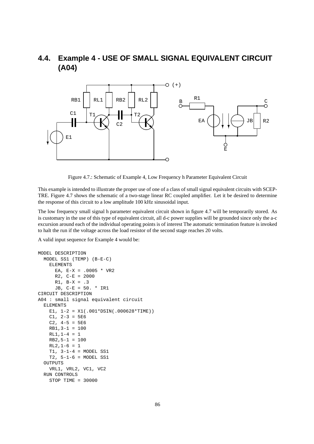# **4.4. Example 4 - USE OF SMALL SIGNAL EQUIVALENT CIRCUIT (A04)**



Figure 4.7.: Schematic of Example 4, Low Frequency h Parameter Equivalent Circuit

This example is intended to illustrate the proper use of one of a class of small signal equivalent circuits with SCEP-TRE. Figure 4.7 shows the schematic of a two-stage linear RC coupled amplifier. Let it be desired to determine the response of this circuit to a low amplitude 100 kHz sinusoidal input.

The low frequency small signal h parameter equivalent circuit shown in figure 4.7 will be temporarily stored. As is customary in the use of this type of equivalent circuit, all d-c power supplies will be grounded since only the a-c excursion around each of the individual operating points is of interest The automatic termination feature is invoked to halt the run if the voltage across the load resistor of the second stage reaches 20 volts.

A valid input sequence for Example 4 would be:

```
MODEL DESCRIPTION
 MODEL SS1 (TEMP) (B-E-C)
   ELEMENTS
     EA, E-X = .0005 * VR2R2, C-E = 2000R1, B-X = .3JB, C-E = 50. * IR1
CIRCUIT DESCRIPTION
A04 : small signal equivalent circuit
 ELEMENTS
    E1, 1-2 = X1(.001*DSIN(.000628*TIME))
    C1, 2-3 = 5E6C2, 4-5 = 5E6RB1,3-1 = 100
   RL1, 1-4 = 1RB2,5-1 = 100RL2, 1-6 = 1T1, 3-1-4 = MODEL SS1
   T2, 5-1-6 = MODEL SS1
 OUTPUTS
    VRL1, VRL2, VC1, VC2
 RUN CONTROLS
    STOP TIME = 30000
```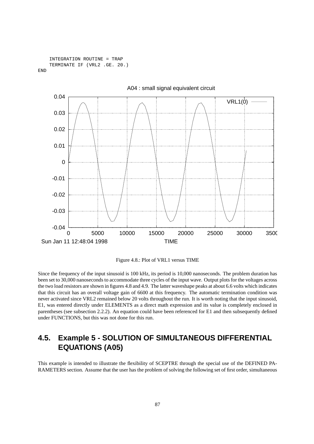```
INTEGRATION ROUTINE = TRAP
    TERMINATE IF (VRL2 .GE. 20.)
END
```


Figure 4.8.: Plot of VRL1 versus TIME

Since the frequency of the input sinusoid is 100 kHz, its period is 10,000 nanoseconds. The problem duration has been set to 30,000 nanoseconds to accommodate three cycles of the input wave. Output plots for the voltages across the two load resistors are shown in figures 4.8 and 4.9. The latter waveshape peaks at about 6.6 volts which indicates that this circuit has an overall voltage gain of 6600 at this frequency. The automatic termination condition was never activated since VRL2 remained below 20 volts throughout the run. It is worth noting that the input sinusoid, E1, was entered directly under ELEMENTS as a direct math expression and its value is completely enclosed in parentheses (see subsection 2.2.2). An equation could have been referenced for E1 and then subsequently defined under FUNCTIONS, but this was not done for this run.

# **4.5. Example 5 - SOLUTION OF SIMULTANEOUS DIFFERENTIAL EQUATIONS (A05)**

This example is intended to illustrate the flexibility of SCEPTRE through the special use of the DEFINED PA-RAMETERS section. Assume that the user has the problem of solving the following set of first order, simultaneous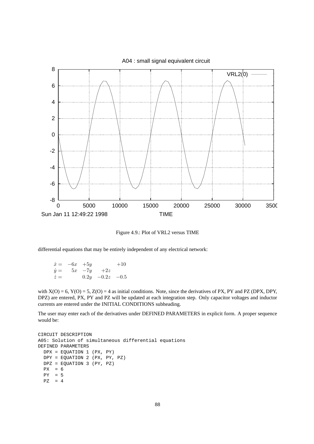

Figure 4.9.: Plot of VRL2 versus TIME

differential equations that may be entirely independent of any electrical network:

 $\dot{x} = -6x +5y +10$  $\dot{y} = 5x -7y +2z$  $\dot{z} = 0.2y -0.2z -0.5$ 

with  $X(O) = 6$ ,  $Y(O) = 5$ ,  $Z(O) = 4$  as initial conditions. Note, since the derivatives of PX, PY and PZ (DPX, DPY, DPZ) are entered, PX, PY and PZ will be updated at each integration step. Only capacitor voltages and inductor currents are entered under the INITIAL CONDITIONS subheading.

The user may enter each of the derivatives under DEFINED PARAMETERS in explicit form. A proper sequence would be:

```
CIRCUIT DESCRIPTION
A05: Solution of simultaneous differential equations
DEFINED PARAMETERS
 DPX = EQUATION 1 (PX, PY)
 DPY = EQUATION 2 (PX, PY, PZ)
 DPZ = EQUATION 3 (PY, PZ)
 PX = 6PY = 5
 PZ = 4
```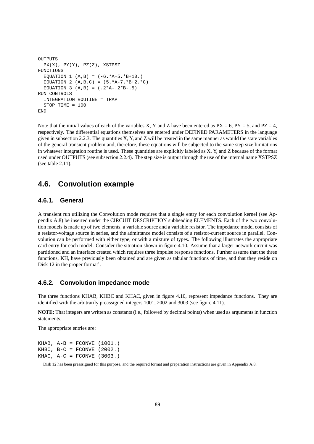```
OUTPUTS
 PX(X), PY(Y), PZ(Z), XSTPSZ
FUNCTIONS
 EQUATION 1 (A, B) = (-6.*A+5.*B+10.)EQUATION 2 (A, B, C) = (5.*A-7.*B+2.*C)EQUATION 3 (A, B) = (.2*A-.2*B-.5)RUN CONTROLS
  INTEGRATION ROUTINE = TRAP
 STOP TIME = 100
END
```
Note that the initial values of each of the variables X, Y and Z have been entered as  $PX = 6$ ,  $PY = 5$ , and  $PZ = 4$ , respectively. The differential equations themselves are entered under DEFINED PARAMETERS in the language given in subsection 2.2.3. The quantities  $X$ ,  $Y$ , and  $Z$  will be treated in the same manner as would the state variables of the general transient problem and, therefore, these equations will be subjected to the same step size limitations in whatever integration routine is used. These quantities are explicitly labeled as X, Y, and Z because of the format used under OUTPUTS (see subsection 2.2.4). The step size is output through the use of the internal name XSTPSZ (see table 2.11).

### **4.6. Convolution example**

### **4.6.1. General**

A transient run utilizing the Convolution mode requires that a single entry for each convolution kernel (see Appendix A.8) be inserted under the CIRCUIT DESCRIPTION subheading ELEMENTS. Each of the two convolution models is made up of two elements, a variable source and a variable resistor. The impedance model consists of a resistor-voltage source in series, and the admittance model consists of a resistor-current source in parallel. Convolution can be performed with either type, or with a mixture of types. The following illustrates the appropriate card entry for each model. Consider the situation shown in figure 4.10. Assume that a larger network circuit was partitioned and an interface created which requires three impulse response functions. Further assume that the three functions, KH, have previously been obtained and are given as tabular functions of time, and that they reside on Disk 12 in the proper format<sup>1</sup>.

### **4.6.2. Convolution impedance mode**

The three functions KHAB, KHBC and KHAC, given in figure 4.10, represent impedance functions. They are identified with the arbitrarily preassigned integers 1001, 2002 and 3003 (see figure 4.11).

**NOTE:** That integers are written as constants (i.e., followed by decimal points) when used as arguments in function statements.

The appropriate entries are:

```
KHAB, A-B = FCONVE (1001.)KHBC, B-C = FCONVE (2002.)KHAC, A-C = FCONVE (3003.)
```
 $1$ Disk 12 has been preassigned for this purpose, and the required format and preparation instructions are given in Appendix A.8.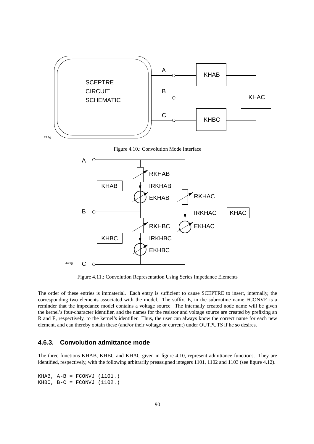

Figure 4.11.: Convolution Representation Using Series Impedance Elements

The order of these entries is immaterial. Each entry is sufficient to cause SCEPTRE to insert, internally, the corresponding two elements associated with the model. The suffix, E, in the subroutine name FCONVE is a reminder that the impedance model contains a voltage source. The internally created node name will be given the kernel's four-character identifier, and the names for the resistor and voltage source are created by prefixing an R and E, respectively, to the kernel's identifier. Thus, the user can always know the correct name for each new element, and can thereby obtain these (and/or their voltage or current) under OUTPUTS if he so desires.

#### **4.6.3. Convolution admittance mode**

The three functions KHAB, KHBC and KHAC given in figure 4.10, represent admittance functions. They are identified, respectively, with the following arbitrarily preassigned integers 1101, 1102 and 1103 (see figure 4.12).

```
KHAB, A-B = FCONVJ (1101.)
KHBC, B-C = FCONVJ (1102.)
```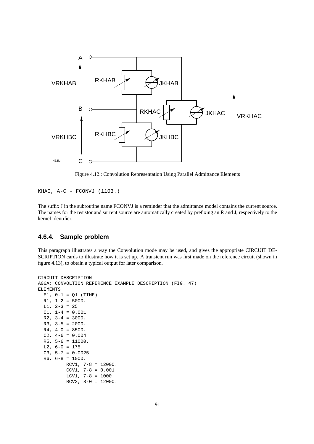

Figure 4.12.: Convolution Representation Using Parallel Admittance Elements

KHAC, A-C - FCONVJ (1103.)

The suffix J in the subroutine name FCONVJ is a reminder that the admittance model contains the current source. The names for the resistor and surrent source are automatically created by prefixing an R and J, respectively to the kernel identifier.

### **4.6.4. Sample problem**

This paragraph illustrates a way the Convolution mode may be used, and gives the appropriate CIRCUIT DE-SCRIPTION cards to illustrate how it is set up. A transient run was first made on the reference circuit (shown in figure 4.13), to obtain a typical output for later comparison.

```
CIRCUIT DESCRIPTION
A06A: CONVOLTION REFERENCE EXAMPLE DESCRIPTION (FIG. 47)
ELEMENTS
 E1, 0-1 = Q1 (TIME)
 R1, 1-2 = 5000.L1, 2-3 = 25.
 C1, 1-4 = 0.001R2, 3-4 = 3000.
 R3, 3-5 = 2000.R4, 4-0 = 8500.C2, 4-6 = 0.004R5, 5-6 = 11000.L2, 6-0 = 175.
 C3, 5-7 = 0.0025R6, 6-8 = 1000.RCV1, 7-8 = 12000.
         CCV1, 7-8 = 0.001LCV1, 7-8 = 1000.
         RCV2, 8-0 = 12000.
```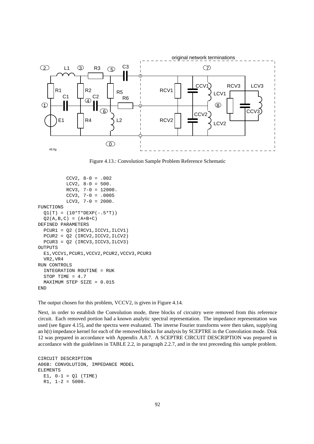

Figure 4.13.: Convolution Sample Problem Reference Schematic

```
CCV2, 8-0 = .002LCV2, 8-0 = 500.
          RCV3, 7-0 = 12000.
          CCV3, 7-0 = .0005LCV3, 7-0 = 2000.
FUNCTIONS
  Q1(T) = (10*T*DEXP(-.5*T))Q2(A, B, C) = (A+B+C)DEFINED PARAMETERS
  PCUR1 = Q2 (IRCV1,ICCV1,ILCV1)
  PCUR2 = Q2 (IRCV2, ICCV2, ILCV2)
  PCUR3 = Q2 (IRCV3,ICCV3,ILCV3)
OUTPUTS
  E1,VCCV1,PCUR1,VCCV2,PCUR2,VCCV3,PCUR3
  VR2,VR4
RUN CONTROLS
  INTEGRATION ROUTINE = RUK
  STOP TIME = 4.7
  MAXIMUM STEP SIZE = 0.015
END
```
The output chosen for this problem, VCCV2, is given in Figure 4.14.

Next, in order to establish the Convolution mode, three blocks of circuitry were removed from this reference circuit. Each removed portion had a known analytic spectral representation. The impedance representation was used (see figure 4.15), and the spectra were evaluated. The inverse Fourier transforms were then taken, supplying an h(t) impedance kernel for each of the removed blocks for analysis by SCEPTRE in the Convolution mode. Disk 12 was prepared in accordance with Appendix A.8.7. A SCEPTRE CIRCUIT DESCRIPTION was prepared in accordance with the guidelines in TABLE 2.2, in paragraph 2.2.7, and in the text preceeding this sample problem.

```
CIRCUIT DESCRIPTION
A06B: CONVOLUTION, IMPEDANCE MODEL
ELEMENTS
 E1, 0-1 = 01 (TIME)
 R1, 1-2 = 5000.
```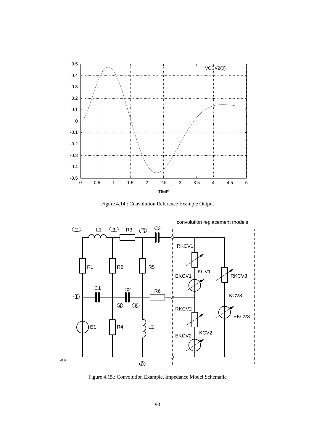

Figure 4.14.: Convolution Reference Example Output



Figure 4.15.: Convolution Example, Impedance Model Schematic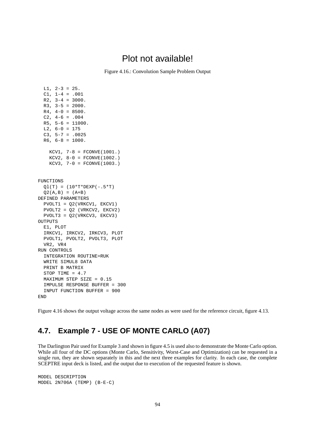# Plot not available!

Figure 4.16.: Convolution Sample Problem Output

```
L1, 2-3 = 25.C1, 1-4 = .001R2, 3-4 = 3000.R3, 3-5 = 2000.R4, 4-0 = 8500.C2, 4-6 = .004R5, 5-6 = 11000.
 L2, 6-0 = 175C3, 5-7 = .0025R6, 6-8 = 1000.KCV1, 7-8 = FCONVE(1001.)KCV2, 8-0 = FCONVE(1002.)KCV3, 7-0 = FCONVE(1003.)
FUNCTIONS
 Q1(T) = (10*T*DEXP(-.5*T))Q2(A, B) = (A+B)DEFINED PARAMETERS
 PVOLT1 = Q2(VRKCV1, EKCV1)
 PVOLT2 = Q2 (VRKCV2, EKCV2)
 PVOLT3 = Q2(VRKCV3, EKCV3)
OUTPUTS
 E1, PLOT
 IRKCV1, IRKCV2, IRKCV3, PLOT
 PVOLT1, PVOLT2, PVOLT3, PLOT
 VR2, VR4
RUN CONTROLS
 INTEGRATION ROUTINE=RUK
 WRITE SIMUL8 DATA
 PRINT B MATRIX
 STOP TIME = 4.7
 MAXIMUM STEP SIZE = 0.15
 IMPULSE RESPONSE BUFFER = 300
 INPUT FUNCTION BUFFER = 900
END
```
Figure 4.16 shows the output voltage across the same nodes as were used for the reference circuit, figure 4.13.

## **4.7. Example 7 - USE OF MONTE CARLO (A07)**

The Darlington Pair used for Example 3 and shown in figure 4.5 is used also to demonstrate the Monte Carlo option. While all four of the DC options (Monte Carlo, Sensitivity, Worst-Case and Optimization) can be requested in a single run, they are shown separately in this and the next three examples for clarity. In each case, the complete SCEPTRE input deck is listed, and the output due to execution of the requested feature is shown.

```
MODEL DESCRIPTION
MODEL 2N706A (TEMP) (B-E-C)
```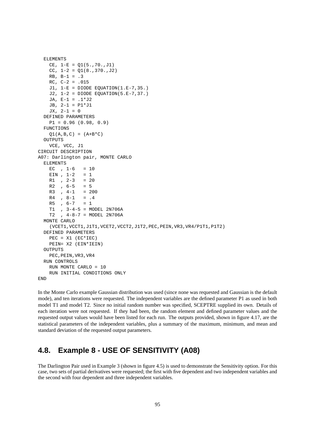```
ELEMENTS
   CE, 1-E = Q1(5., 70., J1)CC, 1-2 = Q1(8., 370., J2)RB, B-1 = .3RC, C-2 = .015J1, 1-E = DIODE EQUATION(1.E-7,35.)
   J2, 1-2 = DIODE EQUATION(5.E-7,37.)
   JA, E-1 = .1 * J2JB, 2-1 = P1*J1
   JX, 2-1 = 0DEFINED PARAMETERS
   P1 = 0.96 (0.98, 0.9)
 FUNCTIONS
   Q1(A, B, C) = (A+B*C)OUTPUTS
   VCE, VCC, J1
CIRCUIT DESCRIPTION
A07: Darlington pair, MONTE CARLO
 ELEMENTS
   EC , 1-6 = 10EIN , 1-2 = 1R1 , 2-3 = 20R2, 6-5 = 5R3, 4-1 = 200
   R4 , 8-1 = .4
   R5 , 6-7 = 1T1 , 3-4-5 = MODEL 2N706A
   T2 , 4-8-7 = MODEL 2N706A
 MONTE CARLO
   (VCET1,VCCT1,J1T1,VCET2,VCCT2,J1T2,PEC,PEIN,VR3,VR4/P1T1,P1T2)
 DEFINED PARAMETERS
   PEC = X1 (EC*IEC)
   PEIN= X2 (EIN*IEIN)
 OUTPUTS
   PEC,PEIN,VR3,VR4
 RUN CONTROLS
   RUN MONTE CARLO = 10
   RUN INITIAL CONDITIONS ONLY
END
```
In the Monte Carlo example Gaussian distribution was used (since none was requested and Gaussian is the default mode), and ten iterations were requested. The independent variables are the defined parameter P1 as used in both model T1 and model T2. Since no initial random number was specified, SCEPTRE supplied its own. Details of each iteration were not requested. If they had been, the random element and defined parameter values and the requested output values would have been listed for each run. The outputs provided, shown in figure 4.17, are the statistical parameters of the independent variables, plus a summary of the maximum, minimum, and mean and standard deviation of the requested output parameters.

### **4.8. Example 8 - USE OF SENSITIVITY (A08)**

The Darlington Pair used in Example 3 (shown in figure 4.5) is used to demonstrate the Sensitivity option. For this case, two sets of partial derivatives were requested; the first with five dependent and two independent variables and the second with four dependent and three independent variables.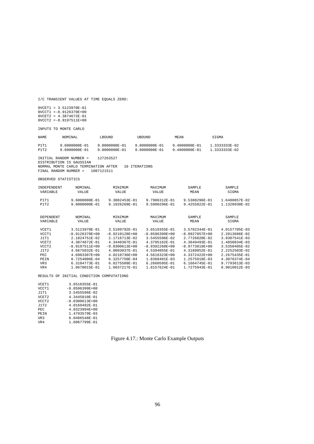I/C TRANSIENT VALUES AT TIME EQUALS ZERO:

0VCET1 = 3.5123970E-01<br>
0VCCT1 =-8.9126370E+00<br>
0VCET2 = 4.3874672E-01<br>
0VCCT2 =-8.9197511E+00

INPUTS TO MONTE CARLO

| NAME.        | NOMINAL                                                                       | LBOUND                             | UBOUND                         | ME AN                          | SIGMA                          |
|--------------|-------------------------------------------------------------------------------|------------------------------------|--------------------------------|--------------------------------|--------------------------------|
| P1T1<br>P1T2 | 9.6000000E-01<br>9.6000000E-01                                                | $9.0000000E - 01$<br>9.0000000E-01 | 9.8000000E-01<br>9.8000000E-01 | 9.4000000E-01<br>9.4000000E-01 | 1.3333333E-02<br>1.3333333E-02 |
|              | INITIAL RANDOM NUMBER =<br>DISTRIBUTION IS GAUSSIAN                           | 127263527                          |                                |                                |                                |
|              | NORMAI, MONTE CARIO TERMINATION AFTER<br>$FINAL$ RANDOM NUMBER = $1007121511$ |                                    | 10 ITERATIONS                  |                                |                                |

OBSERVED STATISTICS

| <b>INDEPENDENT</b><br>VARIABLE | NOMTNAL<br>VALUE  | MINIMUM<br>VALUE | MAXTMUM<br><b>VALUE</b> | SAMPLE<br>MEAN   | SAMPLE<br>SIGMA |
|--------------------------------|-------------------|------------------|-------------------------|------------------|-----------------|
| P1T1                           | $9.6000000E - 01$ | 9.3082453E-01    | 9.7906312E-01           | 9.5388296E-01    | 1.6480857E-02   |
| P1T2                           | 9.6000000E-01     | 9.1926269E-01    | 9.5900296E-01           | 9.4255822E-01    | 1.1320930E-02   |
| DEPENDENT                      | NOMTNAL           | MTNTMUM          | MAXTMUM                 | SAMPLE           | SAMPLE          |
| <b>VARTABLE</b>                | VALUE             | VALUE            | VALUE                   | MEAN             | SIGMA           |
| VCET1                          | 3.5123970E-01     | 3.5109792E-01    | 3.6510355E-01           | 3.5782344E-01    | 4.0157705E-03   |
| VCCT1                          | $-8.9126370E+00$  | $-8.9210128E+00$ | $-8.8596399E+00$        | $-8.8927857E+00$ | 2.2013686E-02   |
| J1T1                           | $2.1824751E - 02$ | 2.1716713E-02    | 3.5455596E-02           | 2.7726820E-02    | 3.9307541E-03   |
| VCET <sub>2</sub>              | 4.3874672E-01     | 4.3440367E-01    | 4.3795162E-01           | 4.3649493E-01    | 1.4850834E-03   |
| VCCT <sub>2</sub>              | $-8.9197511E+00$  | $-9.0300613E+00$ | $-8.9392260E+00$        | $-8.9773819E+00$ | 3.5350405E-02   |
| J1T2                           | 4.6675032E-01     | 4.0093037E-01    | 4.5394055E-01           | 4.3189852E-01    | 2.2252503E-02   |
| PEC.                           | 4.6903307E+00     | 4.0210736E+00    | 4.5616323E+00           | 4.3372422E+00    | 2.2675435E-01   |
| PEIN                           | 8.7254006E-04     | 6.3257750E-04    | $1.8368401E - 03$       | 1.2575918E-03    | 4.3076374E-04   |
| VR <sub>3</sub>                | 6.3104773E-01     | 6.0275509E-01    | 6.2660595E-01           | 6.1664745E-01    | 9.7793613E-03   |
| VR4                            | 1.8670015E-01     | 1.6037217E-01    | 1.8157624E-01           | 1.7275943E-01    | 8.9010012E-03   |

RESULTS OF INITIAL CONDITION COMPUTATIONS

| VCET1             | 3.6510355E-01    |
|-------------------|------------------|
| VCCT1             | $-8.8596399E+00$ |
| J1T1              | 3.5455596E-02    |
| VCET <sub>2</sub> | 4.3445810E-01    |
| VCCT2             | $-9.0300613E+00$ |
| J1T2              | 4.0169492E-01    |
| PEC.              | 4.0323994E+00    |
| <b>PETN</b>       | 1.4793579E-03    |
| VR <sub>3</sub>   | 6.0486548E-01    |
| VR4               | 1.6067799E-01    |

### Figure 4.17.: Monte Carlo Example Outputs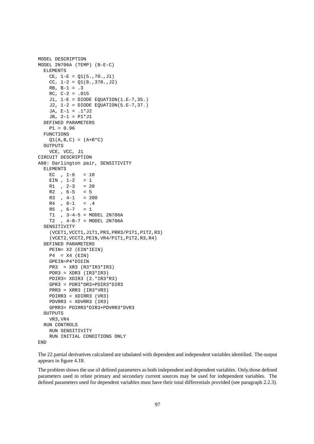```
MODEL DESCRIPTION
MODEL 2N706A (TEMP) (B-E-C)
 ELEMENTS
   CE, 1-E = Q1(5., 70., J1)CC, 1-2 = Q1(8., 370., J2)RB, B-1 = .3RC, C-2 = .015J1, 1-E = DIODE EQUATION(1.E-7,35.)
   J2, 1-2 = DIODE EQUATION(5.E-7,37.)
    JA, E-1 = .1*J2
   JB, 2-1 = P1 * J1DEFINED PARAMETERS
   P1 = 0.96
 FUNCTIONS
    Q1(A, B, C) = (A+B*C)OUTPUTS
   VCE, VCC, J1
CIRCUIT DESCRIPTION
A08: Darlington pair, SENSITIVITY
 ELEMENTS
    EC , 1-6 = 10EIN , 1-2 = 1R1, 2-3 = 20
   R2, 6-5 = 5R3, 4-1 = 200
   R4 , 8-1 = .4
   R5 , 6-7 = 1T1 , 3-4-5 = MODEL 2N706A
   T2 , 4-8-7 = MODEL 2N706A
  SENSITIVITY
    (VCET1,VCCT1,J1T1,PR3,PRR3/P1T1,P1T2,R3)
    (VCET2,VCCT2,PEIN,VR4/P1T1,P1T2,R3,R4)
 DEFINED PARAMETERS
   PEIN= X2 (EIN*IEIN)
   P4 = X4 (EIN)
    GPEIN=P4*DIEIN
    PR3 = XR3 (R3*IR3*IR3)
    PDR3 = XDR3 (IR3*IR3)
    PDIR3= XDIR3 (2.*IR3*R3)
    GPR3 = PDR3*DR3+PDIR3*DIR3
    PRR3 = XRR3 (IR3*VR3)PDIRR3 = XDIRR3 (VR3)
    PDVRR3 = XDVRR3 (IR3)
    GPRR3= PDIRR3*DIR3+PDVRR3*DVR3
 OUTPUTS
   VR3,VR4
 RUN CONTROLS
   RUN SENSITIVITY
    RUN INITIAL CONDITIONS ONLY
END
```
The 22 partial derivatives calculated are tabulated with dependent and independent variables identified. The output appears in figure 4.18.

The problem shows the use of defined parameters as both independent and dependent variables. Only.those defined parameters used to relate primary and secondary current sources may be used for independent variables. The defined parameters used for dependent variables must have their total differentials provided (see paragraph 2.2.3).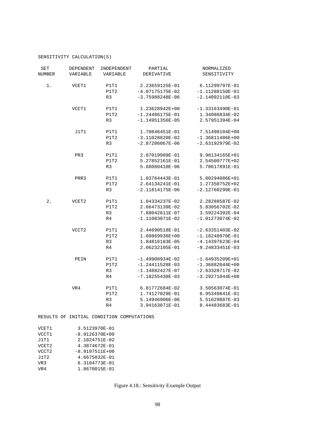### SENSITIVITY CALCULATION(S)

| <b>SET</b> | DEPENDENT | INDEPENDENT    | PARTIAL             | NORMALIZED        |
|------------|-----------|----------------|---------------------|-------------------|
| NUMBER     | VARIABLE  | VARIABLE       | <b>DERIVATIVE</b>   | SENSITIVITY       |
| $1$ .      | VCET1     | P1T1           | 2.23659125E-01      | 6.11299797E-01    |
|            |           | P1T2           | $-4.07175175E-02$   | $-1.11288150E-01$ |
|            |           | R <sub>3</sub> | $-3.75988248E - 06$ | $-2.14092110E-03$ |
|            | VCCT1     | P1T1           | 1.23628942E+00      | $-1.33163490E-01$ |
|            |           | P1T2           | $-1.24486175E-01$   | 1.34086834E-02    |
|            |           | R <sub>3</sub> | $-1.14951356E-05$   | 2.57951394E-04    |
|            | J1T1      | P1T1           | 1.70846451E-01      | 7.51498104E+00    |
|            |           | P1T2           | $-3.11028820E-02$   | $-1.36811486E+00$ |
|            |           | R <sub>3</sub> | $-2.87206067E-06$   | $-2.63192979E-02$ |
|            | PR3       | P1T1           | 2.07019909E-01      | 9.98134165E+01    |
|            |           | P1T2           | 5.27852161E-01      | 2.54500777E+02    |
|            |           | R <sub>3</sub> | 5.68080410E-06      | 5.70617891E-01    |
|            | PRR3      | P1T1           | 1.03764443E-01      | 5.00294086E+01    |
|            |           | P1T2           | 2.64134241E-01      | 1.27350752E+02    |
|            |           | R <sub>3</sub> | $-2.11814175E-06$   | $-2.12760299E-01$ |
| 2.         | VCET2     | P1T1           | 1.04334237E-02      | 2.28288587E-02    |
|            |           | P1T2           | 2.66473139E-02      | 5.83056702E-02    |
|            |           | R <sub>3</sub> | 7.88042611E-07      | 3.59224392E-04    |
|            |           | R <sub>4</sub> | $-1.11083071E-02$   | $-1.01273074E-02$ |
|            | VCCT2     | P1T1           | 2.44690518E-01      | $-2.63351403E-02$ |
|            |           | P1T2           | 1.09869936E+00      | $-1.18248970E-01$ |
|            |           | R <sub>3</sub> | 1.84816183E-05      | $-4.14397623E-04$ |
|            |           | R <sub>4</sub> | 2.06232105E-01      | $-9.24833451E-03$ |
|            | PEIN      | P1T1           | $-1.49908934E-02$   | $-1.64935209E+01$ |
|            |           | P1T2           | $-1.24411528E-03$   | $-1.36882044E+00$ |
|            |           | R <sub>3</sub> | $-1.14882427E-07$   | $-2.63328717E-02$ |
|            |           | R <sub>4</sub> | $-7.18255438E-03$   | $-3.29271044E+00$ |
|            | VR4       | P1T1           | 6.81772684E-02      | 3.50563074E-01    |
|            |           | P1T2           | 1.74127029E-01      | 8.95349841E-01    |
|            |           | R <sub>3</sub> | 5.14946906E-06      | 5.51629887E-03    |
|            |           | R <sub>4</sub> | 3.94163071E-01      | 8.44483683E-01    |

RESULTS OF INITIAL CONDITION COMPUTATIONS

| VCET1             | 3.5123970E-01                     |
|-------------------|-----------------------------------|
| VCCT1<br>J1T1     | $-8.9126370E+00$<br>2.1824751E-02 |
| VCET <sub>2</sub> | 4.3874672E-01                     |
| VCCT2             | $-8.9197511E+00$                  |
| J1T2              | 4.6675032E-01                     |
| VR <sub>3</sub>   | 6.3104773E-01                     |
| VR4               | 1.8670015E-01                     |

Figure 4.18.: Sensitivity Example Output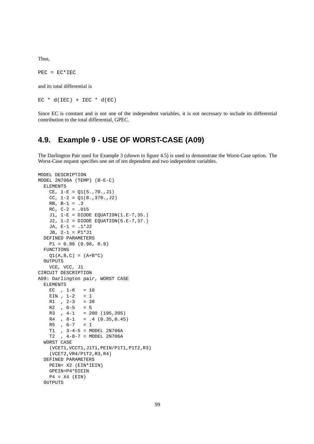Thus,

 $PEC = EC*IEC$ 

and its total differential is

 $EC * d(IEC) + IEC * d(EC)$ 

Since EC is constant and is not one of the independent variables, it is not necessary to include its differential contribution to the total differential, GPEC.

## **4.9. Example 9 - USE OF WORST-CASE (A09)**

The Darlington Pair used for Example 3 (shown in figure 4.5) is used to demonstrate the Worst-Case option. The Worst-Case request specifies one set of ten dependent and two independent variables.

```
MODEL DESCRIPTION
MODEL 2N706A (TEMP) (B-E-C)
 ELEMENTS
   CE, 1-E = Q1(5., 70., J1)CC, 1-2 = Q1(8., 370., J2)RB, B-1 = .3RC, C-2 = .015J1, 1-E = DIODE EQUATION(1.E-7,35.)
   J2, 1-2 = DIODE EQUATION(5.E-7,37.)JA, E-1 = .1 * J2JB, 2-1 = P1 * J1DEFINED PARAMETERS
   P1 = 0.96 (0.98, 0.9)
 FUNCTIONS
   Q1(A, B, C) = (A+B*C)OUTPUTS
   VCE, VCC, J1
CIRCUIT DESCRIPTION
A09: Darlington pair, WORST CASE
 ELEMENTS
   EC , 1-6 = 10EIN , 1-2 = 1R1, 2-3 = 20
   R2 , 6-5 = 5R3 , 4-1 = 200 (195, 205)R4 , 8-1 = .4 (0.35, 0.45)R5 , 6-7 = 1T1 , 3-4-5 = MODEL 2N706A
   T2 , 4-8-7 = MODEL 2N706A
 WORST CASE
    (VCET1,VCCT1,J1T1,PEIN/P1T1,P1T2,R3)
    (VCET2,VR4/P1T2,R3,R4)
 DEFINED PARAMETERS
   PEIN= X2 (EIN*IEIN)
   GPEIN=P4*DIEIN
   P4 = X4 (EIN)
 OUTPUTS
```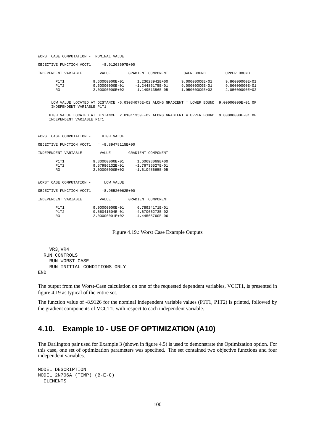WORST CASE COMPUTATION - NOMINAL VALUE

OBJECTIVE FUNCTION VCCT1 = -8.91263697E+00

| INDEPENDENT VARIABLE | VALUE.         | GRADIENT COMPONENT  | LOWER BOUND    | UPPER BOUND    |
|----------------------|----------------|---------------------|----------------|----------------|
| P1 T1                | 9.60000000E-01 | 1.23628942E+00      | 9.00000000E-01 | 9.80000000E-01 |
| P1T2                 | 9.60000000E-01 | $-1.24486175E - 01$ | 9.00000000E-01 | 9.80000000E-01 |
| R <sub>3</sub>       | 2.00000000E+02 | -1.14951356E-05     | 1.95000000E+02 | 2.05000000E+02 |

LOW VALUE LOCATED AT DISTANCE -6.03034076E-02 ALONG GRADIENT = LOWER BOUND 9.00000000E-01 OF INDEPENDENT VARIABLE P1T1

HIGH VALUE LOCATED AT DISTANCE 2.01011359E-02 ALONG GRADIENT = UPPER BOUND 9.80000000E-01 OF INDEPENDENT VARIABLE P1T1

| WORST CASE COMPUTATION -                   | HIGH VALUE         |                                                              |
|--------------------------------------------|--------------------|--------------------------------------------------------------|
| OBJECTIVE FUNCTION VCCT1 = -8.89478115E+00 |                    |                                                              |
| INDEPENDENT VARIABLE                       | VALUE              | GRADIENT COMPONENT                                           |
| P1T1                                       |                    |                                                              |
| P1T2<br>R <sub>3</sub>                     | $2.00000000E + 02$ | $9.57986132E - 01 - 1.76735527E - 01$<br>$-1.61045665E - 05$ |
| WORST CASE COMPUTATION - LOW VALUE         |                    |                                                              |
| OBJECTIVE FUNCTION VCCT1 = -8.95520062E+00 |                    |                                                              |
| INDEPENDENT VARIABLE                       | <b>VALUE</b>       | GRADIENT COMPONENT                                           |
| P1T1                                       |                    | 9.00000000E-01 6.78924171E-01                                |
| P1T2                                       |                    | $9.66041604E-01 -4.67066273E-02$                             |
| R3                                         | 2.00000001E+02     | $-4.44565760E - 06$                                          |

Figure 4.19.: Worst Case Example Outputs

```
VR3,VR4
 RUN CONTROLS
   RUN WORST CASE
   RUN INITIAL CONDITIONS ONLY
END
```
The output from the Worst-Case calculation on one of the requested dependent variables, VCCT1, is presented in figure 4.19 as typical of the entire set.

The function value of -8.9126 for the nominal independent variable values (P1T1, P1T2) is printed, followed by the gradient components of VCCT1, with respect to each independent variable.

# **4.10. Example 10 - USE OF OPTIMIZATION (A10)**

The Darlington pair used for Example 3 (shown in figure 4.5) is used to demonstrate the Optimization option. For this case, one set of optimization parameters was specified. The set contained two objective functions and four independent variables.

```
MODEL DESCRIPTION
MODEL 2N706A (TEMP) (B-E-C)
  ELEMENTS
```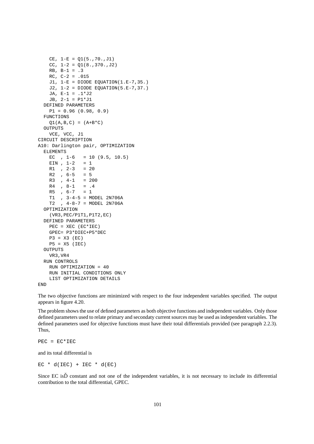```
CE, 1-E = Q1(5., 70., J1)CC, 1-2 = Q1(8., 370., J2)RB, B-1 = .3RC, C-2 = .015J1, 1-E = DIODE EQUATION(1.E-7,35.)
   J2, 1-2 = DIODE EQUATION(5.E-7,37.)JA, E-1 = .1*J2
   JB, 2-1 = P1 * J1DEFINED PARAMETERS
   P1 = 0.96 (0.98, 0.9)
 FUNCTIONS
   Q1(A, B, C) = (A+B*C)OUTPUTS
   VCE, VCC, J1
CIRCUIT DESCRIPTION
A10: Darlington pair, OPTIMIZATION
 ELEMENTS
   EC , 1-6 = 10 (9.5, 10.5)EIN , 1-2 = 1R1 , 2-3 = 20R2, 6-5 = 5R3, 4-1 = 200
   R4, 8-1 = .4
   R5, 6-7 = 1T1 , 3-4-5 = MODEL 2N706A
   T2 , 4-8-7 = MODEL 2N706A
 OPTIMIZATION
   (VR3,PEC/P1T1,P1T2,EC)
 DEFINED PARAMETERS
   PEC = XEC (EC*IEC)GPEC= P3*DIEC+P5*DEC
   P3 = X3 (EC)
   P5 = X5 (IEC)
 OUTPUTS
   VR3,VR4
 RUN CONTROLS
   RUN OPTIMIZATION = 40
   RUN INITIAL CONDITIONS ONLY
   LIST OPTIMIZATION DETAILS
END
```
The two objective functions are minimized with respect to the four independent variables specified. The output appears in figure 4.20.

The problem shows the use of defined parameters as both objective functions and independent variables. Only those defined parameters used to relate primary and secondaty current sources may be used as independent variables. The defined parameters used for objective functions must have their total differentials provided (see paragraph 2.2.3). Thus,

 $PEC = EC*IEC$ 

and its total differential is

 $EC * d(IEC) + IEC * d(EC)$ 

Since EC isD constant and not one of the independent variables, it is not necessary to include its differential contribution to the total differential, GPEC.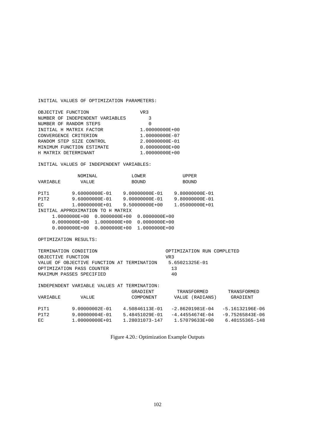INITIAL VALUES OF OPTIMIZATION PARAMETERS:

| VR <sub>3</sub>    |
|--------------------|
| 3                  |
| 0                  |
| 1.00000000E+00     |
| 1.00000000E-07     |
| 2.00000000E-01     |
| $0.00000000E + 00$ |
| 1.00000000E+00     |
|                    |

INITIAL VALUES OF INDEPENDENT VARIABLES:

|                                   | NOMINAL        |                   |  | LOWER             |  | <b>UPPER</b>   |
|-----------------------------------|----------------|-------------------|--|-------------------|--|----------------|
| VARIABLE                          | VALUE          |                   |  | <b>BOUND</b>      |  | <b>BOUND</b>   |
|                                   |                |                   |  |                   |  |                |
| P1T1                              | 9.60000000E-01 |                   |  | 9.00000000E-01    |  | 9.80000000E-01 |
| P1T2                              | 9.60000000E-01 |                   |  | 9.00000000E-01    |  | 9.80000000E-01 |
| EC                                | 1.00000000E+01 |                   |  | 9.50000000E+00    |  | 1.05000000E+01 |
| INITIAL APPROXIMATION TO H MATRIX |                |                   |  |                   |  |                |
| $1.0000000E + 00$                 |                | $0.0000000E+00$   |  | $0.0000000E + 00$ |  |                |
| $0.0000000E + 00$                 |                | $1.0000000E + 00$ |  | $0.0000000E+00$   |  |                |
| $0.0000000E+00$                   |                | $0.0000000E+00$   |  | 1.0000000E+00     |  |                |

OPTIMIZATION RESULTS:

| TERMINATION CONDITION                       | OPTIMIZATION RUN COMPLETED |
|---------------------------------------------|----------------------------|
| OBJECTIVE FUNCTION                          | VR 3                       |
| VALUE OF OBJECTIVE FUNCTION AT TERMINATION  | 5.65021325E-01             |
| OPTIMIZATION PASS COUNTER                   | ገ 3                        |
| MAXIMUM PASSES SPECIFIED                    | 40                         |
|                                             |                            |
| INDEPENDENT VARIABLE VALUES AT TERMINATION: |                            |

|          |                | GRADIENT       | TRANSFORMED         | TRANSFORMED         |
|----------|----------------|----------------|---------------------|---------------------|
| VARTARLE | VALUE          | COMPONENT      | VALUE (RADIANS)     | GRADIENT            |
|          |                |                |                     |                     |
| P1T1     | 9.00000002E-01 | 4.50846113E-01 | $-2.86201981E-04$   | $-5.16132196E-06$   |
| P1T2     | 9.00000004E-01 | 5.48451029E-01 | $-4.44554674E - 04$ | $-9.75265843E - 06$ |
| EC       | 1.00000000E+01 | 1.28031073-147 | 1.57079633E+00      | 6.40155365-148      |

Figure 4.20.: Optimization Example Outputs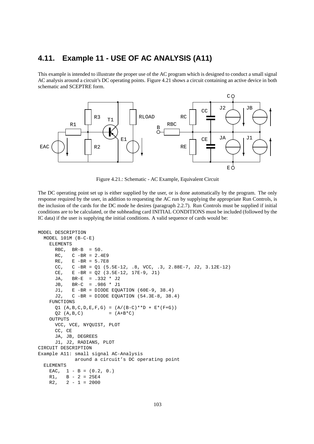# **4.11. Example 11 - USE OF AC ANALYSIS (A11)**

This example is intended to illustrate the proper use of the AC program which is designed to conduct a small signal AC analysis around a circuit's DC operating points. Figure 4.21 shows a circuit containing an active device in both schematic and SCEPTRE form.



Figure 4.21.: Schematic - AC Example, Equivalent Circuit

The DC operating point set up is either supplied by the user, or is done automatically by the program. The only response required by the user, in addition to requesting the AC run by supplying the appropriate Run Controls, is the inclusion of the cards for the DC mode he desires (paragraph 2.2.7). Run Controls must be supplied if initial conditions are to be calculated, or the subheading card INITIAL CONDITIONS must be included (followed by the IC data) if the user is supplying the initial conditions. A valid sequence of cards would be:

```
MODEL DESCRIPTION
 MODEL 101M (B-C-E)
   ELEMENTS
     RBC, BR-B = 50.
     RC, C - BR = 2.4E9RE, E -BR = 5.7E8
     CC, C -BR = Q1 (5.5E-12, .8, VCC, .3, 2.88E-7, J2, 3.12E-12)
     CE, E -BR = Q2 (3.5E-12, 17E-9, J1)
     JA, BR-E = .332 * J2
     JB, BR-C = .986 * J1
     J1, E -BR = DIODE EQUATION (60E-9, 38.4)
     J2, C -BR = DIODE EQUATION (54.3E-8, 38.4)
   FUNCTIONS
     Q1 (A, B, C, D, E, F, G) = (A/(B-C) * D + E * (F+G))Q2 (A, B, C) = (A+B*C)OUTPUTS
     VCC, VCE, NYQUIST, PLOT
     CC, CE
     JA, JB, DEGREES
     J1, J2, RADIANS, PLOT
CIRCUIT DESCRIPTION
Example A11: small signal AC-Analysis
            around a circuit's DC operating point
 ELEMENTS
   EAC, 1 - B = (0.2, 0.)R1, \t B - 2 = 25E4R2, 2 - 1 = 2000
```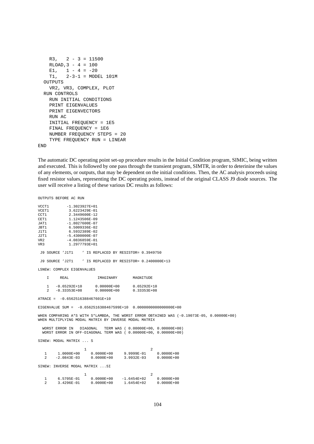```
R3, 2 - 3 = 11500RLOAD,3 - 4 = 100
   E1, 1 - 4 = -20T1, 2-3-1 = MODEL 101M
 OUTPUTS
   VR2, VR3, COMPLEX, PLOT
 RIIN CONTROLS
   RUN INITIAL CONDITIONS
   PRINT EIGENVALUES
   PRINT EIGENVECTORS
   RUN AC
    INITIAL FREQUENCY = 1E5
    FINAL FREQUENCY = 1E6
   NUMBER FREQUENCY STEPS = 20
    TYPE FREQUENCY RUN = LINEAR
END
```
OUTPUTS BEFORE AC RUN

The automatic DC operating point set-up procedure results in the Initial Condition program, SIMIC, being written and executed. This is followed by one pass through the transient program, SIMTR, in order to deterinine the values of any elements, or outputs, that may be dependent on the initial conditions. Then, the AC analysis proceeds using fixed resistor values, representing the DC operating points, instead of the original CLASS J9 diode sources. The user will receive a listing of these various DC results as follows:

VCCT1  $-1.3023927E+01$ <br>VCET1 3.6223429E-01 VCET1 3.6223429E-01<br>
CCT1 2.3449600E-12 CCT1 2.3449600E-12<br>
CET1 1.1243506E-09 CET1 1.1243506E-09<br>JAT1 -1.8027600E-07 JAT1 -1.8027600E-07<br>JBT1 6.5009336E-02 JBT1 6.5009336E-02 J1T1 6.5932389E-02 J2T1 -5.4300000E-07<br>VR2 -4.0836859E-01 VR2 -4.0836859E-01<br>VR3 1.2977793E+01 1.2977793E+01 J9 SOURCE 'J1T1 ' IS REPLACED BY RESISTOR= 0.3949750 J9 SOURCE 'J2T1 ' IS REPLACED BY RESISTOR= 0.2400000E+13 LSNEW: COMPLEX EIGENVALUES I REAL IMAGINARY MAGNITUDE  $1 -0.65292E+10$   $0.00000E+00$   $0.65292E+10$ <br>  $2 -0.33353E+08$   $0.00000E+00$   $0.33353E+08$  $-0.33353E+08$ ATRACE = -0.6562516388467601E+10 EIGENVALUE SUM = -0.6562516388467599E+10 0.0000000000000000E+00 WHEN COMPARING A\*S WITH S\*LAMBDA, THE WORST ERROR OBTAINED WAS (-0.19073E-05, 0.00000E+00) WHEN MULTIPLYING MODAL MATRIX BY INVERSE MODAL MATRIX WORST ERROR IN DIAGONAL TERM WAS ( 0.00000E+00, 0.00000E+00) WORST ERROR IN OFF-DIAGONAL TERM WAS ( 0.00000E+00, 0.00000E+00) SINEW: MODAL MATRIX ... S 1 2  $\begin{array}{cccccccc} 1 & 1.0000\text{E}+00 & 0.0000\text{E}+00 & 9.9999\text{E}-01 & 0.0000\text{E}+00 \\ 2 & -2.0843\text{E}-03 & 0.0000\text{E}+00 & 3.9932\text{E}-03 & 0.0000\text{E}+00 \end{array}$  $0.0000E+00$ SINEW: INVERSE MODAL MATRIX ...SI 1 2  $\begin{array}{cccc} 1 \qquad & 6.5705\mathrm{E}-01 \qquad & 0.0000\mathrm{E}+00 & -1.6454\mathrm{E}+02 & 0.0000\mathrm{E}+00 \\ 2 \qquad & 3.4296\mathrm{E}-01 & 0.0000\mathrm{E}+00 & 1.6454\mathrm{E}+02 & 0.0000\mathrm{E}+00 \end{array}$ 1.6454E+02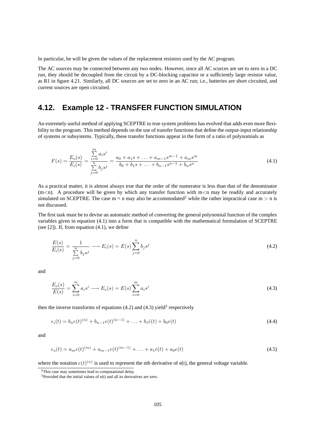In particular, he will be given the values of the replacement resistors used by the AC program.

The AC sources may be connected between any two nodes. However, since all AC scurces are set to zero in a DC run, they should be decoupled from the circuit by a DC-blocking capacitor or a sufficiently large resistor value, as R1 in figure 4.21. Similarly, all DC sources are set to zero in an AC run; i.e., batteries are short circuited, and current sources are open circuited.

# **4.12. Example 12 - TRANSFER FUNCTION SIMULATION**

An extremely useful method of applying SCEPTRE to true system problems has evolved that adds even more flexibility to the program. This method depends on the use of transfer functions that define the output-input relationship of systems or subsystems. Typically, these transfer functions appear in the form of a ratio of polynomials as

$$
F(s) = \frac{E_o(s)}{E_i(s)} = \frac{\sum_{i=0}^{m} a_i s^i}{\sum_{j=0}^{n} b_j s^j} = \frac{a_0 + a_1 s + \dots + a_{m-1} s^{m-1} + a_m s^m}{b_0 + b_1 s + \dots + b_{n-1} s^{n-1} + b_n s^n}
$$
(4.1)

As a practical matter, it is almost always true that the order of the numerator is less than that of the denominator  $(m\leq n)$ . A procedure will be given by which any transfer function with  $m\leq n$  may be readily and accurately simulated on SCEPTRE. The case  $m = n$  may also be accommodated<sup>2</sup> while the rather impractical case  $m > n$  is not discussed.

The first task must be to devise an automatic method of converting the general polynomial function of the complex variables given in equation (4.1) into a form that is compatible with the mathematical formulation of SCEPTRE (see  $[2]$ ). If, from equation  $(4.1)$ , we define

$$
\frac{E(s)}{E_i(s)} = \frac{1}{\sum_{j=0}^{n} b_j s^j} \longrightarrow E_i(s) = E(s) \sum_{j=0}^{n} b_j s^j
$$
\n(4.2)

and

$$
\frac{E_o(s)}{E(s)} = \sum_{i=0}^{m} a_i s^i \longrightarrow E_o(s) = E(s) \sum_{i=0}^{m} a_i s^i
$$
\n(4.3)

then the inverse transforms of equations  $(4.2)$  and  $(4.3)$  yield<sup>3</sup> respectively

$$
e_i(t) = b_n e(t)^{(n)} + b_{n-1} e(t)^{(n-1)} + \ldots + b_1 \dot{e}(t) + b_0 e(t)
$$
\n(4.4)

and

$$
e_o(t) = a_m e(t)^{(m)} + a_{m-1} e(t)^{(m-1)} + \dots + a_1 \dot{e}(t) + a_0 e(t)
$$
\n(4.5)

where the notation  $e(t)^{(n)}$  is used to represent the nth derivative of  $e(t)$ , the general voltage variable.

<sup>2</sup>This case may sometimes lead to computational delay.

<sup>&</sup>lt;sup>3</sup>Provided that the initial values of e(t) and all its derivatives are zero.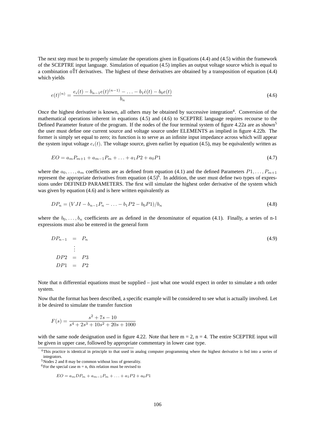The next step must be to properly simulate the operations given in Equations (4.4) and (4.5) within the framework of the SCEPTRE input language. Simulation of equation (4.5) implies an output voltage source which is equal to a combination oTf derivatives. The highest of these derivatives are obtained by a transposition of equation  $(4.4)$ which yields

$$
e(t)^{(n)} = \frac{e_i(t) - b_{n-1}e(t)^{(n-1)} - \ldots - b_1\dot{e}(t) - b_0e(t)}{b_n}
$$
\n(4.6)

Once the highest derivative is known, all others may be obtained by successive integration<sup>4</sup>. Conversion of the mathematical operations inherent in equations (4.5) and (4.6) to SCEPTRE language requires recourse to the Defined Parameter feature of the program. If the nodes of the four terminal system of figure 4.22a are as shown<sup>5</sup> the user must define one current source and voltage source under ELEMENTS as implied in figure 4.22b. The former is simply set equal to zero; its function is to serve as an infinite input impedance across which will appear the system input voltage  $e_i(t)$ . The voltage source, given earlier by equation (4.5), may be equivalently written as

$$
EO = a_m P_{m+1} + a_{m-1} P_m + \dots + a_1 P_2 + a_0 P_1 \tag{4.7}
$$

where the  $a_0, \ldots, a_m$  coefficients are as defined from equation (4.1) and the defined Parameters  $P_1, \ldots, P_{m+1}$ represent the appropriate derivatives from equation  $(4.5)^6$ . In addition, the user must define two types of expressions under DEFINED PARAMETERS. The first will simulate the highest order derivative of the system which was given by equation (4.6) and is here written equivalently as

$$
DP_n = (VJI - b_{n-1}P_n - \dots - b_1P2 - b_0P1)/b_n \tag{4.8}
$$

where the  $b_0, \ldots, b_n$  coefficients are as defined in the denominator of equation (4.1). Finally, a series of n-1 expressions must also be entered in the general form

$$
DP_{n-1} = P_n
$$
  
\n
$$
\vdots
$$
  
\n
$$
DP2 = P3
$$
  
\n
$$
DP1 = P2
$$
\n(4.9)

Note that n differential equations must be supplied – just what one would expect in order to simulate a nth order system.

Now that the format has been described, a specific example will be considered to see what is actually involved. Let it be desired to simulate the transfer function

$$
F(s) = \frac{s^2 + 7s - 10}{s^4 + 2s^3 + 10s^2 + 20s + 1000}
$$

with the same node designation used in figure 4.22. Note that here  $m = 2$ ,  $n = 4$ . The entire SCEPTRE input will be given in upper case, followed by appropriate commentary in lower case type.

<sup>&</sup>lt;sup>4</sup>This practice is identical in principle to that used in analog computer programming where the highest derivative is fed into a series of integrators.

<sup>5</sup>Nodes 2 and 8 may be common without loss of generality.

 $6$ For the special case m = n, this relation must be revised to

 $EO = a_m DP_m + a_{m-1}P_m + \ldots + a_1P_2 + a_0P_1$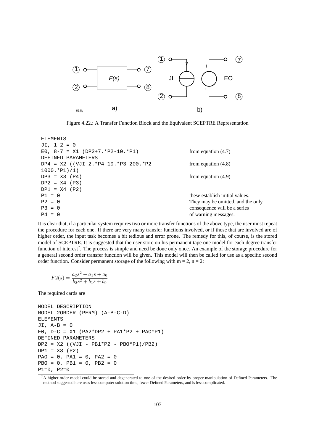

Figure 4.22.: A Transfer Function Block and the Equivalent SCEPTRE Representation

```
ELEMENTS
JI, 1-2 = 0E0, 8-7 = X1 (DP2+7. *P2-10. *P1) from equation (4.7)
DEFINED PARAMETERS
DP4 = X2 ((VJI-2.*P4-10.*P3-200.*P2-
1000.*P1)/1)
                                 from equation (4.8)
DP3 = X3 (P4) from equation (4.9)
DP2 = X4 (P3)DP1 = X4 (P2)P1 = 0 these establish initial values.
P2 = 0 They may be omitted, and the only
P3 = 0 consequence will be a series
P4 = 0 of warning messages.
```
It is clear that, if a particular system requires two or more transfer functions of the above type, the user must repeat the procedure for each one. If there are very many transfer functions involved, or if those that are involved are of higher order, the input task becomes a bit tedious and error prone. The remedy for this, of course, is the stored model of SCEPTRE. It is suggested that the user store on his permanent tape one model for each degree transfer function of interest<sup>7</sup>. The process is simple and need be done only once. An example of the storage procedure for a general second order transfer function will be given. This model will then be called for use as a specific second order function. Consider permanent storage of the following with  $m = 2$ ,  $n = 2$ :

$$
F2(s) = \frac{a_2s^2 + a_1s + a_0}{b_2s^2 + b_1s + b_0}
$$

The required cards are

```
MODEL DESCRIPTION
MODEL 2ORDER (PERM) (A-B-C-D)
ELEMENTS
JI, A-B = 0
E0, D-C = X1 (PA2*DP2 + PA1*P2 + PA0*P1)DEFINED PARAMETERS
DP2 = X2 ((VJI - PB1*P2 - PBO*P1)/PB2)
DP1 = X3 (P2)PAO = 0, PA1 = 0, PA2 = 0PBO = 0, PBI = 0, PB2 = 0P1=0, P2=0
```
 $7A$  higher order model could be stored and degenerated to one of the desired order by proper manipulation of Defined Parameters. The method suggested here uses less computer solution time, fewer Defined Parameters, and is less complicated.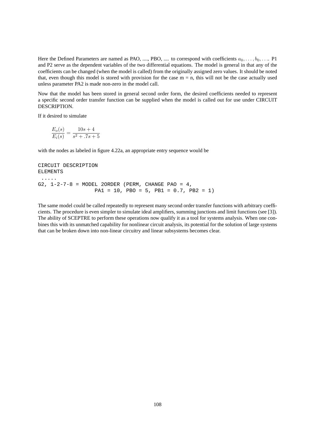Here the Defined Parameters are named as PAO, ...., PBO, .... to correspond with coefficients  $a_0, \ldots, b_0, \ldots$  P1 and P2 serve as the dependent variables of the two differential equations. The model is general in that any of the coefficients can be changed (when the model is called) from the originally assigned zero values. It should be noted that, even though this model is stored with provision for the case  $m = n$ , this will not be the case actually used unless parameter PA2 is made non-zero in the model call.

Now that the model has been stored in general second order form, the desired coefficients needed to represent a specific second order transfer function can be supplied when the model is called out for use under CIRCUIT DESCRIPTION.

If it desired to simulate

$$
\frac{E_o(s)}{E_i(s)} = \frac{10s + 4}{s^2 + .7s + 5}
$$

with the nodes as labeled in figure 4.22a, an appropriate entry sequence would be

```
CIRCUIT DESCRIPTION
ELEMENTS
 .....
G2, 1-2-7-8 = MODEL 2ORDER (PERM, CHANGE PAO = 4,
                  PA1 = 10, PB0 = 5, PB1 = 0.7, PB2 = 1)
```
The same model could be called repeatedly to represent many second order transfer functions with arbitrary coefficients. The procedure is even simpler to simulate ideal amplifiers, summing junctions and limit functions (see [3]). The ability of SCEPTRE to perform these operations now qualify it as a tool for systems analysis. When one conbines this with its unmatched capability for nonlinear circuit analysis, its potential for the solution of large systems that can be broken down into non-linear circuitry and linear subsystems becomes clear.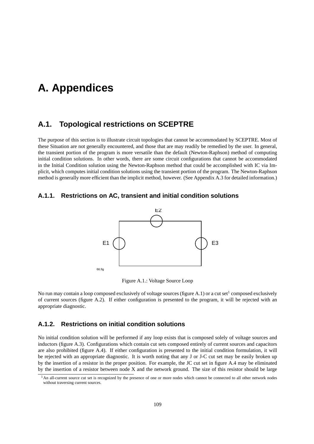# **A. Appendices**

# **A.1. Topological restrictions on SCEPTRE**

The purpose of this section is to illustrate circuit topologies that cannot be accommodated by SCEPTRE. Most of these Situation are not generally encountered, and those that are may readily be remedied by the user. In general, the transient portion of the program is more versatile than the default (Newton-Raphson) method of computing initial condition solutions. In other words, there are some circuit configurations that cannot be accommodated in the Initial Condition solution using the Newton-Raphson method that could be accomplished with IC via Implicit, which computes initial condition solutions using the transient portion of the program. The Newton-Raphson method is generally more efficient than the implicit method, however. (See Appendix A.3 for detailed information.)

#### **A.1.1. Restrictions on AC, transient and initial condition solutions**



Figure A.1.: Voltage Source Loop

No run may contain a loop composed exclusively of voltage sources (figure A.1) or a cut set<sup>1</sup> composed exclusively of current sources (figure A.2). If either configuration is presented to the program, it will be rejected with an appropriate diagnostic.

#### **A.1.2. Restrictions on initial condition solutions**

No initial condition solution will be performed if any loop exists that is composed solely of voltage sources and inductors (figure A.3). Configurations which contain cut sets composed entirely of current sources and capacitors are also prohibited (figure A.4). If either configuration is presented to the initial condition formulation, it will be rejected with an appropriate diagnostic. It is worth noting that any J or J-C cut set may be easily broken up by the insertion of a resistor in the proper position. For example, the JC cut set in figure A.4 may be eliminated by the insertion of a resistor between node X and the network ground. The size of this resistor should be large

<sup>&</sup>lt;sup>1</sup>An all-current source cut set is recognized by the presence of one or more nodes which cannot be connected to all other network nodes without traversing current sources.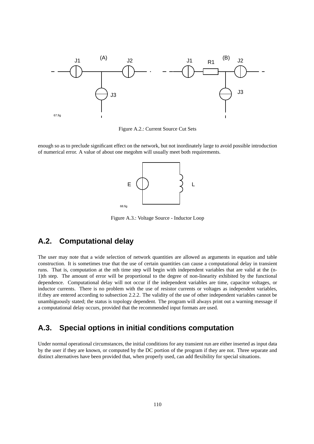

Figure A.2.: Current Source Cut Sets

enough so as to preclude significant effect on the network, but not inordinately large to avoid possible introduction of numerical error. A value of about one megohm will usually meet both requirements.



Figure A.3.: Voltage Source - Inductor Loop

# **A.2. Computational delay**

The user may note that a wide selection of network quantities are allowed as arguments in equation and table construction. It is sometimes true that the use of certain quantities can cause a computational delay in transient runs. That is, computation at the nth time step will begin with independent variables that are valid at the (n-1)th step. The amount of error will be proportional to the degree of non-linearity exhibited by the functional dependence. Computational delay will not occur if the independent variables are time, capacitor voltages, or inductor currents. There is no problem with the use of resistor currents or voltages as independent variables, if.they are entered according to subsection 2.2.2. The validity of the use of other independent variables cannot be unambiguously stated; the status is topology dependent. The program will always print out a warning message if a computational delay occurs, provided that the recommended input formats are used.

# **A.3. Special options in initial conditions computation**

Under normal operational circumstances, the initial conditions for any transient run are either inserted as input data by the user if they are known, or computed by the DC portion of the program if they are not. Three separate and distinct alternatives have been provided that, when properly used, can add flexibility for special situations.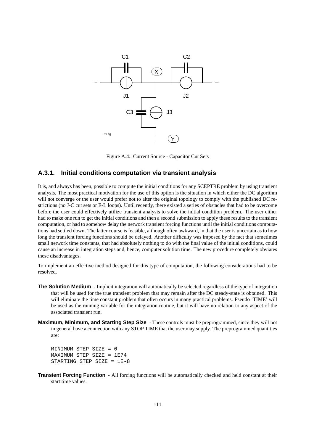

Figure A.4.: Current Source - Capacitor Cut Sets

#### **A.3.1. Initial conditions computation via transient analysis**

It is, and always has been, possible to compute the initial conditions for any SCEPTRE problem by using transient analysis. The most practical motivation for the use of this option is the situation in which either the DC algorithm will not converge or the user would prefer not to alter the original topology to comply with the published DC restrictions (no J-C cut sets or E-L loops). Until recently, there existed a series of obstacles that had to be overcome before the user could effectively utilize transient analysis to solve the initial condition problem. The user either had to make one run to get the initial conditions and then a second submission to apply these results to the transient computation, or had to somehow delay the network transient forcing functions until the initial conditions computations had settled down. The latter course is feasible, although often awkward, in that the user is uncertain as to how long the transient forcing functions should be delayed. Another difficulty was imposed by the fact that sometimes small network time constants, that had absolutely nothing to do with the final value of the initial conditions, could cause an increase in integration steps and, hence, computer solution time. The new procedure completely obviates these disadvantages.

To implement an effective method designed for this type of computation, the following considerations had to be resolved.

- **The Solution Medium** Implicit integration will automatically be selected regardless of the type of integration that will be used for the true transient problem that may remain after the DC steady-state is obtained. This will eliminate the time constant problem that often occurs in many practical problems. Pseudo 'TIME' will be used as the running variable for the integration routine, but it will have no relation to any aspect of the associated transient run.
- **Maximum, Minimum, and Starting Step Size** These controls must be preprogrammed, since they will not in general have a connection with any STOP TIME that the user may supply. The preprogrammed quantities are:

MINIMUM STEP SIZE = 0 MAXIMUM STEP SIZE = 1E74 STARTING STEP SIZE = 1E-8

**Transient Forcing Function** - All forcing functions will be automatically checked and held constant at their start time values.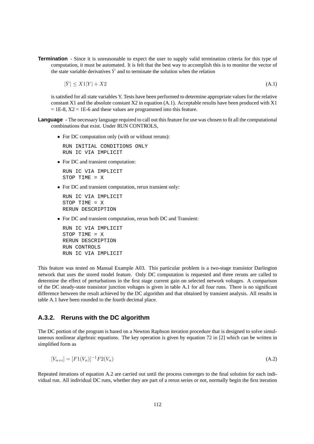**Termination** - Since it is unreasonable to expect the user to supply valid termination criteria for this type of computation, it must be automated. It is felt that the best way to accomplish this is to monitor the vector of the state variable derivatives  $\dot{Y}$  and to terminate the solution when the relation

$$
|\dot{Y}| \le X1|Y| + X2\tag{A.1}
$$

is satisfied for all state variables Y. Tests have been performed to determine appropriate values for the relative constant X1 and the absolute constant X2 in equation (A.1). Acceptable results have been produced with X1  $= 1E-8$ ,  $X2 = 1E-6$  and these values are programmed into this feature.

- **Language** The necessary language required to call out this feature for use was chosen to fit all the computational combinations that exist. Under RUN CONTROLS,
	- For DC computation only (with or without reruns):

RUN INITIAL CONDITIONS ONLY RUN IC VIA IMPLICIT

• For DC and transient computation:

RUN IC VIA IMPLICIT STOP TIME = X

• For DC and transient computation, rerun transient only:

```
RUN IC VIA IMPLICIT
STOP TIME = X
RERUN DESCRIPTION
```
• For DC and transient computation, rerun both DC and Transient:

```
RUN IC VIA IMPLICIT
STOP TIME = X
RERUN DESCRIPTION
RUN CONTROLS
RUN IC VIA IMPLICIT
```
This feature was tested on Manual Example A03. This particular problem is a two-stage transistor Darlington network that uses the stored model feature. Only DC computation is requested and three reruns are called to determine the effect of perturbations in the first stage current gain on selected network voltages. A comparison of the DC steady-state transistor junction voltages is given in table A.1 for all four runs. There is no significant difference between the result achieved by the DC algorithm and that obtained by transient analysis. All results in table A.1 have been rounded to the fourth decimal place.

#### **A.3.2. Reruns with the DC algorithm**

The DC portion of the program is based on a Newton Raphson iteration procedure that is designed to solve simultaneous nonlinear algebraic equations. The key operation is given by equation 72 in [2] which can be written in simplified form as

$$
[V_{n+i}] = [F1(V_n)]^{-1}F2(V_n)
$$
\n(A.2)

Repeated iterations of equation A.2 are carried out until the process converges to the final solution for each individual run. All individual DC runs, whether they are part of a rerun series or not, normally begin the first iteration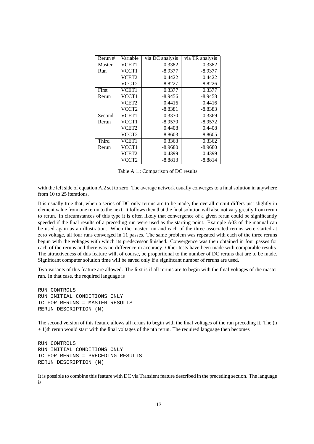| Rerun# | Variable          | via DC analysis | via TR analysis |
|--------|-------------------|-----------------|-----------------|
| Master | VCET1             | 0.3382          | 0.3382          |
| Run    | VCCT1             | $-8.9377$       | $-8.9377$       |
|        | VCET2             | 0.4422          | 0.4422          |
|        | VCCT <sub>2</sub> | $-8.8227$       | $-8.8226$       |
| First  | VCET1             | 0.3377          | 0.3377          |
| Rerun  | VCCT1             | $-8.9456$       | $-8.9458$       |
|        | VCET2             | 0.4416          | 0.4416          |
|        | VCCT <sub>2</sub> | $-8.8381$       | $-8.8383$       |
| Second | VCET1             | 0.3370          | 0.3369          |
| Rerun  | VCCT1             | $-8.9570$       | $-8.9572$       |
|        | VCET2             | 0.4408          | 0.4408          |
|        | VCCT <sub>2</sub> | $-8.8603$       | $-8.8605$       |
| Third  | VCET1             | 0.3363          | 0.3362          |
| Rerun  | VCCT1             | $-8.9680$       | $-8.9680$       |
|        | VCET2             | 0.4399          | 0.4399          |
|        | VCCT <sub>2</sub> | $-8.8813$       | $-8.8814$       |

Table A.1.: Comparison of DC results

with the left side of equation A.2 set to zero. The average network usually converges to a final solution in anywhere from 10 to 25 iterations.

It is usually true that, when a series of DC only reruns are to be made, the overall circuit differs just slightly in element value from one rerun to the next. It follows then that the final solution will also not vary greatly from rerun to rerun. In circumstances of this type it is often likely that convergence of a given rerun could be significantly speeded if the final results of a preceding run were used as the starting point. Example A03 of the manual can be used again as an illustration. When the master run and each of the three associated reruns were started at zero voltage, all four runs converged in 11 passes. The same problem was repeated with each of the three reruns begun with the voltages with which its predecessor finished. Convergence was then obtained in four passes for each of the reruns and there was no difference in accuracy. Other tests have been made with comparable results. The attractiveness of this feature will, of course, be proportional to the number of DC reruns that are to be made. Significant computer solution time will be saved only if a significant number of reruns are used.

Two variants of this feature are allowed. The first is if all reruns are to begin with the final voltages of the master run. In that case, the required language is

RUN CONTROLS RUN INITIAL CONDITIONS ONLY IC FOR RERUNS = MASTER RESULTS RERUN DESCRIPTION (N)

The second version of this feature allows all reruns to begin with the final voltages of the run preceding it. The (n + 1)th rerun would start with the final voltages of the nth rerun. The required language then becomes

RUN CONTROLS RUN INITIAL CONDITIONS ONLY IC FOR RERUNS = PRECEDING RESULTS RERUN DESCRIPTION (N)

It is possible to combine this feature with DC via Transient feature described in the preceding section. The language is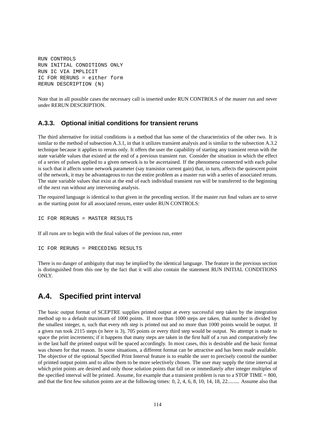```
RUN CONTROLS
RUN INITIAL CONDITIONS ONLY
RUN IC VIA IMPLICIT
IC FOR RERUNS = either form
RERUN DESCRIPTION (N)
```
Note that in all possible cases the necessary call is inserted under RUN CONTROLS of the master run and never under RERUN DESCRIPTION.

#### **A.3.3. Optional initial conditions for transient reruns**

The third alternative for initial conditions is a method that has some of the characteristics of the other two. It is similar to the method of subsection A.3.1, in that it utilizes transient analysis and is similar to the subsection A.3.2 technique because it applies to reruns only. It offers the user the capability of starting any transient rerun with the state variable values that existed at the end of a previous transient run. Consider the situation in which the effect of a series of pulses applied to a given network is to be ascertained. If the phenomena connected with each pulse is such that it affects some network parameter (say transistor current gain) that, in turn, affects the quiescent point of the network, it may be advantageous to run the entire problem as a master run with a series of associated reruns. The state variable values that exist at the end of each individual transient run will be transferred to the beginning of the next run without any intervening analysis.

The required language is identical to that given in the preceding section. If the master run final values are to serve as the starting point for all associated reruns, enter under RUN CONTROLS:

IC FOR RERUNS = MASTER RESULTS

If all runs are to begin with the final values of the previous run, enter

```
IC FOR RERUNS = PRECEDING RESULTS
```
There is no danger of ambiguity that may be implied by the identical language. The feature in the previous section is distinguished from this one by the fact that it will also contain the statement RUN INITIAL CONDITIONS ONLY.

## **A.4. Specified print interval**

The basic output format of SCEPTRE supplies printed output at every successful step taken by the integration method up to a default maximum of 1000 points. If more than 1000 steps are taken, that number is divided by the smallest integer, n, such that every nth step is printed out and no more than 1000 points would be output. If a given run took 2115 steps (n here is 3), 705 points or every third step would be output. No attempt is made to space the print increments; if it happens that many steps are taken in the first half of a run and comparatively few in the last half the printed output will be spaced accordingly. In most cases, this is desirable and the basic format was chosen for that reason. In some situations, a different format can be attractive and has been made available. The objective of the optional Specified Print Interval feature is to enable the user to precisely control the number of printed output points and to allow them to be more selectively chosen. The user may supply the time interval at which print points are desired and only those solution points that fall on or immediately after integer multiples of the specified interval will be printed. Assume, for example that a transient problem is run to a STOP TIME =  $800$ , and that the first few solution points are at the following times: 0, 2, 4, 6, 8, 10, 14, 18, 22......... Assume also that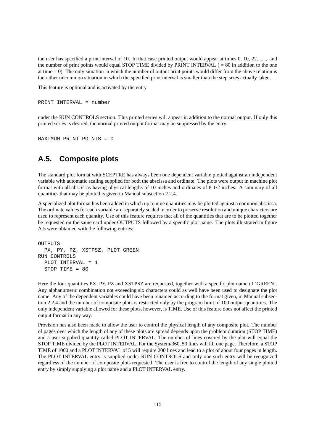the user has specified a print interval of 10. In that case printed output would appear at times 0, 10, 22........ and the number of print points would equal STOP TIME divided by PRINT INTERVAL  $( = 80$  in addition to the one at time  $= 0$ ). The only situation in which the number of output print points would differ from the above relation is the rather uncommon situation in which the specified print interval is smaller than the step sizes actually taken.

This feature is optional and is activated by the entry

```
PRINT INTERVAL = number
```
under the RUN CONTROLS section. This printed series will appear in addition to the normal output. If only this printed series is desired, the normal printed output format may be suppressed by the entry

```
MAXIMUM PRINT POINTS = 0
```
# **A.5. Composite plots**

The standard plot format with SCEPTRE has always been one dependent variable plotted against an independent variable with automatic scaling supplied for both the abscissa and ordinate. The plots were output in machine plot format with all abscissas having physical lengths of 10 inches and ordinates of 8-1/2 inches. A summary of all quantities that may be plotted is given in Manual subsection 2.2.4.

A specialized plot format has been added in which up to nine quantities may be plotted against a common abscissa. The ordinate values for each variable are separately scaled in order to preserve resolution and unique characters are used to represent each quantity. Use of this feature requires that all of the quantities that are to be plotted together be requested on the same card under OUTPUTS followed by a specific plot name. The plots illustrated in figure A.5 were obtained with the following entries:

```
OUTPUTS
 PX, PY, PZ, XSTPSZ, PLOT GREEN
RUN CONTROLS
  PLOT INTERVAL = 1
  STOP TIME = 80
```
Here the four quantities PX, PY, PZ and XSTPSZ are requested, together with a specific plot name of 'GREEN'. Any alphanumeric combination not exceeding six characters could as well have been used to designate the plot name. Any of the dependent variables could have been renamed according to the format given, in Manual subsection 2.2.4 and the number of composite plots is restricted only by the program limit of 100 output quantities. The only independent variable allowed for these plots, however, is TIME. Use of this feature does not affect the printed output format in any way.

Provision has also been made to allow the user to control the physical length of any composite plot. The number of pages over which the length of any of these plots are spread depends upon the problem duration (STOP TIME) and a user supplied quantity called PLOT INTERVAL. The number of lines covered by the plot will equal the STOP TIME divided by the PLOT INTERVAL. For the System/360, 59 lines will fill one page. Therefore, a STOP TIME of 1000 and a PLOT INTERVAL of 5 will require 200 lines and lead to a plot of about four pages in length. The PLOT INTERVAL entry is supplied under RUN CONTROLS and only one such entry will be recognized regardless of the number of composite plots requested. The user is free to control the length of any single plotted entry by simply supplying a plot name and a PLOT INTERVAL entry.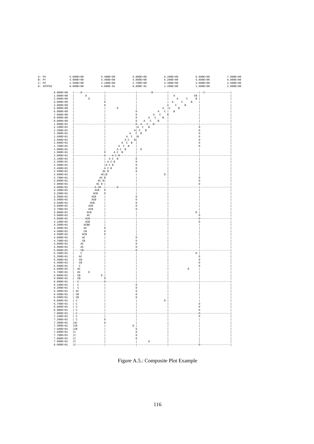

Figure A.5.: Composite Plot Example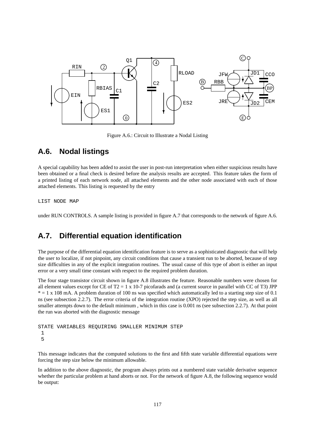

Figure A.6.: Circuit to Illustrate a Nodal Listing

# **A.6. Nodal listings**

A special capability has been added to assist the user in post-run interpretation when either suspicious results have been obtained or a final check is desired before the analysis results are accepted. This feature takes the form of a printed listing of each network node, all attached elements and the other node associated with each of those attached elements. This listing is requested by the entry

LIST NODE MAP

under RUN CONTROLS. A sample listing is provided in figure A.7 that corresponds to the network of figure A.6.

# **A.7. Differential equation identification**

The purpose of the differential equation identification feature is to serve as a sophisticated diagnostic that will help the user to localize, if not pinpoint, any circuit conditions that cause a transient run to be aborted, because of step size difficulties in any of the explicit integration routines. The usual cause of this type of abort is either an input error or a very small time constant with respect to the required problem duration.

The four stage transistor circuit shown in figure A.8 illustrates the feature. Reasonable numbers were chosen for all element values except for CE of T2 = 1 x 10-7 picofarads and (a current source in parallel with CC of T3) JPP  $* = 1 \times 108$  mA. A problem duration of 100 ns was specified which automatically led to a starting step size of 0.1 ns (see subsection 2.2.7). The error criteria of the integration routine (XPO) rejected the step size, as well as all smaller attempts down to the default minimum, which in this case is 0.001 ns (see subsection 2.2.7). At that point the run was aborted with the diagnostic message

```
STATE VARIABLES REQUIRING SMALLER MINIMUM STEP
 1
 5
```
This message indicates that the computed solutions to the first and fifth state variable differential equations were forcing the step size below the minimum allowable.

In addition to the above diagnostic, the program always prints out a numbered state variable derivative sequence whether the particular problem at hand aborts or not. For the network of figure A.8, the following sequence would be output: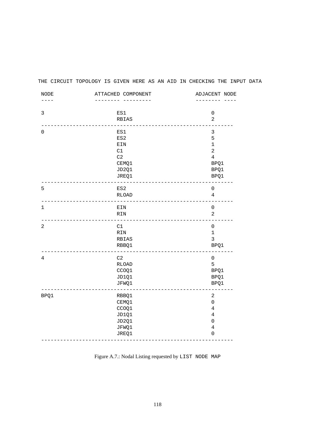| $\texttt{NODE}$ | ATTACHED COMPONENT | ADJACENT NODE       |
|-----------------|--------------------|---------------------|
|                 |                    |                     |
| $\mathbf{3}$    | ES1                | $\mathsf 0$         |
|                 | RBIAS              | $\overline{a}$      |
| 0               | ES1                | $\mathsf 3$         |
|                 | ES2                | 5                   |
|                 | EIN                | $\mathbf{1}$        |
|                 | C1                 | $\overline{c}$      |
|                 | C <sub>2</sub>     | $\overline{4}$      |
|                 | CEMQ1              | BPQ1                |
|                 | JD2Q1              | BPQ1                |
|                 | JREQ1              | BPQ1                |
| 5               | ES2                | $\mathsf 0$         |
|                 | <b>RLOAD</b>       | $\overline{4}$      |
| 1               | EIN                | $\mathsf 0$         |
|                 | $\verb RIN $       | $\sqrt{2}$          |
| $\sqrt{2}$      | $\mathtt{C1}$      | $\mathsf{O}\xspace$ |
|                 | RIN                | $\mathbf 1$         |
|                 | RBIAS              | $\overline{3}$      |
|                 | RBBQ1              | BPQ1                |
| $\overline{4}$  | C2                 | $\mathsf 0$         |
|                 | <b>RLOAD</b>       | 5                   |
|                 | CCOQ1              | BPQ1                |
|                 | JD1Q1              | BPQ1                |
|                 | JFWQ1              | BPQ1                |
| BPQ1            | RBBQ1              | $\sqrt{2}$          |
|                 | CEMQ1              | $\mathbf 0$         |
|                 | CCOQ1              | $\overline{4}$      |
|                 | JD1Q1              | $\overline{4}$      |
|                 | JD2Q1              | $\mathsf 0$         |
|                 | JFWQ1              | $\overline{4}$      |
|                 | JREQ1              | $\mathbf 0$         |
|                 |                    |                     |

#### THE CIRCUIT TOPOLOGY IS GIVEN HERE AS AN AID IN CHECKING THE INPUT DATA

Figure A.7.: Nodal Listing requested by LIST NODE MAP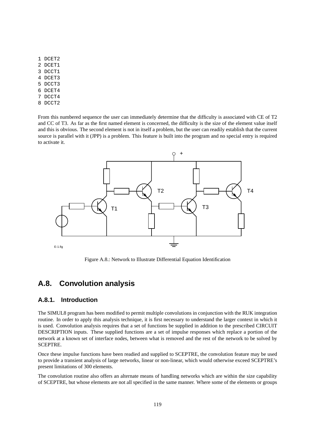- 1 DCET2 2 DCET1
- 3 DCCT1
- 
- 4 DCET3
- 5 DCCT3
- 6 DCET4
- 7 DCCT4
- 8 DCCT2

From this numbered sequence the user can immediately determine that the difficulty is associated with CE of T2 and CC of T3. As far as the first named element is concerned, the difficulty is the size of the element value itself and this is obvious. The second element is not in itself a problem, but the user can readily establish that the current source is parallel with it (JPP) is a problem. This feature is built into the program and no special entry is required to activate it.



Figure A.8.: Network to Illustrate Differential Equation Identification

# **A.8. Convolution analysis**

### **A.8.1. Introduction**

The SIMUL8 program has been modified to permit multiple convolutions in conjunction with the RUK integration routine. In order to apply this analysis technique, it is first necessary to understand the larger context in which it is used. Convolution analysis requires that a set of functions be supplied in addition to the prescribed CIRCUIT DESCRIPTION inputs. These supplied functions are a set of impulse responses which replace a portion of the network at a known set of interface nodes, between what is removed and the rest of the network to be solved by SCEPTRE.

Once these impulse functions have been readied and supplied to SCEPTRE, the convolution feature may be used to provide a transient analysis of large networks, linear or non-linear, which would otherwise exceed SCEPTRE's present limitations of 300 elements.

The convolution routine also offers an alternate means of handling networks which are within the size capability of SCEPTRE, but whose elements are not all specified in the same manner. Where some of the elements or groups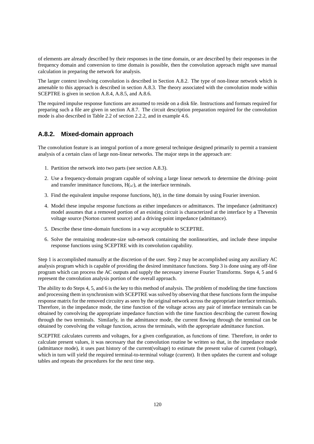of elements are already described by their responses in the time domain, or are described by their responses in the frequency domain and conversion to time domain is possible, then the convolution approach might save manual calculation in preparing the network for analysis.

The larger context involving convolution is described in Section A.8.2. The type of non-linear network which is amenable to this approach is described in section A.8.3. The theory associated with the convolution mode within SCEPTRE is given in section A.8.4, A.8.5, and A.8.6.

The required impulse response functions are assumed to reside on a disk file. Instructions and formats required for preparing such a file are given in section A.8.7. The circuit description preparation required for the convolution mode is also described in Table 2.2 of section 2.2.2, and in example 4.6.

## **A.8.2. Mixed-domain approach**

The convolution feature is an integral portion of a more general technique designed primarily to permit a transient analysis of a certain class of large non-linear networks. The major steps in the approach are:

- 1. Partition the network into two parts (see section A.8.3).
- 2. Use a frequency-domain program capable of solving a large linear network to determine the driving- point and transfer immittance functions,  $H(\omega)$ , at the interface terminals.
- 3. Find the equivalent impulse response functions, h(t), in the time domain by using Fourier inversion.
- 4. Model these impulse response functions as either impedances or admittances. The impedance (admittance) model assumes that a removed portion of an existing circuit is characterized at the interface by a Thevenin voltage source (Norton current source) and a driving-point impedance (admittance).
- 5. Describe these time-domain functions in a way acceptable to SCEPTRE.
- 6. Solve the remaining moderate-size sub-network containing the nonlinearities, and include these impulse response functions using SCEPTRE with its convolution capability.

Step 1 is accomplished manually at the discretion of the user. Step 2 may be accomplished using any auxiliary AC analysis program which is capable of providing the desired immittance functions. Step 3 is done using any off-line program which can process the AC outputs and supply the necessary inverse Fourier Transforms. Steps 4, 5 and 6 represent the convolution analysis portion of the overall approach.

The ability to do Steps 4, 5, and 6 is the key to this method of analysis. The problem of modeling the time functions and processing them in synchronism with SCEPTRE was solved by observing that these functions form the impulse response matrix for the removed circuitry as seen by the original network across the appropriate interface terminals. Therefore, in the impedance mode, the time function of the voltage across any pair of interface terminals can be obtained by convolving the appropriate impedance function with the time function describing the current flowing through the two terminals. Similarly, in the admittance mode, the current flowing through the terminal can be obtained by convolving the voltage function, across the terminals, with the appropriate admittance function.

SCEPTRE calculates currents and voltages, for a given configuration, as functions of time. Therefore, in order to calculate present values, it was necessary that the convolution routine be written so that, in the impedance mode (admittance mode), it uses past history of the current(voltage) to estimate the present value of current (voltage), which in turn will yield the required terminal-to-terminal voltage (current). It then updates the current and voltage tables and repeats the procedures for the next time step.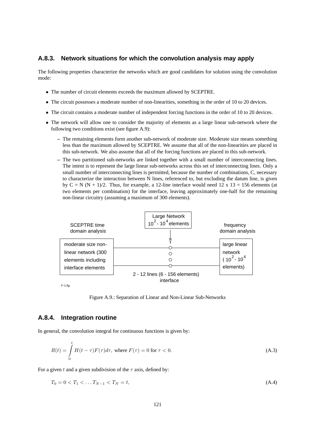#### **A.8.3. Network situations for which the convolution analysis may apply**

The following properties characterize the networks which are good candidates for solution using the convolution mode:

- The number of circuit elements exceeds the maximum allowed by SCEPTRE.
- The circuit possesses a moderate number of non-linearities, something in the order of 10 to 20 devices.
- The circuit contains a moderate number of independent forcing functions in the order of 10 to 20 devices.
- The network will allow one to consider the majority of elements as a large linear sub-network where the following two conditions exist (see figure A.9):
	- **–** The remaining elements form another sub-network of moderate size. Moderate size means something less than the maximum allowed by SCEPTRE. We assume that all of the non-linearities are placed in this sub-network. We also assume that all of the forcing functions are placed in this sub-network.
	- **–** The two partitioned sub-networks are linked together with a small number of interconnecting lines. The intent is to represent the large linear sub-networks across this set of interconnecting lines. Only a small number of interconnecting lines is permitted, because the number of combinations, C, necessary to characterize the interaction between N lines, referenced to, but excluding the datum line, is given by  $C = N (N + 1)/2$ . Thus, for example, a 12-line interface would need 12 x 13 = 156 elements (at two elements per combination) for the interface, leaving approximately one-half for the remaining non-linear circuitry (assuming a maximum of 300 elements).



F-1.fig

Figure A.9.: Separation of Linear and Non-Linear Sub-Networks

#### **A.8.4. Integration routine**

In general, the convolution integral for continuous functions is given by:

$$
R(t) = \int_{0}^{t} H(t - \tau)F(\tau)d\tau, \text{ where } F(\tau) = 0 \text{ for } \tau < 0. \tag{A.3}
$$

For a given t and a given subdivision of the  $\tau$  axis, defined by:

$$
T_0 = 0 < T_1 < \dots T_{N-1} < T_N = t,\tag{A.4}
$$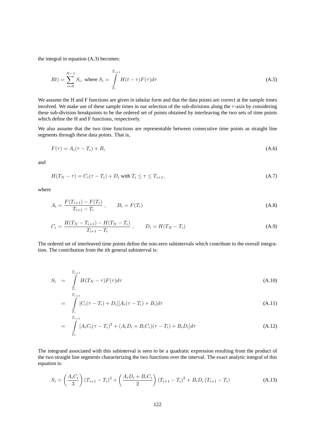the integral in equation (A.3) becomes:

$$
Rt) = \sum_{i=0}^{N-1} S_i, \text{ where } S_i = \int_{T_i}^{T_{i+1}} H(t-\tau)F(\tau)d\tau
$$
 (A.5)

We assume the H and F functions are given in tabular form and that the data points are correct at the sample times involved. We make use of these sample times in our selection of the sub-divisions along the  $\tau$ -axis by considering these sub-division breakpoints to be the ordered set of points obtained by interleaving the two sets of time points which define the H and F functions, respectively.

We also assume that the two time functions are representable between consecutive time points as straight line segments through these data points. That is,

$$
F(\tau) = A_i(\tau - T_i) + B_i \tag{A.6}
$$

and

$$
H(T_N - \tau) = C_i(\tau - T_i) + D_i \text{ with } T_i \le \tau \le T_{i+1},\tag{A.7}
$$

where

$$
A_i = \frac{F(T_{i+1}) - F(T_i)}{T_{i+1} - T_i}, \qquad B_i = F(T_i)
$$
\n(A.8)

$$
C_i = \frac{H(T_N - T_{i+1}) - H(T_N - T_i)}{T_{i+1} - T_i}, \qquad D_i = H(T_N - T_i)
$$
\n(A.9)

The ordered set of interleaved time points define the non-zero subintervals which contribute to the overall integration. The contribution from the ith general subinterval is:

$$
S_i = \int_{T_i}^{T_{i+1}} H(T_N - \tau) F(\tau) d\tau
$$
\n(A.10)

$$
= \int_{T_i}^{T_{i+1}} [C_i(\tau - T_i) + D_i][A_i(\tau - T_i) + B_i]d\tau
$$
\n(A.11)

$$
= \int_{T_i}^{T_{i+1}} [A_i C_i (\tau - T_i)^2 + (A_i D_i + B_i C_i) (\tau - T_i) + B_i D_i] d\tau
$$
\n(A.12)

The integrand associated with this subinterval is seen to be a quadratic expression resulting from the product of the two straight line segments characterizing the two functions over the interval. The exact analytic integral of this equation is:

$$
S_{i} = \left(\frac{A_{i}C_{i}}{3}\right)(T_{i+1} - T_{i})^{3} + \left(\frac{A_{i}D_{i} + B_{i}C_{i}}{2}\right)(T_{i+1} - T_{i})^{2} + B_{i}D_{i}(T_{i+1} - T_{i})
$$
\n(A.13)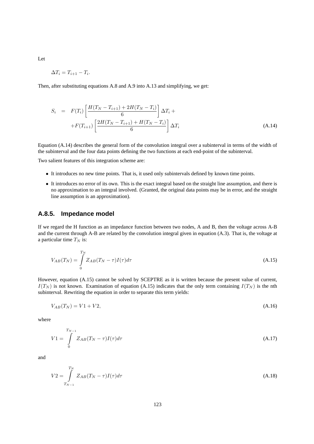Let

$$
\Delta T_i = T_{i+1} - T_i.
$$

Then, after substituting equations A.8 and A.9 into A.13 and simplifying, we get:

$$
S_{i} = F(T_{i}) \left[ \frac{H(T_{N} - T_{i+1}) + 2H(T_{N} - T_{i})}{6} \right] \Delta T_{i} +
$$
  
+
$$
F(T_{i+1}) \left[ \frac{2H(T_{N} - T_{i+1}) + H(T_{N} - T_{i})}{6} \right] \Delta T_{i}
$$
(A.14)

Equation (A.14) describes the general form of the convolution integral over a subinterval in terms of the width of the subinterval and the four data points defining the two functions at each end-point of the subinterval.

Two salient features of this integration scheme are:

- It introduces no new time points. That is, it used only subintervals defined by known time points.
- It introduces no error of its own. This is the exact integral based on the straight line assumption, and there is no approximation to an integral involved. (Granted, the original data points may be in error, and the straight line assumption is an approximation).

#### **A.8.5. Impedance model**

If we regard the H function as an impedance function between two nodes, A and B, then the voltage across A-B and the current through A-B are related by the convolution integral given in equation (A.3). That is, the voltage at a particular time  $T_N$  is:

$$
V_{AB}(T_N) = \int\limits_0^{T_N} Z_{AB}(T_N - \tau)I(\tau)d\tau
$$
\n(A.15)

However, equation (A.15) cannot be solved by SCEPTRE as it is written because the present value of current,  $I(T_N)$  is not known. Examination of equation (A.15) indicates that the only term containing  $I(T_N)$  is the nth subinterval. Rewriting the equation in order to separate this term yields:

$$
V_{AB}(T_N) = V1 + V2,\tag{A.16}
$$

where

$$
V1 = \int_{0}^{T_{N-1}} Z_{AB}(T_N - \tau)I(\tau)d\tau
$$
\n(A.17)

and

$$
V2 = \int_{T_{N-1}}^{T_N} Z_{AB}(T_N - \tau)I(\tau)d\tau
$$
\n(A.18)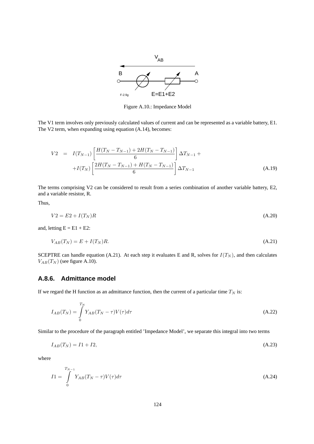

Figure A.10.: Impedance Model

The V1 term involves only previously calculated values of current and can be represented as a variable battery, E1. The V2 term, when expanding using equation (A.14), becomes:

$$
V2 = I(T_{N-1}) \left[ \frac{H(T_N - T_{N-1}) + 2H(T_N - T_{N-1})}{6} \right] \Delta T_{N-1} +
$$
  
+
$$
I(T_N) \left[ \frac{2H(T_N - T_{N-1}) + H(T_N - T_{N-1})}{6} \right] \Delta T_{N-1}
$$
(A.19)

The terms comprising V2 can be considered to result from a series combination of another variable battery, E2, and a variable resistor, R.

Thus,

$$
V2 = E2 + I(T_N)R
$$
\n
$$
(A.20)
$$

and, letting  $E = E1 + E2$ :

$$
V_{AB}(T_N) = E + I(T_N)R.\tag{A.21}
$$

SCEPTRE can handle equation (A.21). At each step it evaluates E and R, solves for  $I(T_N)$ , and then calculates  $V_{AB}(T_N)$  (see figure A.10).

#### **A.8.6. Admittance model**

If we regard the H function as an admittance function, then the current of a particular time  $T_N$  is:

$$
I_{AB}(T_N) = \int\limits_0^{T_N} Y_{AB}(T_N - \tau)V(\tau)d\tau
$$
\n(A.22)

Similar to the procedure of the paragraph entitled 'Impedance Model', we separate this integral into two terms

$$
I_{AB}(T_N) = I1 + I2,\tag{A.23}
$$

where

$$
I1 = \int_{0}^{T_{N-1}} Y_{AB}(T_N - \tau)V(\tau)d\tau
$$
\n(A.24)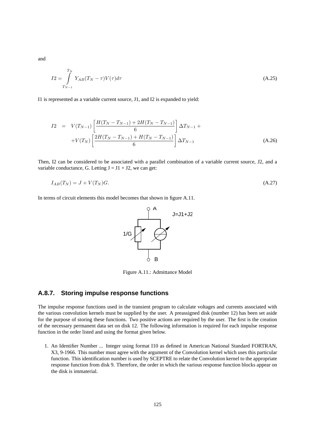and

$$
I2 = \int_{T_{N-1}}^{T_N} Y_{AB}(T_N - \tau)V(\tau)d\tau
$$
\n(A.25)

I1 is represented as a variable current source, J1, and I2 is expanded to yield:

$$
I2 = V(T_{N-1}) \left[ \frac{H(T_N - T_{N-1}) + 2H(T_N - T_{N-1})}{6} \right] \Delta T_{N-1} +
$$
  
+
$$
V(T_N) \left[ \frac{2H(T_N - T_{N-1}) + H(T_N - T_{N-1})}{6} \right] \Delta T_{N-1}
$$
 (A.26)

Then, I2 can be considered to be associated with a parallel combination of a variable current source, J2, and a variable conductance, G. Letting  $J = J1 + J2$ , we can get:

$$
I_{AB}(T_N) = J + V(T_N)G.\tag{A.27}
$$

In terms of circuit elements this model becomes that shown in figure A.11.



Figure A.11.: Admittance Model

#### **A.8.7. Storing impulse response functions**

The impulse response functions used in the transient program to calculate voltages and currents associated with the various convolution kernels must be supplied by the user. A preassigned disk (number 12) has been set aside for the purpose of storing these functions. Two positive actions are required by the user. The first is the creation of the necessary permanent data set on disk 12. The following information is required for each impulse response function in the order listed and using the format given below.

1. An Identifier Number ... Integer using format I10 as defined in American National Standard FORTRAN, X3, 9-1966. This number must agree with the argument of the Convolution kernel which uses this particular function. This identification number is used by SCEPTRE to relate the Convolution kernel to the appropriate response function from disk 9. Therefore, the order in which the various response function blocks appear on the disk is immaterial.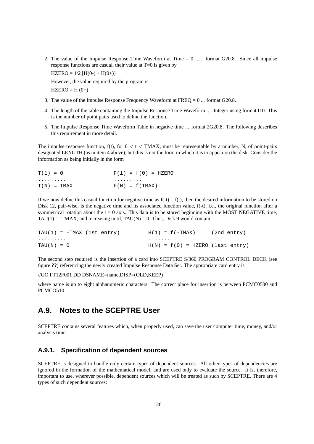2. The value of the Impulse Response Time Waveform at Time  $= 0$  ..... format G20.8. Since all impulse response functions are casual, their value at T=0 is given by

 $HZERO = 1/2$   $[H(0-) + H(0+)]$ However, the value required by the program is  $HZERO = H (0+)$ 

- 3. The value of the Impulse Response Frequency Waveform at FREQ = 0 ... format G20.8.
- 4. The length of the table containing the Impulse Response Time Waveform .... Integer using format I10. This is the number of point pairs used to define the function.
- 5. The Impulse Response Time Waveform Table in negative time ... format 2G20.8. The following describes this requirement in more detail.

The impulse response function,  $f(t)$ , for  $0 < t <$  TMAX, must be representable by a number, N, of point-pairs designated LENGTH (as in item 4 above), but this is not the form in which it is to appear on the disk. Consider the information as being initially in the form

| $T(1) = 0$    | $F(1) = f(0) = HZERO$ |
|---------------|-----------------------|
| .             | .                     |
| $T(N) = TMAX$ | $F(N) = f(TMAX)$      |

If we now define this casual function for negative time as  $f(-t) = f(t)$ , then the desired information to be stored on Disk 12, pair-wise, is the negative time and its associated function value, f(-t), i.e., the original function after a symmetrical rotation about the  $t = 0$  axis. This data is to be stored beginning with the MOST NEGATIVE time,  $TAU(1) = -TMAX$ , and increasing until,  $TAU(N) = 0$ . Thus, Disk 9 would contain

| $TAU(1) = -TMAX (1st entry)$ | $H(1) = f(-TMAX)$                  | (2nd entry) |
|------------------------------|------------------------------------|-------------|
| .                            | .                                  |             |
| $TAU(N) = 0$                 | $H(N) = f(0) = HZERO$ (last entry) |             |

The second step required is the insertion of a card into SCEPTRE S/360 PROGRAM CONTROL DECK (see figure **??**) referencing the newly created Impulse Response Data Set. The appropriate card entry is

//GO.FT12F001 DD DSNAME=name,DISP=(OLD,KEEP)

where name is up to eight alphanumeric characters. The correct place for insertion is between PCMC0500 and PCMCO510.

# **A.9. Notes to the SCEPTRE User**

SCEPTRE contains several features which, when properly used, can save the user computer time, money, and/or analysis time.

### **A.9.1. Specification of dependent sources**

SCEPTRE is designed to handle only certain types of dependent sources. All other types of dependencies are ignored in the formation of the mathematical model, and are used only to evaluate the source. It is, therefore, important to use, wherever possible, dependent sources which will be treated as such by SCEPTRE. There are 4 types of such dependent sources: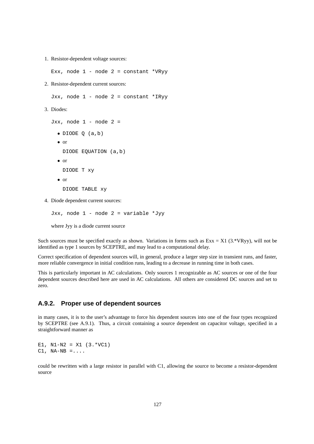1. Resistor-dependent voltage sources:

Exx, node  $1$  - node  $2$  = constant \*VRyy

2. Resistor-dependent current sources:

Jxx, node  $1$  - node  $2$  = constant \*IRyy

3. Diodes:

 $Jxx$ , node  $1$  - node  $2$  = • DIODE Q (a,b) • or DIODE EQUATION (a,b) • or DIODE T xy • or

- DIODE TABLE xy
- 4. Diode dependent current sources:

```
Jxx, node 1 - node 2 = variable *Jyy
where Jyy is a diode current source
```
Such sources must be specified exactly as shown. Variations in forms such as  $Exx = X1$  (3.\*VRyy), will not be identified as type 1 sources by SCEPTRE, and may lead to a computational delay.

Correct specification of dependent sources will, in general, produce a larger step size in transient runs, and faster, more reliable convergence in initial condition runs, leading to a decrease in running time in both cases.

This is particularly important in AC calculations. Only sources 1 recognizable as AC sources or one of the four dependent sources described here are used in AC calculations. All others are considered DC sources and set to zero.

### **A.9.2. Proper use of dependent sources**

in many cases, it is to the user's advantage to force his dependent sources into one of the four types recognized by SCEPTRE (see A.9.1). Thus, a circuit containing a source dependent on capacitor voltage, specified in a straightforward manner as

E1,  $N1-N2 = X1$  (3.\*VC1)  $C1$ , NA-NB =....

could be rewritten with a large resistor in parallel with C1, allowing the source to become a resistor-dependent source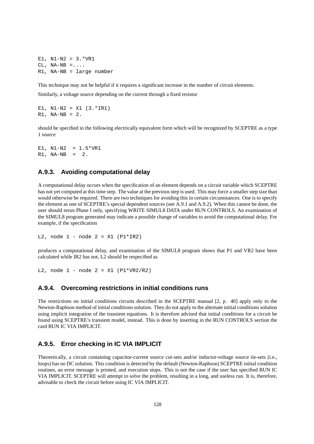E1, N1-N2 = 3.\*VR1  $CL$ ,  $NA-NB = \ldots$ . R1, NA-NB = large number

This technique may not be helpful if it requires a significant increase in the number of circuit elements.

Similarly, a voltage source depending on the current through a fixed resistor

E1,  $N1-N2 = X1$  (3.\*IR1)  $R1$ ,  $NA-NB = 2$ .

should be specified in the following electrically equivalent form which will be recognized by SCEPTRE as a type 1 source

 $E1. N1-N2 = 1.5*VR1$  $R1$ ,  $NA-NB = 2$ .

### **A.9.3. Avoiding computational delay**

A computational delay occurs when the specification of an element depends on a circuit variable which SCEPTRE has not yet computed at this time step. The value at the previous step is used. This may force a smaller step size than would otherwise be required. There are two techniques for avoiding this in certain circumstances. One is to specify the element as one of SCEPTRE's special dependent sources (see A.9.1 and A.9.2). When this cannot be done, the user should rerun Phase I only, specifying WRITE SIMUL8 DATA under RUN CONTROLS. An examination of the SIMUL8 program generated may indicate a possible change of variables to avoid the computational delay. For example, if the specification

L2, node  $1$  - node  $2 = X1$  ( $PI*IR2$ )

produces a computational delay, and examination of the SIMUL8 program shows that P1 and VR2 have been calculated while IR2 has not, L2 should be respecified as

L2, node  $1 - node 2 = X1 (P1*VR2/R2)$ 

#### **A.9.4. Overcoming restrictions in initial conditions runs**

The restrictions on initial conditions circuits described in the SCEPTRE manual [2, p. 40] apply only to the Newton-Raphson method of initial conditions solution. They do not apply to the alternate initial conditions solution using implicit integration of the transient equations. It is therefore advised that initial conditions for a circuit be found using SCEPTRE's transient model, instead. This is done by inserting in the RUN CONTROLS section the card RUN IC VIA IMPLICIT.

### **A.9.5. Error checking in IC VIA IMPLICIT**

Theoretically, a circuit containing capacitor-current source cut-sets and/or inductor-voltage source tie-sets (i.e., loops) has no DC solution. This condition is detected by the default (Newton-Raphson) SCEPTRE initial condition routines, an error message is printed, and execution stops. This is not the case if the user has specified RUN IC VIA IMPLICIT. SCEPTRE will attempt to solve the problem, resulting in a long, and useless run. It is, therefore, advisable to check the circuit before using IC VIA IMPLICIT.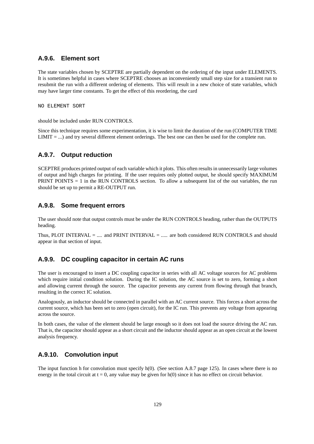#### **A.9.6. Element sort**

The state variables chosen by SCEPTRE are partially dependent on the ordering of the input under ELEMENTS. It is sometimes helpful in cases where SCEPTRE chooses an inconveniently small step size for a transient run to resubmit the run with a different ordering of elements. This will result in a new choice of state variables, which may have larger time constants. To get the effect of this reordering, the card

NO ELEMENT SORT

should be included under RUN CONTROLS.

Since this technique requires some experimentation, it is wise to limit the duration of the run (COMPUTER TIME LIMIT = ...) and try several different element orderings. The best one can then be used for the complete run.

### **A.9.7. Output reduction**

SCEPTRE produces printed output of each variable which it plots. This often results in unnecessarily large volumes of output and high charges for printing. If the user requires only plotted output, he should specify MAXIMUM PRINT POINTS = 1 in the RUN CONTROLS section. To allow a subsequent list of the out variables, the run should be set up to permit a RE-OUTPUT run.

#### **A.9.8. Some frequent errors**

The user should note that output controls must be under the RUN CONTROLS heading, rather than the OUTPUTS heading.

Thus, PLOT INTERVAL = .... and PRINT INTERVAL = ..... are both considered RUN CONTROLS and should appear in that section of input.

### **A.9.9. DC coupling capacitor in certain AC runs**

The user is encouraged to insert a DC coupling capacitor in series with all AC voltage sources for AC problems which require initial condition solution. During the IC solution, the AC source is set to zero, forming a short and allowing current through the source. The capacitor prevents any current from flowing through that branch, resulting in the correct IC solution.

Analogously, an inductor should be connected in parallel with an AC current source. This forces a short across the current source, which has been set to zero (open circuit), for the IC run. This prevents any voltage from appearing across the source.

In both cases, the value of the element should be large enough so it does not load the source driving the AC run. That is, the capacitor should appear as a short circuit and the inductor should appear as an open circuit at the lowest analysis frequency.

### **A.9.10. Convolution input**

The input function h for convolution must specify h(0). (See section A.8.7 page 125). In cases where there is no energy in the total circuit at  $t = 0$ , any value may be given for h(0) since it has no effect on circuit behavior.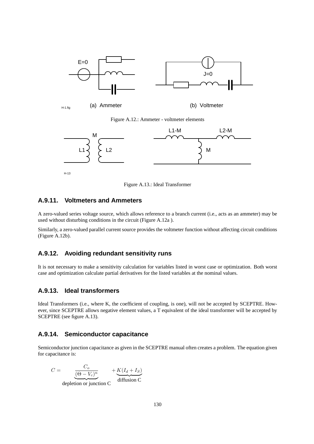

 $H_{H-1,fig}$  (a) Ammeter

(b) Voltmeter

Figure A.12.: Ammeter - voltmeter elements



H-13

Figure A.13.: Ideal Transformer

### **A.9.11. Voltmeters and Ammeters**

A zero-valued series voltage source, which allows reference to a branch current (i.e., acts as an ammeter) may be used without disturbing conditions in the circuit (Figure A.12a ).

Similarly, a zero-valued parallel current source provides the voltmeter function without affecting circuit conditions (Figure A.12b).

### **A.9.12. Avoiding redundant sensitivity runs**

It is not necessary to make a sensitivity calculation for variables listed in worst case or optimization. Both worst case and optimization calculate partial derivatives for the listed variables at the nominal values.

#### **A.9.13. Ideal transformers**

Ideal Transformers (i.e., where K, the coefficient of coupling, is one), will not be accepted by SCEPTRE. However, since SCEPTRE allows negative element values, a T equivalent of the ideal transformer will be accepted by SCEPTRE (see figure A.13).

#### **A.9.14. Semiconductor capacitance**

Semiconductor junction capacitance as given in the SCEPTRE manual often creates a problem. The equation given for capacitance is:

$$
C = \underbrace{\frac{C_o}{(\Theta - V_c)^n}}_{\text{depletion or junction C}} + \underbrace{K(I_d + I_S)}_{\text{diffusion C}}
$$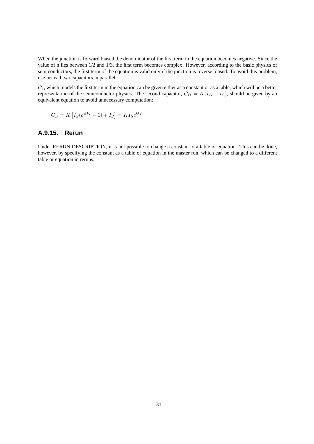When the junction is forward biased the denominator of the first term in the equation becomes negative. Since the value of n lies between 1/2 and 1/3, the first term becomes complex. However, according to the basic physics of semiconductors, the first term of the equation is valid only if the junction is reverse biased. To avoid this problem, use instead two capacitors in parallel.

 $C_j$ , which models the first term in the equation can be given either as a constant or as a table, which will be a better representation of the semiconductor physics. The second capacitor,  $C_D = K(I_D + I_S)$ , should be given by an equivalent equation to avoid unnecessary computation:

$$
C_D = K \left[ I_S (e^{\Theta V_c} - 1) + I_S \right] = K I_S e^{\Theta V_c}
$$

## **A.9.15. Rerun**

Under RERUN DESCRIPTION, it is not possible to change a constant to a table or equation. This can be done, however, by specifying the constant as a table or equation in the master run, which can be changed to a different table or equation in reruns.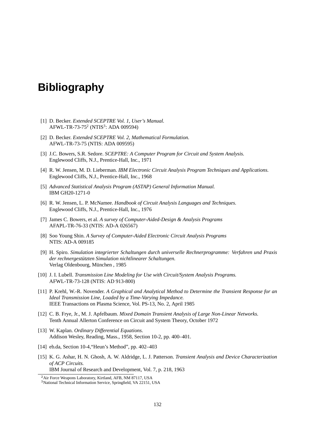# **Bibliography**

- [1] D. Becker. *Extended SCEPTRE Vol. 1, User's Manual.* AFWL-TR-73-75<sup>2</sup> (NTIS<sup>3</sup>: ADA 009594)
- [2] D. Becker. *Extended SCEPTRE Vol. 2, Mathematical Formulation.* AFWL-TR-73-75 (NTIS: ADA 009595)
- [3] J.C. Bowers, S.R. Sedore. *SCEPTRE: A Computer Program for Circuit and System Analysis.* Englewood Cliffs, N.J., Prentice-Hall, Inc., 1971
- [4] R. W. Jensen, M. D. Lieberman. *IBM Electronic Circuit Analysis Program Techniques and Applications.* Englewood Cliffs, N.J., Prentice-Hall, Inc., 1968
- [5] *Advanced Statistical Analysis Program (ASTAP) General Information Manual.* IBM GH20-1271-0
- [6] R. W. Jensen, L. P. McNamee. *Handbook of Circuit Analysis Languages and Techniques.* Englewood Cliffs, N.J., Prentice-Hall, Inc., 1976
- [7] James C. Bowers, et al. *A survey of Computer-Aided-Design & Analysis Programs* AFAPL-TR-76-33 (NTIS: AD-A 026567)
- [8] Soo Young Shin. *A Survey of Computer-Aided Electronic Circuit Analysis Programs* NTIS: AD-A 009185
- [9] H. Spiro. *Simulation integrierter Schaltungen durch universelle Rechnerprogramme: Verfahren und Praxis der rechnergestützten Simulation nichtlinearer Schaltungen.* Verlag Oldenbourg, München , 1985
- [10] J. I. Lubell. *Transmission Line Modeling for Use with Circuit/System Analysis Programs.* AFWL-TR-73-128 (NTIS: AD 913-800)
- [11] P. Krehl, W.-R. Novender. *A Graphical and Analytical Method to Determine the Transient Response for an Ideal Transmission Line, Loaded by a Time-Varying Impedance.* IEEE Transactions on Plasma Science, Vol. PS-13, No. 2, April 1985
- [12] C. B. Frye, Jr., M. J. Apfelbaum. *Mixed Domain Transient Analysis of Large Non-Linear Networks.* Tenth Annual Allerton Conference on Circuit and System Theory, October 1972
- [13] W. Kaplan. *Ordinary Differential Equations.* Addison Wesley, Reading, Mass., 1958, Section 10-2, pp. 400–401.
- [14] eb.da, Section 10-4,"Heun's Method", pp. 402–403
- [15] K. G. Ashar, H. N. Ghosh, A. W. Aldridge, L. J. Patterson. *Transient Analysis and Device Characterization of ACP Circuits.* IBM Journal of Research and Development, Vol. 7, p. 218, 1963

<sup>2</sup>Air Force Weapons Laboratory, Kirtland, AFB, NM 87117, USA

<sup>3</sup>National Technical Information Service, Springfield, VA 22151, USA